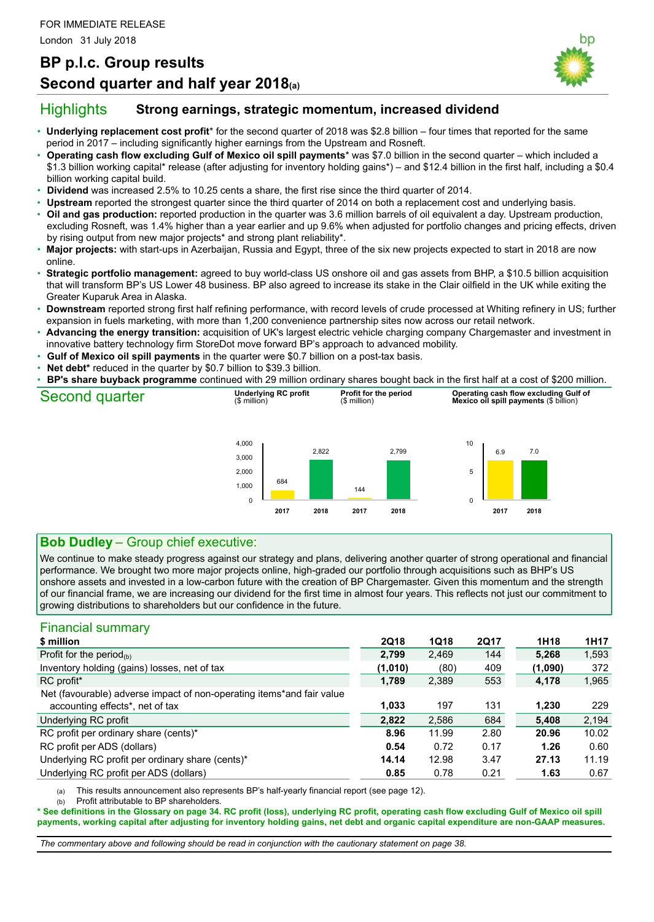London 31 July 2018

### **BP p.l.c. Group results**

**Second quarter and half year 2018(a)**



# Highlights **Strong earnings, strategic momentum, increased dividend**

- **Underlying replacement cost profit**\* for the second quarter of 2018 was \$2.8 billion four times that reported for the same
- period in 2017 including significantly higher earnings from the Upstream and Rosneft. • **Operating cash flow excluding Gulf of Mexico oil spill payments**\* was \$7.0 billion in the second quarter – which included a
- \$1.3 billion working capital\* release (after adjusting for inventory holding gains\*) and \$12.4 billion in the first half, including a \$0.4 billion working capital build.
- **Dividend** was increased 2.5% to 10.25 cents a share, the first rise since the third quarter of 2014.
- **Upstream** reported the strongest quarter since the third quarter of 2014 on both a replacement cost and underlying basis. • **Oil and gas production:** reported production in the quarter was 3.6 million barrels of oil equivalent a day. Upstream production, excluding Rosneft, was 1.4% higher than a year earlier and up 9.6% when adjusted for portfolio changes and pricing effects, driven by rising output from new major projects<sup>\*</sup> and strong plant reliability<sup>\*</sup>.
- **Major projects:** with start-ups in Azerbaijan, Russia and Egypt, three of the six new projects expected to start in 2018 are now online.
- **Strategic portfolio management:** agreed to buy world-class US onshore oil and gas assets from BHP, a \$10.5 billion acquisition that will transform BP's US Lower 48 business. BP also agreed to increase its stake in the Clair oilfield in the UK while exiting the Greater Kuparuk Area in Alaska.
- **Downstream** reported strong first half refining performance, with record levels of crude processed at Whiting refinery in US; further expansion in fuels marketing, with more than 1,200 convenience partnership sites now across our retail network.
- **Advancing the energy transition:** acquisition of UK's largest electric vehicle charging company Chargemaster and investment in innovative battery technology firm StoreDot move forward BP's approach to advanced mobility.
- **Gulf of Mexico oil spill payments** in the quarter were \$0.7 billion on a post-tax basis.
- **Net debt\*** reduced in the quarter by \$0.7 billion to \$39.3 billion.
- **BP's share buyback programme** continued with 29 million ordinary shares bought back in the first half at a cost of \$200 million.

Second quarter **Underlying RC profit Second quarter** (\$ million) **Profit for the period**  (\$ million) **Operating cash flow excluding Gulf of Mexico oil spill payments** (\$ billion)



### **Bob Dudley** – Group chief executive:

We continue to make steady progress against our strategy and plans, delivering another quarter of strong operational and financial performance. We brought two more major projects online, high-graded our portfolio through acquisitions such as BHP's US onshore assets and invested in a low-carbon future with the creation of BP Chargemaster. Given this momentum and the strength of our financial frame, we are increasing our dividend for the first time in almost four years. This reflects not just our commitment to growing distributions to shareholders but our confidence in the future.

### Financial summary

| \$ million                                                                                               | <b>2Q18</b> | <b>1Q18</b> | <b>2Q17</b> | 1H <sub>18</sub> | 1H17  |
|----------------------------------------------------------------------------------------------------------|-------------|-------------|-------------|------------------|-------|
| Profit for the period $_{(b)}$                                                                           | 2,799       | 2,469       | 144         | 5.268            | 1,593 |
| Inventory holding (gains) losses, net of tax                                                             | (1,010)     | (80)        | 409         | (1,090)          | 372   |
| RC profit*                                                                                               | 1,789       | 2,389       | 553         | 4,178            | 1,965 |
| Net (favourable) adverse impact of non-operating items*and fair value<br>accounting effects*, net of tax | 1,033       | 197         | 131         | 1,230            | 229   |
| Underlying RC profit                                                                                     | 2,822       | 2,586       | 684         | 5,408            | 2,194 |
| RC profit per ordinary share (cents)*                                                                    | 8.96        | 11.99       | 2.80        | 20.96            | 10.02 |
| RC profit per ADS (dollars)                                                                              | 0.54        | 0.72        | 0.17        | 1.26             | 0.60  |
| Underlying RC profit per ordinary share (cents)*                                                         | 14.14       | 12.98       | 3.47        | 27.13            | 11.19 |
| Underlying RC profit per ADS (dollars)                                                                   | 0.85        | 0.78        | 0.21        | 1.63             | 0.67  |

(a) This results announcement also represents BP's half-yearly financial report (see page 12).

(b) Profit attributable to BP shareholders.

**\* See definitions in the Glossary on page 34. RC profit (loss), underlying RC profit, operating cash flow excluding Gulf of Mexico oil spill payments, working capital after adjusting for inventory holding gains, net debt and organic capital expenditure are non-GAAP measures.**

*The commentary above and following should be read in conjunction with the cautionary statement on page 38.*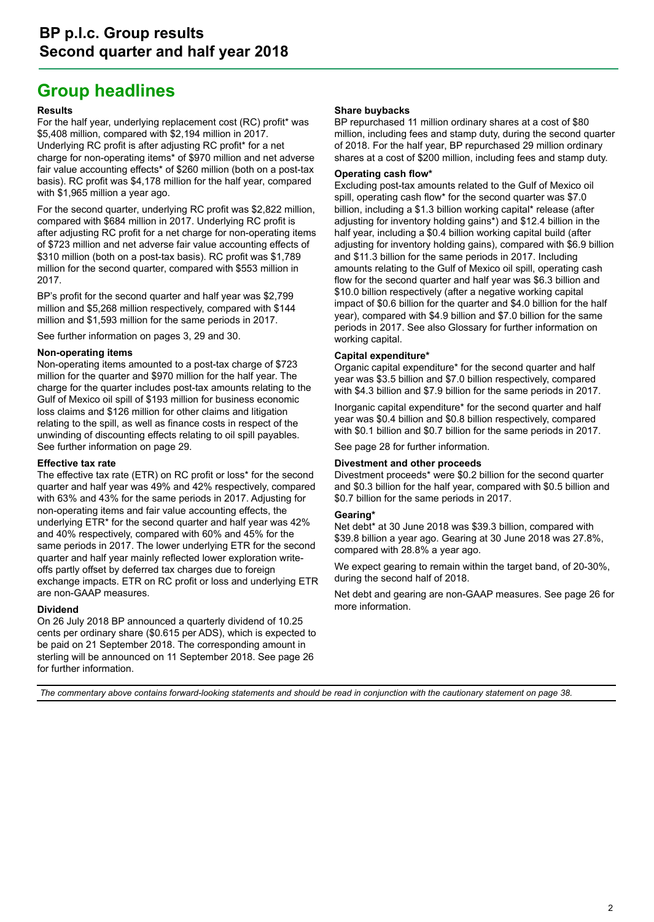# **Group headlines**

#### **Results**

For the half year, underlying replacement cost (RC) profit\* was \$5,408 million, compared with \$2,194 million in 2017. Underlying RC profit is after adjusting RC profit\* for a net charge for non-operating items\* of \$970 million and net adverse fair value accounting effects\* of \$260 million (both on a post-tax basis). RC profit was \$4,178 million for the half year, compared with \$1,965 million a year ago.

For the second quarter, underlying RC profit was \$2,822 million, compared with \$684 million in 2017. Underlying RC profit is after adjusting RC profit for a net charge for non-operating items of \$723 million and net adverse fair value accounting effects of \$310 million (both on a post-tax basis). RC profit was \$1,789 million for the second quarter, compared with \$553 million in 2017.

BP's profit for the second quarter and half year was \$2,799 million and \$5,268 million respectively, compared with \$144 million and \$1,593 million for the same periods in 2017.

See further information on pages 3, 29 and 30.

#### **Non-operating items**

Non-operating items amounted to a post-tax charge of \$723 million for the quarter and \$970 million for the half year. The charge for the quarter includes post-tax amounts relating to the Gulf of Mexico oil spill of \$193 million for business economic loss claims and \$126 million for other claims and litigation relating to the spill, as well as finance costs in respect of the unwinding of discounting effects relating to oil spill payables. See further information on page 29.

#### **Effective tax rate**

The effective tax rate (ETR) on RC profit or loss\* for the second quarter and half year was 49% and 42% respectively, compared with 63% and 43% for the same periods in 2017. Adjusting for non-operating items and fair value accounting effects, the underlying ETR\* for the second quarter and half year was 42% and 40% respectively, compared with 60% and 45% for the same periods in 2017. The lower underlying ETR for the second quarter and half year mainly reflected lower exploration writeoffs partly offset by deferred tax charges due to foreign exchange impacts. ETR on RC profit or loss and underlying ETR are non-GAAP measures.

#### **Dividend**

On 26 July 2018 BP announced a quarterly dividend of 10.25 cents per ordinary share (\$0.615 per ADS), which is expected to be paid on 21 September 2018. The corresponding amount in sterling will be announced on 11 September 2018. See page 26 for further information.

#### **Share buybacks**

BP repurchased 11 million ordinary shares at a cost of \$80 million, including fees and stamp duty, during the second quarter of 2018. For the half year, BP repurchased 29 million ordinary shares at a cost of \$200 million, including fees and stamp duty.

#### **Operating cash flow\***

Excluding post-tax amounts related to the Gulf of Mexico oil spill, operating cash flow\* for the second quarter was \$7.0 billion, including a \$1.3 billion working capital\* release (after adjusting for inventory holding gains\*) and \$12.4 billion in the half year, including a \$0.4 billion working capital build (after adjusting for inventory holding gains), compared with \$6.9 billion and \$11.3 billion for the same periods in 2017. Including amounts relating to the Gulf of Mexico oil spill, operating cash flow for the second quarter and half year was \$6.3 billion and \$10.0 billion respectively (after a negative working capital impact of \$0.6 billion for the quarter and \$4.0 billion for the half year), compared with \$4.9 billion and \$7.0 billion for the same periods in 2017. See also Glossary for further information on working capital.

#### **Capital expenditure\***

Organic capital expenditure\* for the second quarter and half year was \$3.5 billion and \$7.0 billion respectively, compared with \$4.3 billion and \$7.9 billion for the same periods in 2017.

Inorganic capital expenditure\* for the second quarter and half year was \$0.4 billion and \$0.8 billion respectively, compared with \$0.1 billion and \$0.7 billion for the same periods in 2017.

See page 28 for further information.

#### **Divestment and other proceeds**

Divestment proceeds\* were \$0.2 billion for the second quarter and \$0.3 billion for the half year, compared with \$0.5 billion and \$0.7 billion for the same periods in 2017.

#### **Gearing\***

Net debt\* at 30 June 2018 was \$39.3 billion, compared with \$39.8 billion a year ago. Gearing at 30 June 2018 was 27.8%, compared with 28.8% a year ago.

We expect gearing to remain within the target band, of 20-30%, during the second half of 2018.

Net debt and gearing are non-GAAP measures. See page 26 for more information.

*The commentary above contains forward-looking statements and should be read in conjunction with the cautionary statement on page 38.*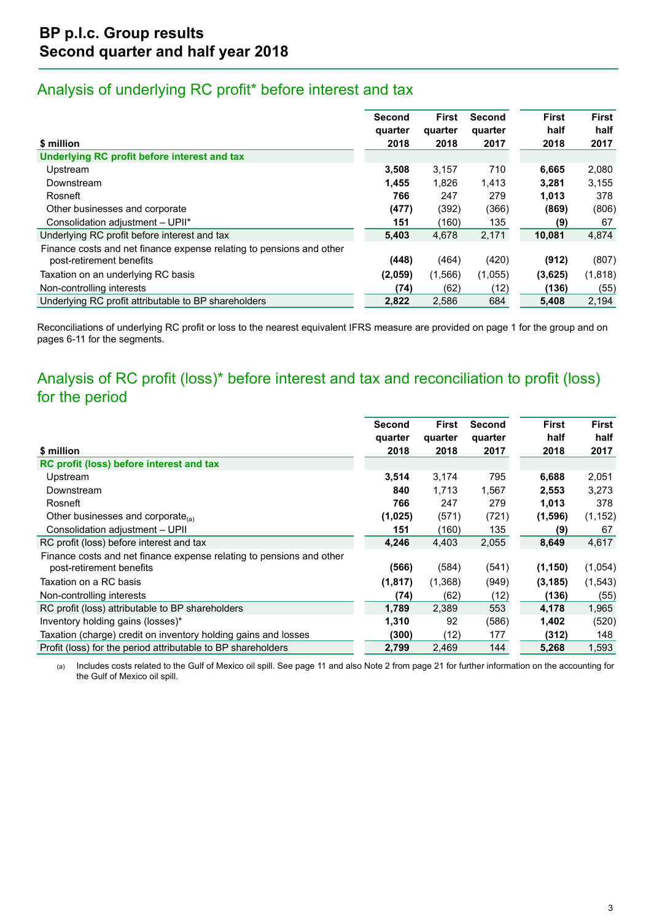### Analysis of underlying RC profit\* before interest and tax

| \$ million                                                                                       | <b>Second</b><br>quarter<br>2018 | <b>First</b><br>quarter<br>2018 | <b>Second</b><br>quarter<br>2017 | <b>First</b><br>half<br>2018 | <b>First</b><br>half<br>2017 |
|--------------------------------------------------------------------------------------------------|----------------------------------|---------------------------------|----------------------------------|------------------------------|------------------------------|
| Underlying RC profit before interest and tax                                                     |                                  |                                 |                                  |                              |                              |
| Upstream                                                                                         | 3,508                            | 3,157                           | 710                              | 6,665                        | 2,080                        |
| Downstream                                                                                       | 1.455                            | 1,826                           | 1,413                            | 3,281                        | 3,155                        |
| Rosneft                                                                                          | 766                              | 247                             | 279                              | 1.013                        | 378                          |
| Other businesses and corporate                                                                   | (477)                            | (392)                           | (366)                            | (869)                        | (806)                        |
| Consolidation adjustment - UPII*                                                                 | 151                              | (160)                           | 135                              | (9)                          | 67                           |
| Underlying RC profit before interest and tax                                                     | 5,403                            | 4,678                           | 2,171                            | 10,081                       | 4,874                        |
| Finance costs and net finance expense relating to pensions and other<br>post-retirement benefits | (448)                            | (464)                           | (420)                            | (912)                        | (807)                        |
| Taxation on an underlying RC basis                                                               | (2,059)                          | (1,566)                         | (1,055)                          | (3,625)                      | (1,818)                      |
| Non-controlling interests                                                                        | (74)                             | (62)                            | (12)                             | (136)                        | (55)                         |
| Underlying RC profit attributable to BP shareholders                                             | 2,822                            | 2,586                           | 684                              | 5,408                        | 2,194                        |

Reconciliations of underlying RC profit or loss to the nearest equivalent IFRS measure are provided on page 1 for the group and on pages 6-11 for the segments.

### Analysis of RC profit (loss)\* before interest and tax and reconciliation to profit (loss) for the period

|                                                                      | <b>Second</b><br>quarter | First<br>quarter | <b>Second</b><br>quarter | First<br>half | First<br>half |
|----------------------------------------------------------------------|--------------------------|------------------|--------------------------|---------------|---------------|
| \$ million                                                           | 2018                     | 2018             | 2017                     | 2018          | 2017          |
| RC profit (loss) before interest and tax                             |                          |                  |                          |               |               |
| Upstream                                                             | 3,514                    | 3,174            | 795                      | 6,688         | 2,051         |
| Downstream                                                           | 840                      | 1,713            | 1,567                    | 2,553         | 3,273         |
| Rosneft                                                              | 766                      | 247              | 279                      | 1,013         | 378           |
| Other businesses and corporate $_{(a)}$                              | (1,025)                  | (571)            | (721)                    | (1,596)       | (1, 152)      |
| Consolidation adjustment - UPII                                      | 151                      | (160)            | 135                      | (9)           | 67            |
| RC profit (loss) before interest and tax                             | 4,246                    | 4,403            | 2,055                    | 8,649         | 4,617         |
| Finance costs and net finance expense relating to pensions and other |                          |                  |                          |               |               |
| post-retirement benefits                                             | (566)                    | (584)            | (541)                    | (1, 150)      | (1,054)       |
| Taxation on a RC basis                                               | (1, 817)                 | (1,368)          | (949)                    | (3, 185)      | (1,543)       |
| Non-controlling interests                                            | (74)                     | (62)             | (12)                     | (136)         | (55)          |
| RC profit (loss) attributable to BP shareholders                     | 1,789                    | 2,389            | 553                      | 4,178         | 1,965         |
| Inventory holding gains (losses)*                                    | 1,310                    | 92               | (586)                    | 1,402         | (520)         |
| Taxation (charge) credit on inventory holding gains and losses       | (300)                    | (12)             | 177                      | (312)         | 148           |
| Profit (loss) for the period attributable to BP shareholders         | 2,799                    | 2,469            | 144                      | 5,268         | 1,593         |

(a) Includes costs related to the Gulf of Mexico oil spill. See page 11 and also Note 2 from page 21 for further information on the accounting for the Gulf of Mexico oil spill.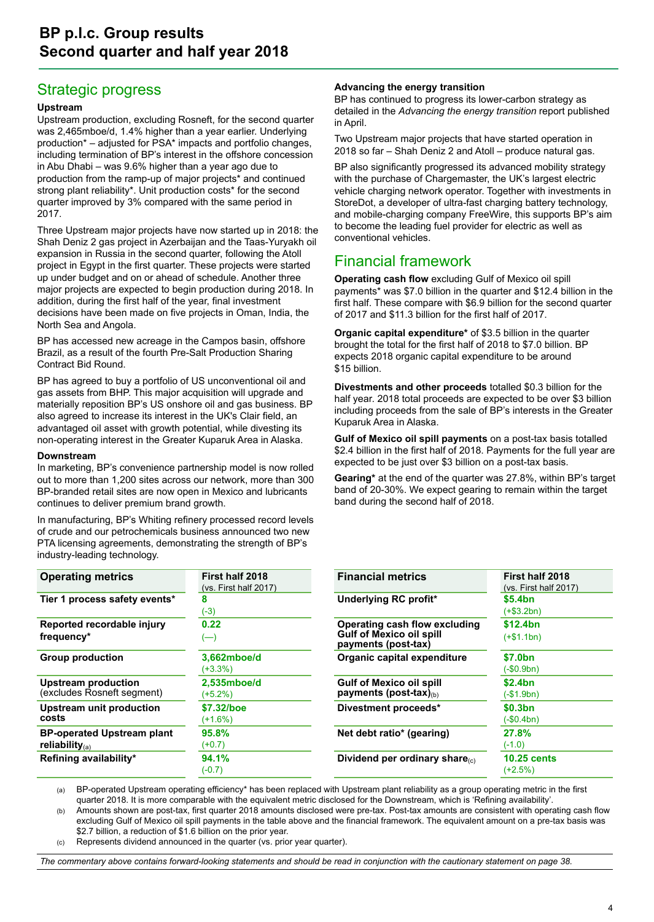### Strategic progress

#### **Upstream**

Upstream production, excluding Rosneft, for the second quarter was 2,465mboe/d, 1.4% higher than a year earlier. Underlying production\* – adjusted for PSA\* impacts and portfolio changes, including termination of BP's interest in the offshore concession in Abu Dhabi – was 9.6% higher than a year ago due to production from the ramp-up of major projects\* and continued strong plant reliability\*. Unit production costs\* for the second quarter improved by 3% compared with the same period in 2017.

Three Upstream major projects have now started up in 2018: the Shah Deniz 2 gas project in Azerbaijan and the Taas-Yuryakh oil expansion in Russia in the second quarter, following the Atoll project in Egypt in the first quarter. These projects were started up under budget and on or ahead of schedule. Another three major projects are expected to begin production during 2018. In addition, during the first half of the year, final investment decisions have been made on five projects in Oman, India, the North Sea and Angola.

BP has accessed new acreage in the Campos basin, offshore Brazil, as a result of the fourth Pre-Salt Production Sharing Contract Bid Round.

BP has agreed to buy a portfolio of US unconventional oil and gas assets from BHP. This major acquisition will upgrade and materially reposition BP's US onshore oil and gas business. BP also agreed to increase its interest in the UK's Clair field, an advantaged oil asset with growth potential, while divesting its non-operating interest in the Greater Kuparuk Area in Alaska.

#### **Downstream**

In marketing, BP's convenience partnership model is now rolled out to more than 1,200 sites across our network, more than 300 BP-branded retail sites are now open in Mexico and lubricants continues to deliver premium brand growth.

In manufacturing, BP's Whiting refinery processed record levels of crude and our petrochemicals business announced two new PTA licensing agreements, demonstrating the strength of BP's industry-leading technology.

| <b>Operating metrics</b>                                  | First half 2018<br>(vs. First half 2017) | <b>Financial metrics</b>                                                                | First half 2018<br>(vs. First half 201 |
|-----------------------------------------------------------|------------------------------------------|-----------------------------------------------------------------------------------------|----------------------------------------|
| Tier 1 process safety events*                             | 8<br>$(-3)$                              | Underlying RC profit*                                                                   | \$5.4bn<br>$(+\$3.2bn)$                |
| Reported recordable injury<br>frequency*                  | 0.22<br>$(-)$                            | Operating cash flow excluding<br><b>Gulf of Mexico oil spill</b><br>payments (post-tax) | \$12.4bn<br>$(+$1.1bn)$                |
| <b>Group production</b>                                   | 3,662mboe/d<br>(+3.3%)                   | Organic capital expenditure                                                             | \$7.0bn<br>(-\$0.9bn)                  |
| <b>Upstream production</b><br>(excludes Rosneft segment)  | $2,535$ mboe/d<br>$(+5.2\%)$             | <b>Gulf of Mexico oil spill</b><br>payments (post-tax) $_{(b)}$                         | \$2.4bn<br>$(-$1.9bn)$                 |
| <b>Upstream unit production</b><br>costs                  | \$7.32/boe<br>(+1.6%)                    | Divestment proceeds*                                                                    | \$0.3bn<br>$(-$0.4bn)$                 |
| <b>BP-operated Upstream plant</b><br>reliability $_{(a)}$ | 95.8%<br>$(+0.7)$                        | Net debt ratio* (gearing)                                                               | 27.8%<br>$(-1.0)$                      |
| Refining availability*                                    | 94.1%<br>$(-0.7)$                        | Dividend per ordinary share $_{\text{(c)}}$                                             | <b>10.25 cents</b><br>$(+2.5%)$        |

#### **Advancing the energy transition**

BP has continued to progress its lower-carbon strategy as detailed in the *Advancing the energy transition* report published in April.

Two Upstream major projects that have started operation in 2018 so far – Shah Deniz 2 and Atoll – produce natural gas.

BP also significantly progressed its advanced mobility strategy with the purchase of Chargemaster, the UK's largest electric vehicle charging network operator. Together with investments in StoreDot, a developer of ultra-fast charging battery technology, and mobile-charging company FreeWire, this supports BP's aim to become the leading fuel provider for electric as well as conventional vehicles.

### Financial framework

**Operating cash flow** excluding Gulf of Mexico oil spill payments\* was \$7.0 billion in the quarter and \$12.4 billion in the first half. These compare with \$6.9 billion for the second quarter of 2017 and \$11.3 billion for the first half of 2017.

**Organic capital expenditure\*** of \$3.5 billion in the quarter brought the total for the first half of 2018 to \$7.0 billion. BP expects 2018 organic capital expenditure to be around \$15 billion.

**Divestments and other proceeds** totalled \$0.3 billion for the half year. 2018 total proceeds are expected to be over \$3 billion including proceeds from the sale of BP's interests in the Greater Kuparuk Area in Alaska.

**Gulf of Mexico oil spill payments** on a post-tax basis totalled \$2.4 billion in the first half of 2018. Payments for the full year are expected to be just over \$3 billion on a post-tax basis.

**Gearing\*** at the end of the quarter was 27.8%, within BP's target band of 20-30%. We expect gearing to remain within the target band during the second half of 2018.

| First half 2018<br>(vs. First half 2017) | <b>Financial metrics</b>                                                                | First half 2018<br>(vs. First half 2017) |
|------------------------------------------|-----------------------------------------------------------------------------------------|------------------------------------------|
| 8<br>$(-3)$                              | Underlying RC profit*                                                                   | \$5.4bn<br>$(+\$3.2bn)$                  |
| 0.22<br>$\left( \rightarrow \right)$     | Operating cash flow excluding<br><b>Gulf of Mexico oil spill</b><br>payments (post-tax) | \$12.4bn<br>$(+$1.1bn)$                  |
| 3,662mboe/d<br>$(+3.3%)$                 | Organic capital expenditure                                                             | \$7.0bn<br>$(-$0.9bn)$                   |
| 2,535mboe/d<br>$(+5.2%)$                 | <b>Gulf of Mexico oil spill</b><br>payments (post-tax) $_{(b)}$                         | \$2.4bn<br>$(-$1.9bn)$                   |
| \$7.32/boe<br>$(+1.6%)$                  | Divestment proceeds*                                                                    | \$0.3bn<br>$(-$0.4bn)$                   |
| 95.8%<br>$(+0.7)$                        | Net debt ratio* (gearing)                                                               | 27.8%<br>$(-1.0)$                        |
| 94.1%<br>$(-0.7)$                        | Dividend per ordinary share $_{(c)}$                                                    | <b>10.25 cents</b><br>$(+2.5%)$          |
|                                          |                                                                                         |                                          |

(a) BP-operated Upstream operating efficiency\* has been replaced with Upstream plant reliability as a group operating metric in the first quarter 2018. It is more comparable with the equivalent metric disclosed for the Downstream, which is 'Refining availability'.

(b) Amounts shown are post-tax, first quarter 2018 amounts disclosed were pre-tax. Post-tax amounts are consistent with operating cash flow excluding Gulf of Mexico oil spill payments in the table above and the financial framework. The equivalent amount on a pre-tax basis was \$2.7 billion, a reduction of \$1.6 billion on the prior year.

(c) Represents dividend announced in the quarter (vs. prior year quarter).

*The commentary above contains forward-looking statements and should be read in conjunction with the cautionary statement on page 38.*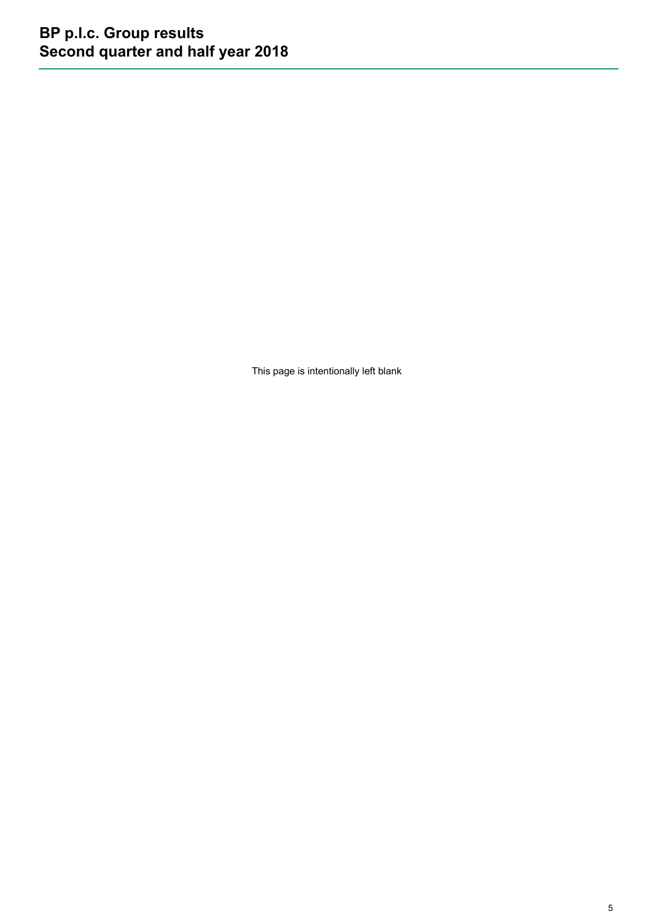This page is intentionally left blank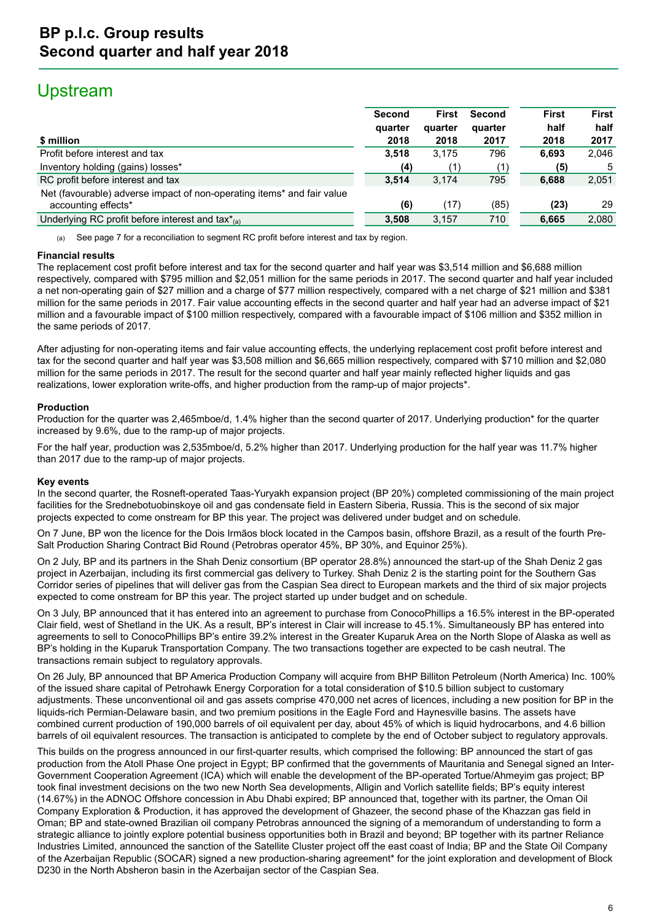# Upstream

|                                                                        | Second  | First   | Second  | First | <b>First</b> |
|------------------------------------------------------------------------|---------|---------|---------|-------|--------------|
|                                                                        | quarter | quarter | quarter | half  | half         |
| \$ million                                                             | 2018    | 2018    | 2017    | 2018  | 2017         |
| Profit before interest and tax                                         | 3,518   | 3.175   | 796     | 6.693 | 2,046        |
| Inventory holding (gains) losses*                                      | (4)     | (1)     | (1)     | (5)   | 5            |
| RC profit before interest and tax                                      | 3.514   | 3.174   | 795     | 6.688 | 2,051        |
| Net (favourable) adverse impact of non-operating items* and fair value |         |         |         |       |              |
| accounting effects*                                                    | (6)     | (17)    | (85)    | (23)  | 29           |
| Underlying RC profit before interest and tax $\dot{a}_{\text{eq}}$     | 3.508   | 3.157   | 710     | 6.665 | 2,080        |

(a) See page 7 for a reconciliation to segment RC profit before interest and tax by region.

#### **Financial results**

The replacement cost profit before interest and tax for the second quarter and half year was \$3,514 million and \$6,688 million respectively, compared with \$795 million and \$2,051 million for the same periods in 2017. The second quarter and half year included a net non-operating gain of \$27 million and a charge of \$77 million respectively, compared with a net charge of \$21 million and \$381 million for the same periods in 2017. Fair value accounting effects in the second quarter and half year had an adverse impact of \$21 million and a favourable impact of \$100 million respectively, compared with a favourable impact of \$106 million and \$352 million in the same periods of 2017.

After adjusting for non-operating items and fair value accounting effects, the underlying replacement cost profit before interest and tax for the second quarter and half year was \$3,508 million and \$6,665 million respectively, compared with \$710 million and \$2,080 million for the same periods in 2017. The result for the second quarter and half year mainly reflected higher liquids and gas realizations, lower exploration write-offs, and higher production from the ramp-up of major projects\*.

#### **Production**

Production for the quarter was 2,465mboe/d, 1.4% higher than the second quarter of 2017. Underlying production\* for the quarter increased by 9.6%, due to the ramp-up of major projects.

For the half year, production was 2,535mboe/d, 5.2% higher than 2017. Underlying production for the half year was 11.7% higher than 2017 due to the ramp-up of major projects.

#### **Key events**

In the second quarter, the Rosneft-operated Taas-Yuryakh expansion project (BP 20%) completed commissioning of the main project facilities for the Srednebotuobinskoye oil and gas condensate field in Eastern Siberia, Russia. This is the second of six major projects expected to come onstream for BP this year. The project was delivered under budget and on schedule.

On 7 June, BP won the licence for the Dois Irmãos block located in the Campos basin, offshore Brazil, as a result of the fourth Pre-Salt Production Sharing Contract Bid Round (Petrobras operator 45%, BP 30%, and Equinor 25%).

On 2 July, BP and its partners in the Shah Deniz consortium (BP operator 28.8%) announced the start-up of the Shah Deniz 2 gas project in Azerbaijan, including its first commercial gas delivery to Turkey. Shah Deniz 2 is the starting point for the Southern Gas Corridor series of pipelines that will deliver gas from the Caspian Sea direct to European markets and the third of six major projects expected to come onstream for BP this year. The project started up under budget and on schedule.

On 3 July, BP announced that it has entered into an agreement to purchase from ConocoPhillips a 16.5% interest in the BP-operated Clair field, west of Shetland in the UK. As a result, BP's interest in Clair will increase to 45.1%. Simultaneously BP has entered into agreements to sell to ConocoPhillips BP's entire 39.2% interest in the Greater Kuparuk Area on the North Slope of Alaska as well as BP's holding in the Kuparuk Transportation Company. The two transactions together are expected to be cash neutral. The transactions remain subject to regulatory approvals.

On 26 July, BP announced that BP America Production Company will acquire from BHP Billiton Petroleum (North America) Inc. 100% of the issued share capital of Petrohawk Energy Corporation for a total consideration of \$10.5 billion subject to customary adjustments. These unconventional oil and gas assets comprise 470,000 net acres of licences, including a new position for BP in the liquids-rich Permian-Delaware basin, and two premium positions in the Eagle Ford and Haynesville basins. The assets have combined current production of 190,000 barrels of oil equivalent per day, about 45% of which is liquid hydrocarbons, and 4.6 billion barrels of oil equivalent resources. The transaction is anticipated to complete by the end of October subject to regulatory approvals.

This builds on the progress announced in our first-quarter results, which comprised the following: BP announced the start of gas production from the Atoll Phase One project in Egypt; BP confirmed that the governments of Mauritania and Senegal signed an Inter-Government Cooperation Agreement (ICA) which will enable the development of the BP-operated Tortue/Ahmeyim gas project; BP took final investment decisions on the two new North Sea developments, Alligin and Vorlich satellite fields; BP's equity interest (14.67%) in the ADNOC Offshore concession in Abu Dhabi expired; BP announced that, together with its partner, the Oman Oil Company Exploration & Production, it has approved the development of Ghazeer, the second phase of the Khazzan gas field in Oman; BP and state-owned Brazilian oil company Petrobras announced the signing of a memorandum of understanding to form a strategic alliance to jointly explore potential business opportunities both in Brazil and beyond; BP together with its partner Reliance Industries Limited, announced the sanction of the Satellite Cluster project off the east coast of India; BP and the State Oil Company of the Azerbaijan Republic (SOCAR) signed a new production-sharing agreement\* for the joint exploration and development of Block D230 in the North Absheron basin in the Azerbaijan sector of the Caspian Sea.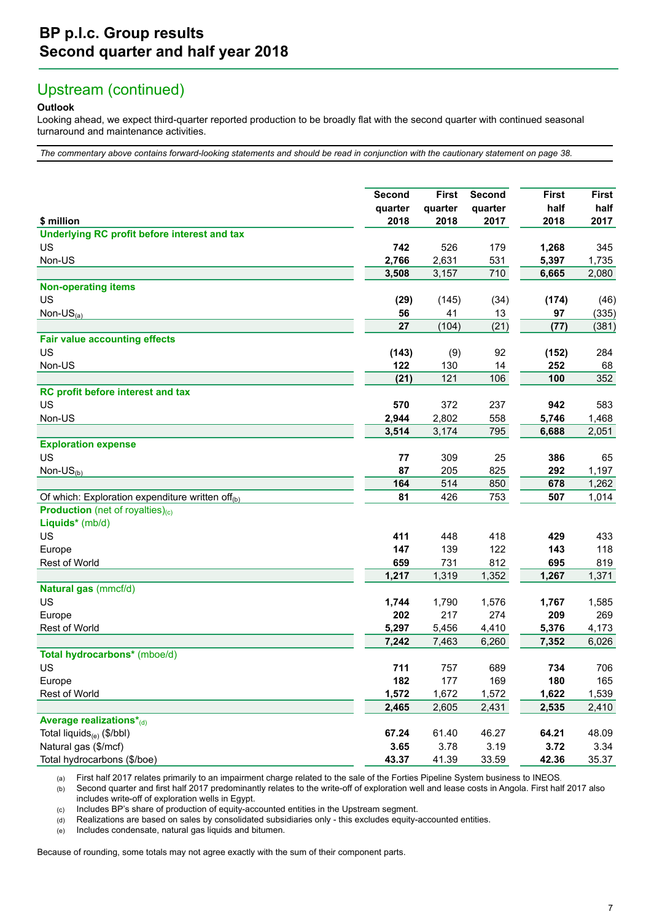### Upstream (continued)

#### **Outlook**

Looking ahead, we expect third-quarter reported production to be broadly flat with the second quarter with continued seasonal turnaround and maintenance activities.

*The commentary above contains forward-looking statements and should be read in conjunction with the cautionary statement on page 38.*

|                                                              | <b>Second</b><br>quarter | <b>First</b><br>quarter | <b>Second</b><br>quarter | <b>First</b><br>half | <b>First</b><br>half |
|--------------------------------------------------------------|--------------------------|-------------------------|--------------------------|----------------------|----------------------|
| \$ million<br>Underlying RC profit before interest and tax   | 2018                     | 2018                    | 2017                     | 2018                 | 2017                 |
| US                                                           | 742                      | 526                     | 179                      |                      |                      |
|                                                              |                          |                         |                          | 1,268                | 345                  |
| Non-US                                                       | 2,766                    | 2,631                   | 531                      | 5,397                | 1,735                |
|                                                              | 3,508                    | 3,157                   | 710                      | 6,665                | 2,080                |
| <b>Non-operating items</b><br><b>US</b>                      |                          |                         |                          |                      |                      |
|                                                              | (29)                     | (145)                   | (34)                     | (174)                | (46)                 |
| Non- $US_{(a)}$                                              | 56<br>27                 | 41                      | 13                       | 97                   | (335)                |
|                                                              |                          | (104)                   | (21)                     | (77)                 | (381)                |
| <b>Fair value accounting effects</b>                         |                          |                         |                          |                      |                      |
| <b>US</b>                                                    | (143)                    | (9)                     | 92                       | (152)                | 284                  |
| Non-US                                                       | 122                      | 130                     | 14                       | 252                  | 68                   |
|                                                              | (21)                     | 121                     | 106                      | 100                  | 352                  |
| RC profit before interest and tax                            |                          |                         |                          |                      |                      |
| <b>US</b>                                                    | 570                      | 372                     | 237                      | 942                  | 583                  |
| Non-US                                                       | 2,944                    | 2,802                   | 558                      | 5,746                | 1,468                |
|                                                              | 3,514                    | 3,174                   | 795                      | 6,688                | 2,051                |
| <b>Exploration expense</b>                                   |                          |                         |                          |                      |                      |
| <b>US</b>                                                    | 77                       | 309                     | 25                       | 386                  | 65                   |
| Non- $US_{(b)}$                                              | 87                       | 205                     | 825                      | 292                  | 1,197                |
|                                                              | 164                      | 514                     | 850                      | 678                  | 1,262                |
| Of which: Exploration expenditure written off <sub>(b)</sub> | 81                       | 426                     | 753                      | 507                  | 1,014                |
| <b>Production</b> (net of royalties) $_{(c)}$                |                          |                         |                          |                      |                      |
| Liquids* (mb/d)                                              |                          |                         |                          |                      |                      |
| US                                                           | 411                      | 448                     | 418                      | 429                  | 433                  |
| Europe                                                       | 147                      | 139                     | 122                      | 143                  | 118                  |
| Rest of World                                                | 659                      | 731                     | 812                      | 695                  | 819                  |
|                                                              | 1,217                    | 1,319                   | 1,352                    | 1,267                | 1,371                |
| Natural gas (mmcf/d)                                         |                          |                         |                          |                      |                      |
| US                                                           | 1,744                    | 1,790                   | 1,576                    | 1,767                | 1,585                |
| Europe                                                       | 202                      | 217                     | 274                      | 209                  | 269                  |
| <b>Rest of World</b>                                         | 5,297                    | 5,456                   | 4,410                    | 5,376                | 4,173                |
|                                                              | 7,242                    | 7,463                   | 6,260                    | 7,352                | 6,026                |
| Total hydrocarbons* (mboe/d)                                 |                          |                         |                          |                      |                      |
| US                                                           | 711                      | 757                     | 689                      | 734                  | 706                  |
| Europe                                                       | 182                      | 177                     | 169                      | 180                  | 165                  |
| Rest of World                                                | 1,572                    | 1,672                   | 1,572                    | 1,622                | 1,539                |
|                                                              | 2,465                    | 2,605                   | 2,431                    | 2,535                | 2,410                |
| Average realizations*(d)                                     |                          |                         |                          |                      |                      |
| Total liquids <sub>(e)</sub> (\$/bbl)                        | 67.24                    | 61.40                   | 46.27                    | 64.21                | 48.09                |
| Natural gas (\$/mcf)                                         | 3.65                     | 3.78                    | 3.19                     | 3.72                 | 3.34                 |
| Total hydrocarbons (\$/boe)                                  | 43.37                    | 41.39                   | 33.59                    | 42.36                | 35.37                |

(a) First half 2017 relates primarily to an impairment charge related to the sale of the Forties Pipeline System business to INEOS.

(b) Second quarter and first half 2017 predominantly relates to the write-off of exploration well and lease costs in Angola. First half 2017 also includes write-off of exploration wells in Egypt.

(c) Includes BP's share of production of equity-accounted entities in the Upstream segment.

(d) Realizations are based on sales by consolidated subsidiaries only - this excludes equity-accounted entities.

(e) Includes condensate, natural gas liquids and bitumen.

Because of rounding, some totals may not agree exactly with the sum of their component parts.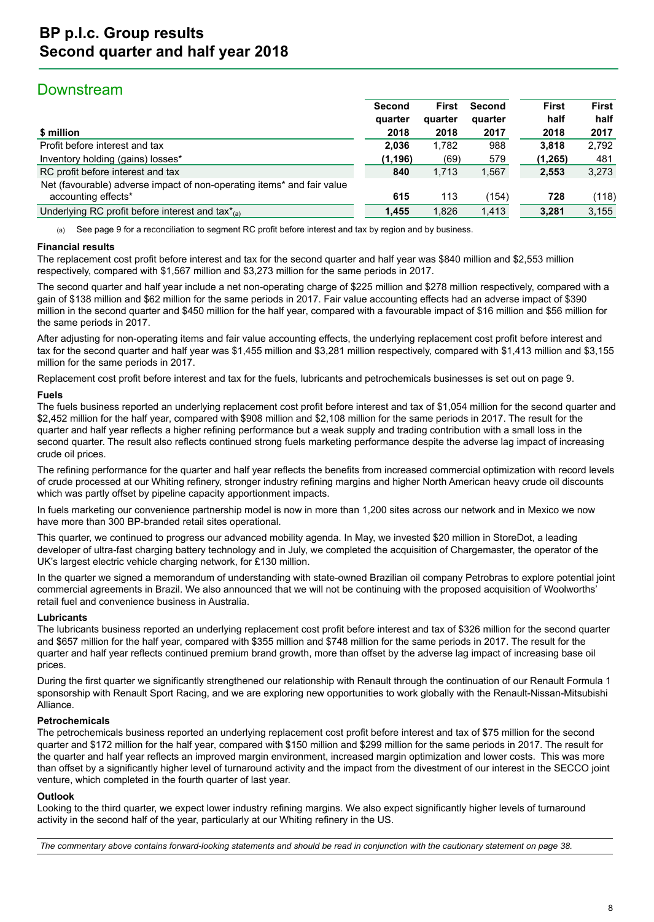### Downstream

|                                                                                               | <b>Second</b> | <b>First</b> | <b>Second</b> | <b>First</b> | <b>First</b> |
|-----------------------------------------------------------------------------------------------|---------------|--------------|---------------|--------------|--------------|
|                                                                                               | quarter       | quarter      | quarter       | half         | half         |
| \$ million                                                                                    | 2018          | 2018         | 2017          | 2018         | 2017         |
| Profit before interest and tax                                                                | 2.036         | 1.782        | 988           | 3.818        | 2,792        |
| Inventory holding (gains) losses*                                                             | (1.196)       | (69)         | 579           | (1,265)      | 481          |
| RC profit before interest and tax                                                             | 840           | 1.713        | 1,567         | 2,553        | 3,273        |
| Net (favourable) adverse impact of non-operating items* and fair value<br>accounting effects* | 615           | 113          | (154)         | 728          | (118)        |
| Underlying RC profit before interest and tax $r_{(a)}$                                        | 1.455         | 1,826        | 1,413         | 3,281        | 3,155        |

(a) See page 9 for a reconciliation to segment RC profit before interest and tax by region and by business.

#### **Financial results**

The replacement cost profit before interest and tax for the second quarter and half year was \$840 million and \$2,553 million respectively, compared with \$1,567 million and \$3,273 million for the same periods in 2017.

The second quarter and half year include a net non-operating charge of \$225 million and \$278 million respectively, compared with a gain of \$138 million and \$62 million for the same periods in 2017. Fair value accounting effects had an adverse impact of \$390 million in the second quarter and \$450 million for the half year, compared with a favourable impact of \$16 million and \$56 million for the same periods in 2017.

After adjusting for non-operating items and fair value accounting effects, the underlying replacement cost profit before interest and tax for the second quarter and half year was \$1,455 million and \$3,281 million respectively, compared with \$1,413 million and \$3,155 million for the same periods in 2017.

Replacement cost profit before interest and tax for the fuels, lubricants and petrochemicals businesses is set out on page 9.

#### **Fuels**

The fuels business reported an underlying replacement cost profit before interest and tax of \$1,054 million for the second quarter and \$2,452 million for the half year, compared with \$908 million and \$2,108 million for the same periods in 2017. The result for the quarter and half year reflects a higher refining performance but a weak supply and trading contribution with a small loss in the second quarter. The result also reflects continued strong fuels marketing performance despite the adverse lag impact of increasing crude oil prices.

The refining performance for the quarter and half year reflects the benefits from increased commercial optimization with record levels of crude processed at our Whiting refinery, stronger industry refining margins and higher North American heavy crude oil discounts which was partly offset by pipeline capacity apportionment impacts.

In fuels marketing our convenience partnership model is now in more than 1,200 sites across our network and in Mexico we now have more than 300 BP-branded retail sites operational.

This quarter, we continued to progress our advanced mobility agenda. In May, we invested \$20 million in StoreDot, a leading developer of ultra-fast charging battery technology and in July, we completed the acquisition of Chargemaster, the operator of the UK's largest electric vehicle charging network, for £130 million.

In the quarter we signed a memorandum of understanding with state-owned Brazilian oil company Petrobras to explore potential joint commercial agreements in Brazil. We also announced that we will not be continuing with the proposed acquisition of Woolworths' retail fuel and convenience business in Australia.

#### **Lubricants**

The lubricants business reported an underlying replacement cost profit before interest and tax of \$326 million for the second quarter and \$657 million for the half year, compared with \$355 million and \$748 million for the same periods in 2017. The result for the quarter and half year reflects continued premium brand growth, more than offset by the adverse lag impact of increasing base oil prices.

During the first quarter we significantly strengthened our relationship with Renault through the continuation of our Renault Formula 1 sponsorship with Renault Sport Racing, and we are exploring new opportunities to work globally with the Renault-Nissan-Mitsubishi Alliance.

#### **Petrochemicals**

The petrochemicals business reported an underlying replacement cost profit before interest and tax of \$75 million for the second quarter and \$172 million for the half year, compared with \$150 million and \$299 million for the same periods in 2017. The result for the quarter and half year reflects an improved margin environment, increased margin optimization and lower costs. This was more than offset by a significantly higher level of turnaround activity and the impact from the divestment of our interest in the SECCO joint venture, which completed in the fourth quarter of last year.

#### **Outlook**

Looking to the third quarter, we expect lower industry refining margins. We also expect significantly higher levels of turnaround activity in the second half of the year, particularly at our Whiting refinery in the US.

*The commentary above contains forward-looking statements and should be read in conjunction with the cautionary statement on page 38.*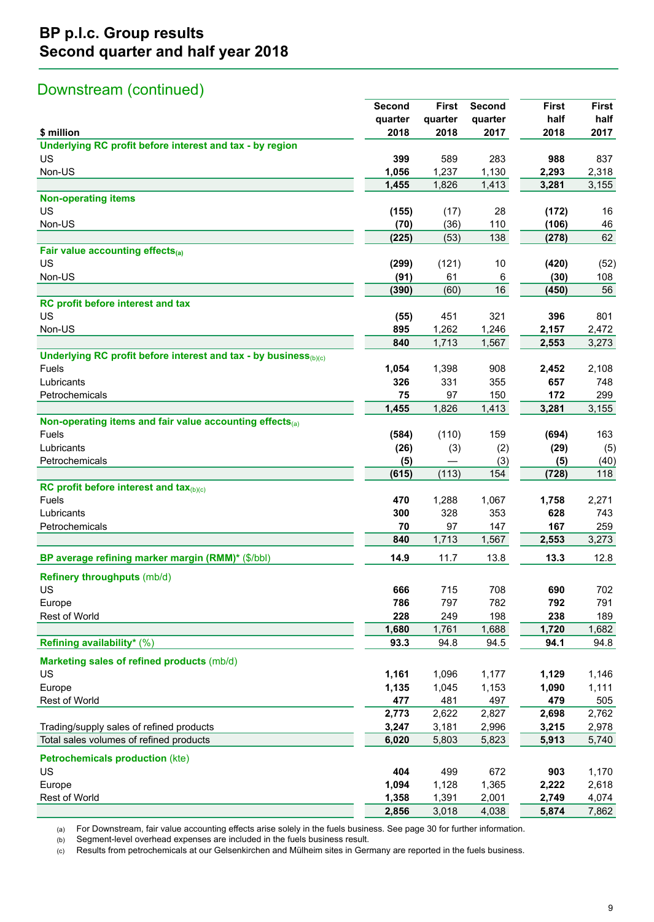### **BP p.l.c. Group results Second quarter and half year 2018**

### Downstream (continued)

| half<br>quarter<br>quarter<br>half<br>quarter<br>\$ million<br>2018<br>2018<br>2018<br>2017<br>2017<br>Underlying RC profit before interest and tax - by region<br>US<br>399<br>589<br>283<br>988<br>837<br>Non-US<br>1,056<br>1,237<br>1,130<br>2,293<br>2,318<br>1,455<br>1,826<br>1,413<br>3,281<br>3,155<br><b>Non-operating items</b><br>US<br>(155)<br>28<br>(172)<br>16<br>(17)<br>Non-US<br>(70)<br>(36)<br>110<br>46<br>(106)<br>(53)<br>138<br>62<br>(225)<br>(278)<br>Fair value accounting effects $(a)$<br>US<br>(299)<br>(121)<br>10<br>(420)<br>(52)<br>Non-US<br>(91)<br>61<br>108<br>6<br>(30)<br>(60)<br>16<br>56<br>(390)<br>(450)<br>RC profit before interest and tax<br><b>US</b><br>451<br>321<br>396<br>801<br>(55)<br>1,262<br>Non-US<br>895<br>1,246<br>2,157<br>2,472<br>840<br>1,713<br>2,553<br>1,567<br>3,273<br>Underlying RC profit before interest and tax - by business(b)(c)<br>Fuels<br>908<br>1,054<br>1,398<br>2,452<br>2,108<br>355<br>Lubricants<br>326<br>331<br>657<br>748<br>97<br>75<br>150<br>172<br>299<br>Petrochemicals<br>1,455<br>1,826<br>1,413<br>3,281<br>3,155<br>Non-operating items and fair value accounting effects(a)<br>Fuels<br>159<br>(584)<br>(110)<br>(694)<br>163<br>Lubricants<br>(26)<br>(3)<br>(2)<br>(29)<br>(5)<br>Petrochemicals<br>(5)<br>(3)<br>(5)<br>(40)<br>(113)<br>154<br>(615)<br>(728)<br>118<br>RC profit before interest and $\text{tax}_{(b)(c)}$<br>1,288<br>Fuels<br>470<br>1,067<br>1,758<br>2,271<br>353<br>300<br>328<br>628<br>743<br>Lubricants<br>97<br>70<br>147<br>167<br>Petrochemicals<br>259<br>840<br>1,713<br>1,567<br>2,553<br>3,273<br>BP average refining marker margin (RMM)* (\$/bbl)<br>14.9<br>11.7<br>13.8<br>13.3<br>12.8<br><b>Refinery throughputs (mb/d)</b><br>666<br>715<br>708<br>690<br>702<br>US.<br>786<br>782<br>791<br>797<br>792<br>Europe<br>Rest of World<br>228<br>249<br>198<br>238<br>189<br>1,688<br>1,680<br>1,761<br>1,720<br>1,682<br>Refining availability* (%)<br>93.3<br>94.8<br>94.5<br>94.1<br>94.8<br>Marketing sales of refined products (mb/d)<br>US<br>1,161<br>1,096<br>1,129<br>1,177<br>1,146<br>1,135<br>1,045<br>1,153<br>1,111<br>Europe<br>1,090<br>477<br>481<br>497<br>479<br>505<br>Rest of World<br>2,773<br>2,622<br>2,827<br>2,762<br>2,698<br>Trading/supply sales of refined products<br>3,247<br>3,181<br>2,996<br>2,978<br>3,215<br>Total sales volumes of refined products<br>6,020<br>5,803<br>5,823<br>5,913<br>5,740<br><b>Petrochemicals production (kte)</b><br>404<br>US<br>499<br>672<br>903<br>1,170<br>Europe<br>1,094<br>1,128<br>1,365<br>2,618<br>2,222<br>1,358<br>1,391<br>2,001<br>Rest of World<br>2,749<br>4,074<br>2,856<br>4,038<br>7,862<br>3,018<br>5,874 | Second | <b>First</b> | <b>Second</b> | <b>First</b> | <b>First</b> |
|-------------------------------------------------------------------------------------------------------------------------------------------------------------------------------------------------------------------------------------------------------------------------------------------------------------------------------------------------------------------------------------------------------------------------------------------------------------------------------------------------------------------------------------------------------------------------------------------------------------------------------------------------------------------------------------------------------------------------------------------------------------------------------------------------------------------------------------------------------------------------------------------------------------------------------------------------------------------------------------------------------------------------------------------------------------------------------------------------------------------------------------------------------------------------------------------------------------------------------------------------------------------------------------------------------------------------------------------------------------------------------------------------------------------------------------------------------------------------------------------------------------------------------------------------------------------------------------------------------------------------------------------------------------------------------------------------------------------------------------------------------------------------------------------------------------------------------------------------------------------------------------------------------------------------------------------------------------------------------------------------------------------------------------------------------------------------------------------------------------------------------------------------------------------------------------------------------------------------------------------------------------------------------------------------------------------------------------------------------------------------------------------------------------------------------------------------------------------------------------------------------------------------------------------------------------------------------------------------------------------------------------------------------------------------------------------------------------------------------------------|--------|--------------|---------------|--------------|--------------|
|                                                                                                                                                                                                                                                                                                                                                                                                                                                                                                                                                                                                                                                                                                                                                                                                                                                                                                                                                                                                                                                                                                                                                                                                                                                                                                                                                                                                                                                                                                                                                                                                                                                                                                                                                                                                                                                                                                                                                                                                                                                                                                                                                                                                                                                                                                                                                                                                                                                                                                                                                                                                                                                                                                                                           |        |              |               |              |              |
|                                                                                                                                                                                                                                                                                                                                                                                                                                                                                                                                                                                                                                                                                                                                                                                                                                                                                                                                                                                                                                                                                                                                                                                                                                                                                                                                                                                                                                                                                                                                                                                                                                                                                                                                                                                                                                                                                                                                                                                                                                                                                                                                                                                                                                                                                                                                                                                                                                                                                                                                                                                                                                                                                                                                           |        |              |               |              |              |
|                                                                                                                                                                                                                                                                                                                                                                                                                                                                                                                                                                                                                                                                                                                                                                                                                                                                                                                                                                                                                                                                                                                                                                                                                                                                                                                                                                                                                                                                                                                                                                                                                                                                                                                                                                                                                                                                                                                                                                                                                                                                                                                                                                                                                                                                                                                                                                                                                                                                                                                                                                                                                                                                                                                                           |        |              |               |              |              |
|                                                                                                                                                                                                                                                                                                                                                                                                                                                                                                                                                                                                                                                                                                                                                                                                                                                                                                                                                                                                                                                                                                                                                                                                                                                                                                                                                                                                                                                                                                                                                                                                                                                                                                                                                                                                                                                                                                                                                                                                                                                                                                                                                                                                                                                                                                                                                                                                                                                                                                                                                                                                                                                                                                                                           |        |              |               |              |              |
|                                                                                                                                                                                                                                                                                                                                                                                                                                                                                                                                                                                                                                                                                                                                                                                                                                                                                                                                                                                                                                                                                                                                                                                                                                                                                                                                                                                                                                                                                                                                                                                                                                                                                                                                                                                                                                                                                                                                                                                                                                                                                                                                                                                                                                                                                                                                                                                                                                                                                                                                                                                                                                                                                                                                           |        |              |               |              |              |
|                                                                                                                                                                                                                                                                                                                                                                                                                                                                                                                                                                                                                                                                                                                                                                                                                                                                                                                                                                                                                                                                                                                                                                                                                                                                                                                                                                                                                                                                                                                                                                                                                                                                                                                                                                                                                                                                                                                                                                                                                                                                                                                                                                                                                                                                                                                                                                                                                                                                                                                                                                                                                                                                                                                                           |        |              |               |              |              |
|                                                                                                                                                                                                                                                                                                                                                                                                                                                                                                                                                                                                                                                                                                                                                                                                                                                                                                                                                                                                                                                                                                                                                                                                                                                                                                                                                                                                                                                                                                                                                                                                                                                                                                                                                                                                                                                                                                                                                                                                                                                                                                                                                                                                                                                                                                                                                                                                                                                                                                                                                                                                                                                                                                                                           |        |              |               |              |              |
|                                                                                                                                                                                                                                                                                                                                                                                                                                                                                                                                                                                                                                                                                                                                                                                                                                                                                                                                                                                                                                                                                                                                                                                                                                                                                                                                                                                                                                                                                                                                                                                                                                                                                                                                                                                                                                                                                                                                                                                                                                                                                                                                                                                                                                                                                                                                                                                                                                                                                                                                                                                                                                                                                                                                           |        |              |               |              |              |
|                                                                                                                                                                                                                                                                                                                                                                                                                                                                                                                                                                                                                                                                                                                                                                                                                                                                                                                                                                                                                                                                                                                                                                                                                                                                                                                                                                                                                                                                                                                                                                                                                                                                                                                                                                                                                                                                                                                                                                                                                                                                                                                                                                                                                                                                                                                                                                                                                                                                                                                                                                                                                                                                                                                                           |        |              |               |              |              |
|                                                                                                                                                                                                                                                                                                                                                                                                                                                                                                                                                                                                                                                                                                                                                                                                                                                                                                                                                                                                                                                                                                                                                                                                                                                                                                                                                                                                                                                                                                                                                                                                                                                                                                                                                                                                                                                                                                                                                                                                                                                                                                                                                                                                                                                                                                                                                                                                                                                                                                                                                                                                                                                                                                                                           |        |              |               |              |              |
|                                                                                                                                                                                                                                                                                                                                                                                                                                                                                                                                                                                                                                                                                                                                                                                                                                                                                                                                                                                                                                                                                                                                                                                                                                                                                                                                                                                                                                                                                                                                                                                                                                                                                                                                                                                                                                                                                                                                                                                                                                                                                                                                                                                                                                                                                                                                                                                                                                                                                                                                                                                                                                                                                                                                           |        |              |               |              |              |
|                                                                                                                                                                                                                                                                                                                                                                                                                                                                                                                                                                                                                                                                                                                                                                                                                                                                                                                                                                                                                                                                                                                                                                                                                                                                                                                                                                                                                                                                                                                                                                                                                                                                                                                                                                                                                                                                                                                                                                                                                                                                                                                                                                                                                                                                                                                                                                                                                                                                                                                                                                                                                                                                                                                                           |        |              |               |              |              |
|                                                                                                                                                                                                                                                                                                                                                                                                                                                                                                                                                                                                                                                                                                                                                                                                                                                                                                                                                                                                                                                                                                                                                                                                                                                                                                                                                                                                                                                                                                                                                                                                                                                                                                                                                                                                                                                                                                                                                                                                                                                                                                                                                                                                                                                                                                                                                                                                                                                                                                                                                                                                                                                                                                                                           |        |              |               |              |              |
|                                                                                                                                                                                                                                                                                                                                                                                                                                                                                                                                                                                                                                                                                                                                                                                                                                                                                                                                                                                                                                                                                                                                                                                                                                                                                                                                                                                                                                                                                                                                                                                                                                                                                                                                                                                                                                                                                                                                                                                                                                                                                                                                                                                                                                                                                                                                                                                                                                                                                                                                                                                                                                                                                                                                           |        |              |               |              |              |
|                                                                                                                                                                                                                                                                                                                                                                                                                                                                                                                                                                                                                                                                                                                                                                                                                                                                                                                                                                                                                                                                                                                                                                                                                                                                                                                                                                                                                                                                                                                                                                                                                                                                                                                                                                                                                                                                                                                                                                                                                                                                                                                                                                                                                                                                                                                                                                                                                                                                                                                                                                                                                                                                                                                                           |        |              |               |              |              |
|                                                                                                                                                                                                                                                                                                                                                                                                                                                                                                                                                                                                                                                                                                                                                                                                                                                                                                                                                                                                                                                                                                                                                                                                                                                                                                                                                                                                                                                                                                                                                                                                                                                                                                                                                                                                                                                                                                                                                                                                                                                                                                                                                                                                                                                                                                                                                                                                                                                                                                                                                                                                                                                                                                                                           |        |              |               |              |              |
|                                                                                                                                                                                                                                                                                                                                                                                                                                                                                                                                                                                                                                                                                                                                                                                                                                                                                                                                                                                                                                                                                                                                                                                                                                                                                                                                                                                                                                                                                                                                                                                                                                                                                                                                                                                                                                                                                                                                                                                                                                                                                                                                                                                                                                                                                                                                                                                                                                                                                                                                                                                                                                                                                                                                           |        |              |               |              |              |
|                                                                                                                                                                                                                                                                                                                                                                                                                                                                                                                                                                                                                                                                                                                                                                                                                                                                                                                                                                                                                                                                                                                                                                                                                                                                                                                                                                                                                                                                                                                                                                                                                                                                                                                                                                                                                                                                                                                                                                                                                                                                                                                                                                                                                                                                                                                                                                                                                                                                                                                                                                                                                                                                                                                                           |        |              |               |              |              |
|                                                                                                                                                                                                                                                                                                                                                                                                                                                                                                                                                                                                                                                                                                                                                                                                                                                                                                                                                                                                                                                                                                                                                                                                                                                                                                                                                                                                                                                                                                                                                                                                                                                                                                                                                                                                                                                                                                                                                                                                                                                                                                                                                                                                                                                                                                                                                                                                                                                                                                                                                                                                                                                                                                                                           |        |              |               |              |              |
|                                                                                                                                                                                                                                                                                                                                                                                                                                                                                                                                                                                                                                                                                                                                                                                                                                                                                                                                                                                                                                                                                                                                                                                                                                                                                                                                                                                                                                                                                                                                                                                                                                                                                                                                                                                                                                                                                                                                                                                                                                                                                                                                                                                                                                                                                                                                                                                                                                                                                                                                                                                                                                                                                                                                           |        |              |               |              |              |
|                                                                                                                                                                                                                                                                                                                                                                                                                                                                                                                                                                                                                                                                                                                                                                                                                                                                                                                                                                                                                                                                                                                                                                                                                                                                                                                                                                                                                                                                                                                                                                                                                                                                                                                                                                                                                                                                                                                                                                                                                                                                                                                                                                                                                                                                                                                                                                                                                                                                                                                                                                                                                                                                                                                                           |        |              |               |              |              |
|                                                                                                                                                                                                                                                                                                                                                                                                                                                                                                                                                                                                                                                                                                                                                                                                                                                                                                                                                                                                                                                                                                                                                                                                                                                                                                                                                                                                                                                                                                                                                                                                                                                                                                                                                                                                                                                                                                                                                                                                                                                                                                                                                                                                                                                                                                                                                                                                                                                                                                                                                                                                                                                                                                                                           |        |              |               |              |              |
|                                                                                                                                                                                                                                                                                                                                                                                                                                                                                                                                                                                                                                                                                                                                                                                                                                                                                                                                                                                                                                                                                                                                                                                                                                                                                                                                                                                                                                                                                                                                                                                                                                                                                                                                                                                                                                                                                                                                                                                                                                                                                                                                                                                                                                                                                                                                                                                                                                                                                                                                                                                                                                                                                                                                           |        |              |               |              |              |
|                                                                                                                                                                                                                                                                                                                                                                                                                                                                                                                                                                                                                                                                                                                                                                                                                                                                                                                                                                                                                                                                                                                                                                                                                                                                                                                                                                                                                                                                                                                                                                                                                                                                                                                                                                                                                                                                                                                                                                                                                                                                                                                                                                                                                                                                                                                                                                                                                                                                                                                                                                                                                                                                                                                                           |        |              |               |              |              |
|                                                                                                                                                                                                                                                                                                                                                                                                                                                                                                                                                                                                                                                                                                                                                                                                                                                                                                                                                                                                                                                                                                                                                                                                                                                                                                                                                                                                                                                                                                                                                                                                                                                                                                                                                                                                                                                                                                                                                                                                                                                                                                                                                                                                                                                                                                                                                                                                                                                                                                                                                                                                                                                                                                                                           |        |              |               |              |              |
|                                                                                                                                                                                                                                                                                                                                                                                                                                                                                                                                                                                                                                                                                                                                                                                                                                                                                                                                                                                                                                                                                                                                                                                                                                                                                                                                                                                                                                                                                                                                                                                                                                                                                                                                                                                                                                                                                                                                                                                                                                                                                                                                                                                                                                                                                                                                                                                                                                                                                                                                                                                                                                                                                                                                           |        |              |               |              |              |
|                                                                                                                                                                                                                                                                                                                                                                                                                                                                                                                                                                                                                                                                                                                                                                                                                                                                                                                                                                                                                                                                                                                                                                                                                                                                                                                                                                                                                                                                                                                                                                                                                                                                                                                                                                                                                                                                                                                                                                                                                                                                                                                                                                                                                                                                                                                                                                                                                                                                                                                                                                                                                                                                                                                                           |        |              |               |              |              |
|                                                                                                                                                                                                                                                                                                                                                                                                                                                                                                                                                                                                                                                                                                                                                                                                                                                                                                                                                                                                                                                                                                                                                                                                                                                                                                                                                                                                                                                                                                                                                                                                                                                                                                                                                                                                                                                                                                                                                                                                                                                                                                                                                                                                                                                                                                                                                                                                                                                                                                                                                                                                                                                                                                                                           |        |              |               |              |              |
|                                                                                                                                                                                                                                                                                                                                                                                                                                                                                                                                                                                                                                                                                                                                                                                                                                                                                                                                                                                                                                                                                                                                                                                                                                                                                                                                                                                                                                                                                                                                                                                                                                                                                                                                                                                                                                                                                                                                                                                                                                                                                                                                                                                                                                                                                                                                                                                                                                                                                                                                                                                                                                                                                                                                           |        |              |               |              |              |
|                                                                                                                                                                                                                                                                                                                                                                                                                                                                                                                                                                                                                                                                                                                                                                                                                                                                                                                                                                                                                                                                                                                                                                                                                                                                                                                                                                                                                                                                                                                                                                                                                                                                                                                                                                                                                                                                                                                                                                                                                                                                                                                                                                                                                                                                                                                                                                                                                                                                                                                                                                                                                                                                                                                                           |        |              |               |              |              |
|                                                                                                                                                                                                                                                                                                                                                                                                                                                                                                                                                                                                                                                                                                                                                                                                                                                                                                                                                                                                                                                                                                                                                                                                                                                                                                                                                                                                                                                                                                                                                                                                                                                                                                                                                                                                                                                                                                                                                                                                                                                                                                                                                                                                                                                                                                                                                                                                                                                                                                                                                                                                                                                                                                                                           |        |              |               |              |              |
|                                                                                                                                                                                                                                                                                                                                                                                                                                                                                                                                                                                                                                                                                                                                                                                                                                                                                                                                                                                                                                                                                                                                                                                                                                                                                                                                                                                                                                                                                                                                                                                                                                                                                                                                                                                                                                                                                                                                                                                                                                                                                                                                                                                                                                                                                                                                                                                                                                                                                                                                                                                                                                                                                                                                           |        |              |               |              |              |
|                                                                                                                                                                                                                                                                                                                                                                                                                                                                                                                                                                                                                                                                                                                                                                                                                                                                                                                                                                                                                                                                                                                                                                                                                                                                                                                                                                                                                                                                                                                                                                                                                                                                                                                                                                                                                                                                                                                                                                                                                                                                                                                                                                                                                                                                                                                                                                                                                                                                                                                                                                                                                                                                                                                                           |        |              |               |              |              |
|                                                                                                                                                                                                                                                                                                                                                                                                                                                                                                                                                                                                                                                                                                                                                                                                                                                                                                                                                                                                                                                                                                                                                                                                                                                                                                                                                                                                                                                                                                                                                                                                                                                                                                                                                                                                                                                                                                                                                                                                                                                                                                                                                                                                                                                                                                                                                                                                                                                                                                                                                                                                                                                                                                                                           |        |              |               |              |              |
|                                                                                                                                                                                                                                                                                                                                                                                                                                                                                                                                                                                                                                                                                                                                                                                                                                                                                                                                                                                                                                                                                                                                                                                                                                                                                                                                                                                                                                                                                                                                                                                                                                                                                                                                                                                                                                                                                                                                                                                                                                                                                                                                                                                                                                                                                                                                                                                                                                                                                                                                                                                                                                                                                                                                           |        |              |               |              |              |
|                                                                                                                                                                                                                                                                                                                                                                                                                                                                                                                                                                                                                                                                                                                                                                                                                                                                                                                                                                                                                                                                                                                                                                                                                                                                                                                                                                                                                                                                                                                                                                                                                                                                                                                                                                                                                                                                                                                                                                                                                                                                                                                                                                                                                                                                                                                                                                                                                                                                                                                                                                                                                                                                                                                                           |        |              |               |              |              |
|                                                                                                                                                                                                                                                                                                                                                                                                                                                                                                                                                                                                                                                                                                                                                                                                                                                                                                                                                                                                                                                                                                                                                                                                                                                                                                                                                                                                                                                                                                                                                                                                                                                                                                                                                                                                                                                                                                                                                                                                                                                                                                                                                                                                                                                                                                                                                                                                                                                                                                                                                                                                                                                                                                                                           |        |              |               |              |              |
|                                                                                                                                                                                                                                                                                                                                                                                                                                                                                                                                                                                                                                                                                                                                                                                                                                                                                                                                                                                                                                                                                                                                                                                                                                                                                                                                                                                                                                                                                                                                                                                                                                                                                                                                                                                                                                                                                                                                                                                                                                                                                                                                                                                                                                                                                                                                                                                                                                                                                                                                                                                                                                                                                                                                           |        |              |               |              |              |
|                                                                                                                                                                                                                                                                                                                                                                                                                                                                                                                                                                                                                                                                                                                                                                                                                                                                                                                                                                                                                                                                                                                                                                                                                                                                                                                                                                                                                                                                                                                                                                                                                                                                                                                                                                                                                                                                                                                                                                                                                                                                                                                                                                                                                                                                                                                                                                                                                                                                                                                                                                                                                                                                                                                                           |        |              |               |              |              |
|                                                                                                                                                                                                                                                                                                                                                                                                                                                                                                                                                                                                                                                                                                                                                                                                                                                                                                                                                                                                                                                                                                                                                                                                                                                                                                                                                                                                                                                                                                                                                                                                                                                                                                                                                                                                                                                                                                                                                                                                                                                                                                                                                                                                                                                                                                                                                                                                                                                                                                                                                                                                                                                                                                                                           |        |              |               |              |              |
|                                                                                                                                                                                                                                                                                                                                                                                                                                                                                                                                                                                                                                                                                                                                                                                                                                                                                                                                                                                                                                                                                                                                                                                                                                                                                                                                                                                                                                                                                                                                                                                                                                                                                                                                                                                                                                                                                                                                                                                                                                                                                                                                                                                                                                                                                                                                                                                                                                                                                                                                                                                                                                                                                                                                           |        |              |               |              |              |
|                                                                                                                                                                                                                                                                                                                                                                                                                                                                                                                                                                                                                                                                                                                                                                                                                                                                                                                                                                                                                                                                                                                                                                                                                                                                                                                                                                                                                                                                                                                                                                                                                                                                                                                                                                                                                                                                                                                                                                                                                                                                                                                                                                                                                                                                                                                                                                                                                                                                                                                                                                                                                                                                                                                                           |        |              |               |              |              |
|                                                                                                                                                                                                                                                                                                                                                                                                                                                                                                                                                                                                                                                                                                                                                                                                                                                                                                                                                                                                                                                                                                                                                                                                                                                                                                                                                                                                                                                                                                                                                                                                                                                                                                                                                                                                                                                                                                                                                                                                                                                                                                                                                                                                                                                                                                                                                                                                                                                                                                                                                                                                                                                                                                                                           |        |              |               |              |              |
|                                                                                                                                                                                                                                                                                                                                                                                                                                                                                                                                                                                                                                                                                                                                                                                                                                                                                                                                                                                                                                                                                                                                                                                                                                                                                                                                                                                                                                                                                                                                                                                                                                                                                                                                                                                                                                                                                                                                                                                                                                                                                                                                                                                                                                                                                                                                                                                                                                                                                                                                                                                                                                                                                                                                           |        |              |               |              |              |
|                                                                                                                                                                                                                                                                                                                                                                                                                                                                                                                                                                                                                                                                                                                                                                                                                                                                                                                                                                                                                                                                                                                                                                                                                                                                                                                                                                                                                                                                                                                                                                                                                                                                                                                                                                                                                                                                                                                                                                                                                                                                                                                                                                                                                                                                                                                                                                                                                                                                                                                                                                                                                                                                                                                                           |        |              |               |              |              |
|                                                                                                                                                                                                                                                                                                                                                                                                                                                                                                                                                                                                                                                                                                                                                                                                                                                                                                                                                                                                                                                                                                                                                                                                                                                                                                                                                                                                                                                                                                                                                                                                                                                                                                                                                                                                                                                                                                                                                                                                                                                                                                                                                                                                                                                                                                                                                                                                                                                                                                                                                                                                                                                                                                                                           |        |              |               |              |              |
|                                                                                                                                                                                                                                                                                                                                                                                                                                                                                                                                                                                                                                                                                                                                                                                                                                                                                                                                                                                                                                                                                                                                                                                                                                                                                                                                                                                                                                                                                                                                                                                                                                                                                                                                                                                                                                                                                                                                                                                                                                                                                                                                                                                                                                                                                                                                                                                                                                                                                                                                                                                                                                                                                                                                           |        |              |               |              |              |
|                                                                                                                                                                                                                                                                                                                                                                                                                                                                                                                                                                                                                                                                                                                                                                                                                                                                                                                                                                                                                                                                                                                                                                                                                                                                                                                                                                                                                                                                                                                                                                                                                                                                                                                                                                                                                                                                                                                                                                                                                                                                                                                                                                                                                                                                                                                                                                                                                                                                                                                                                                                                                                                                                                                                           |        |              |               |              |              |
|                                                                                                                                                                                                                                                                                                                                                                                                                                                                                                                                                                                                                                                                                                                                                                                                                                                                                                                                                                                                                                                                                                                                                                                                                                                                                                                                                                                                                                                                                                                                                                                                                                                                                                                                                                                                                                                                                                                                                                                                                                                                                                                                                                                                                                                                                                                                                                                                                                                                                                                                                                                                                                                                                                                                           |        |              |               |              |              |
|                                                                                                                                                                                                                                                                                                                                                                                                                                                                                                                                                                                                                                                                                                                                                                                                                                                                                                                                                                                                                                                                                                                                                                                                                                                                                                                                                                                                                                                                                                                                                                                                                                                                                                                                                                                                                                                                                                                                                                                                                                                                                                                                                                                                                                                                                                                                                                                                                                                                                                                                                                                                                                                                                                                                           |        |              |               |              |              |
|                                                                                                                                                                                                                                                                                                                                                                                                                                                                                                                                                                                                                                                                                                                                                                                                                                                                                                                                                                                                                                                                                                                                                                                                                                                                                                                                                                                                                                                                                                                                                                                                                                                                                                                                                                                                                                                                                                                                                                                                                                                                                                                                                                                                                                                                                                                                                                                                                                                                                                                                                                                                                                                                                                                                           |        |              |               |              |              |
|                                                                                                                                                                                                                                                                                                                                                                                                                                                                                                                                                                                                                                                                                                                                                                                                                                                                                                                                                                                                                                                                                                                                                                                                                                                                                                                                                                                                                                                                                                                                                                                                                                                                                                                                                                                                                                                                                                                                                                                                                                                                                                                                                                                                                                                                                                                                                                                                                                                                                                                                                                                                                                                                                                                                           |        |              |               |              |              |
|                                                                                                                                                                                                                                                                                                                                                                                                                                                                                                                                                                                                                                                                                                                                                                                                                                                                                                                                                                                                                                                                                                                                                                                                                                                                                                                                                                                                                                                                                                                                                                                                                                                                                                                                                                                                                                                                                                                                                                                                                                                                                                                                                                                                                                                                                                                                                                                                                                                                                                                                                                                                                                                                                                                                           |        |              |               |              |              |
|                                                                                                                                                                                                                                                                                                                                                                                                                                                                                                                                                                                                                                                                                                                                                                                                                                                                                                                                                                                                                                                                                                                                                                                                                                                                                                                                                                                                                                                                                                                                                                                                                                                                                                                                                                                                                                                                                                                                                                                                                                                                                                                                                                                                                                                                                                                                                                                                                                                                                                                                                                                                                                                                                                                                           |        |              |               |              |              |

(a) For Downstream, fair value accounting effects arise solely in the fuels business. See page 30 for further information.

(b) Segment-level overhead expenses are included in the fuels business result.

(c) Results from petrochemicals at our Gelsenkirchen and Mülheim sites in Germany are reported in the fuels business.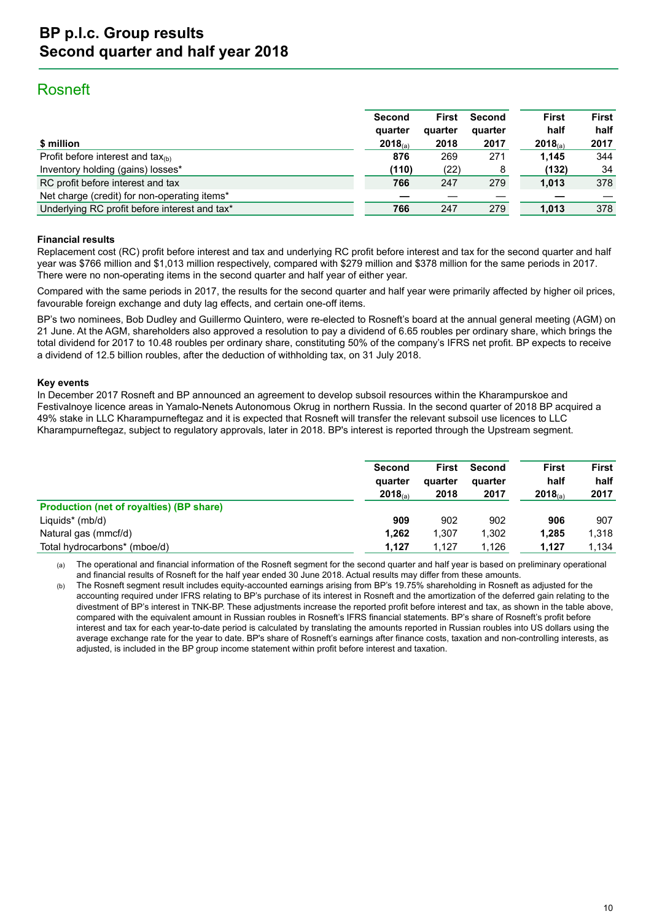### Rosneft

| \$ million                                    | <b>Second</b><br>auarter<br>$2018$ (a) | First<br>quarter<br>2018 | Second<br>quarter<br>2017 | First<br>half<br>$2018$ (a) | <b>First</b><br>half<br>2017 |
|-----------------------------------------------|----------------------------------------|--------------------------|---------------------------|-----------------------------|------------------------------|
| Profit before interest and $\text{tax}_{(b)}$ | 876                                    | 269                      | 271                       | 1.145                       | 344                          |
| Inventory holding (gains) losses*             | (110)                                  | (22)                     | 8                         | (132)                       | 34                           |
| RC profit before interest and tax             | 766                                    | 247                      | 279                       | 1.013                       | 378                          |
| Net charge (credit) for non-operating items*  |                                        |                          |                           |                             |                              |
| Underlying RC profit before interest and tax* | 766                                    | 247                      | 279                       | 1.013                       | 378                          |

#### **Financial results**

Replacement cost (RC) profit before interest and tax and underlying RC profit before interest and tax for the second quarter and half year was \$766 million and \$1,013 million respectively, compared with \$279 million and \$378 million for the same periods in 2017. There were no non-operating items in the second quarter and half year of either year.

Compared with the same periods in 2017, the results for the second quarter and half year were primarily affected by higher oil prices, favourable foreign exchange and duty lag effects, and certain one-off items.

BP's two nominees, Bob Dudley and Guillermo Quintero, were re-elected to Rosneft's board at the annual general meeting (AGM) on 21 June. At the AGM, shareholders also approved a resolution to pay a dividend of 6.65 roubles per ordinary share, which brings the total dividend for 2017 to 10.48 roubles per ordinary share, constituting 50% of the company's IFRS net profit. BP expects to receive a dividend of 12.5 billion roubles, after the deduction of withholding tax, on 31 July 2018.

#### **Key events**

In December 2017 Rosneft and BP announced an agreement to develop subsoil resources within the Kharampurskoe and Festivalnoye licence areas in Yamalo-Nenets Autonomous Okrug in northern Russia. In the second quarter of 2018 BP acquired a 49% stake in LLC Kharampurneftegaz and it is expected that Rosneft will transfer the relevant subsoil use licences to LLC Kharampurneftegaz, subject to regulatory approvals, later in 2018. BP's interest is reported through the Upstream segment.

|                                                 | Second<br>quarter<br>$2018_{(a)}$ | First<br>quarter<br>2018 | Second<br>auarter<br>2017 | First<br>half<br>$2018_{(a)}$ | <b>First</b><br>half<br>2017 |
|-------------------------------------------------|-----------------------------------|--------------------------|---------------------------|-------------------------------|------------------------------|
| <b>Production (net of royalties) (BP share)</b> |                                   |                          |                           |                               |                              |
| Liquids* (mb/d)                                 | 909                               | 902                      | 902                       | 906                           | 907                          |
| Natural gas (mmcf/d)                            | 1.262                             | 1.307                    | 1.302                     | 1.285                         | 1,318                        |
| Total hydrocarbons* (mboe/d)                    | 1.127                             | 1.127                    | 1.126                     | 1.127                         | 1.134                        |

(a) The operational and financial information of the Rosneft segment for the second quarter and half year is based on preliminary operational and financial results of Rosneft for the half year ended 30 June 2018. Actual results may differ from these amounts.

The Rosneft segment result includes equity-accounted earnings arising from BP's 19.75% shareholding in Rosneft as adjusted for the accounting required under IFRS relating to BP's purchase of its interest in Rosneft and the amortization of the deferred gain relating to the divestment of BP's interest in TNK-BP. These adjustments increase the reported profit before interest and tax, as shown in the table above, compared with the equivalent amount in Russian roubles in Rosneft's IFRS financial statements. BP's share of Rosneft's profit before interest and tax for each year-to-date period is calculated by translating the amounts reported in Russian roubles into US dollars using the average exchange rate for the year to date. BP's share of Rosneft's earnings after finance costs, taxation and non-controlling interests, as adjusted, is included in the BP group income statement within profit before interest and taxation.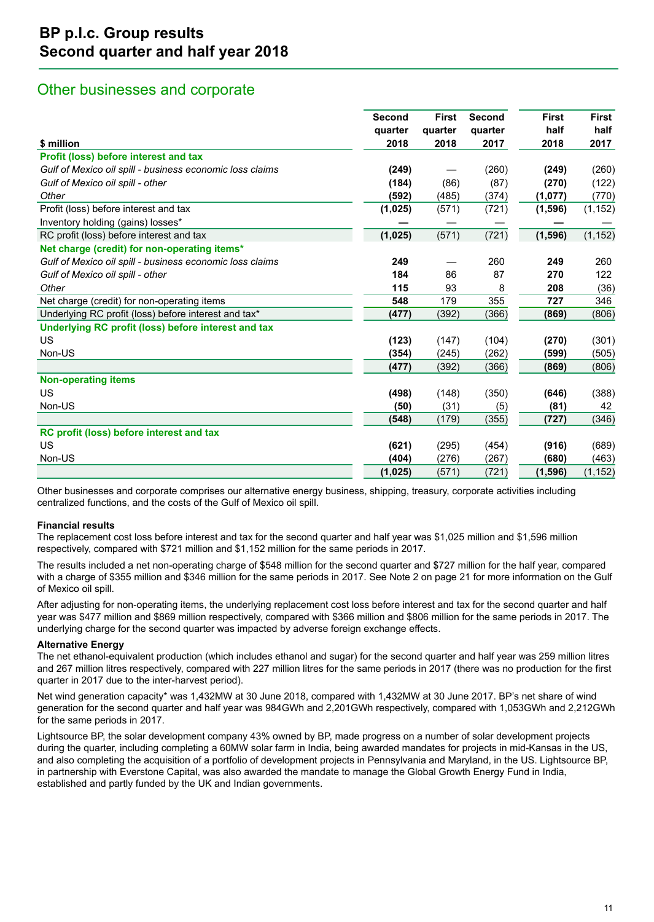### Other businesses and corporate

|                                                          | <b>Second</b><br>quarter | <b>First</b><br>quarter | <b>Second</b><br>quarter | <b>First</b><br>half | <b>First</b><br>half |
|----------------------------------------------------------|--------------------------|-------------------------|--------------------------|----------------------|----------------------|
| \$ million                                               | 2018                     | 2018                    | 2017                     | 2018                 | 2017                 |
| Profit (loss) before interest and tax                    |                          |                         |                          |                      |                      |
| Gulf of Mexico oil spill - business economic loss claims | (249)                    |                         | (260)                    | (249)                | (260)                |
| Gulf of Mexico oil spill - other                         | (184)                    | (86)                    | (87)                     | (270)                | (122)                |
| Other                                                    | (592)                    | (485)                   | (374)                    | (1,077)              | (770)                |
| Profit (loss) before interest and tax                    | (1,025)                  | (571)                   | (721)                    | (1,596)              | (1, 152)             |
| Inventory holding (gains) losses*                        |                          |                         |                          |                      |                      |
| RC profit (loss) before interest and tax                 | (1,025)                  | (571)                   | (721)                    | (1, 596)             | (1, 152)             |
| Net charge (credit) for non-operating items*             |                          |                         |                          |                      |                      |
| Gulf of Mexico oil spill - business economic loss claims | 249                      |                         | 260                      | 249                  | 260                  |
| Gulf of Mexico oil spill - other                         | 184                      | 86                      | 87                       | 270                  | 122                  |
| Other                                                    | 115                      | 93                      | 8                        | 208                  | (36)                 |
| Net charge (credit) for non-operating items              | 548                      | 179                     | 355                      | 727                  | 346                  |
| Underlying RC profit (loss) before interest and tax*     | (477)                    | (392)                   | (366)                    | (869)                | (806)                |
| Underlying RC profit (loss) before interest and tax      |                          |                         |                          |                      |                      |
| <b>US</b>                                                | (123)                    | (147)                   | (104)                    | (270)                | (301)                |
| Non-US                                                   | (354)                    | (245)                   | (262)                    | (599)                | (505)                |
|                                                          | (477)                    | (392)                   | (366)                    | (869)                | (806)                |
| <b>Non-operating items</b>                               |                          |                         |                          |                      |                      |
| US                                                       | (498)                    | (148)                   | (350)                    | (646)                | (388)                |
| Non-US                                                   | (50)                     | (31)                    | (5)                      | (81)                 | 42                   |
|                                                          | (548)                    | (179)                   | (355)                    | (727)                | (346)                |
| RC profit (loss) before interest and tax                 |                          |                         |                          |                      |                      |
| <b>US</b>                                                | (621)                    | (295)                   | (454)                    | (916)                | (689)                |
| Non-US                                                   | (404)                    | (276)                   | (267)                    | (680)                | (463)                |
|                                                          | (1,025)                  | (571)                   | (721)                    | (1, 596)             | (1, 152)             |

Other businesses and corporate comprises our alternative energy business, shipping, treasury, corporate activities including centralized functions, and the costs of the Gulf of Mexico oil spill.

#### **Financial results**

The replacement cost loss before interest and tax for the second quarter and half year was \$1,025 million and \$1,596 million respectively, compared with \$721 million and \$1,152 million for the same periods in 2017.

The results included a net non-operating charge of \$548 million for the second quarter and \$727 million for the half year, compared with a charge of \$355 million and \$346 million for the same periods in 2017. See Note 2 on page 21 for more information on the Gulf of Mexico oil spill.

After adjusting for non-operating items, the underlying replacement cost loss before interest and tax for the second quarter and half year was \$477 million and \$869 million respectively, compared with \$366 million and \$806 million for the same periods in 2017. The underlying charge for the second quarter was impacted by adverse foreign exchange effects.

#### **Alternative Energy**

The net ethanol-equivalent production (which includes ethanol and sugar) for the second quarter and half year was 259 million litres and 267 million litres respectively, compared with 227 million litres for the same periods in 2017 (there was no production for the first quarter in 2017 due to the inter-harvest period).

Net wind generation capacity\* was 1,432MW at 30 June 2018, compared with 1,432MW at 30 June 2017. BP's net share of wind generation for the second quarter and half year was 984GWh and 2,201GWh respectively, compared with 1,053GWh and 2,212GWh for the same periods in 2017.

Lightsource BP, the solar development company 43% owned by BP, made progress on a number of solar development projects during the quarter, including completing a 60MW solar farm in India, being awarded mandates for projects in mid-Kansas in the US, and also completing the acquisition of a portfolio of development projects in Pennsylvania and Maryland, in the US. Lightsource BP, in partnership with Everstone Capital, was also awarded the mandate to manage the Global Growth Energy Fund in India, established and partly funded by the UK and Indian governments.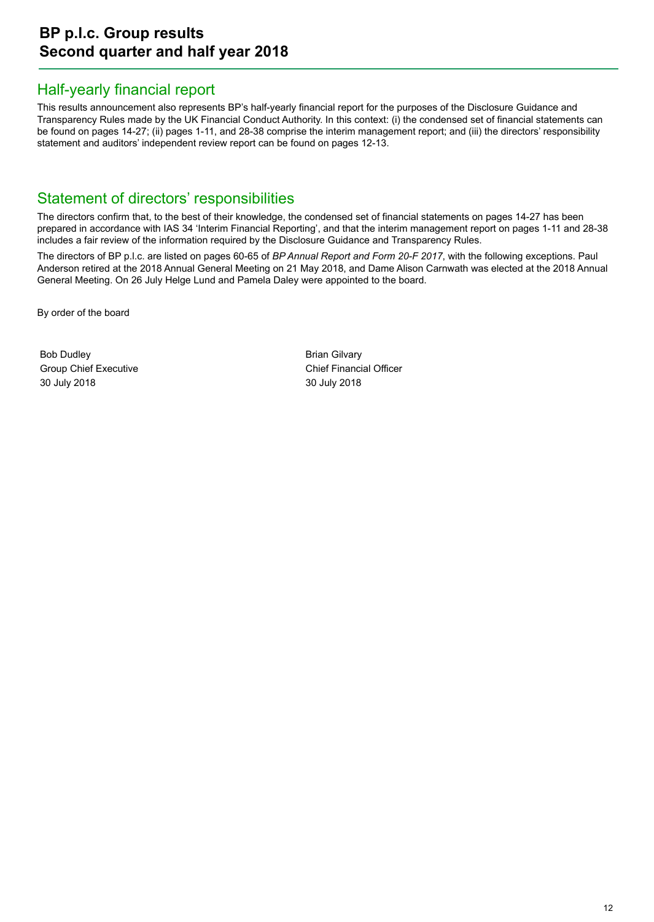### **BP p.l.c. Group results Second quarter and half year 2018**

### Half-yearly financial report

This results announcement also represents BP's half-yearly financial report for the purposes of the Disclosure Guidance and Transparency Rules made by the UK Financial Conduct Authority. In this context: (i) the condensed set of financial statements can be found on pages 14-27; (ii) pages 1-11, and 28-38 comprise the interim management report; and (iii) the directors' responsibility statement and auditors' independent review report can be found on pages 12-13.

### Statement of directors' responsibilities

The directors confirm that, to the best of their knowledge, the condensed set of financial statements on pages 14-27 has been prepared in accordance with IAS 34 'Interim Financial Reporting', and that the interim management report on pages 1-11 and 28-38 includes a fair review of the information required by the Disclosure Guidance and Transparency Rules.

The directors of BP p.l.c. are listed on pages 60-65 of *BP Annual Report and Form 20-F 2017*, with the following exceptions. Paul Anderson retired at the 2018 Annual General Meeting on 21 May 2018, and Dame Alison Carnwath was elected at the 2018 Annual General Meeting. On 26 July Helge Lund and Pamela Daley were appointed to the board.

By order of the board

Bob Dudley **Brian Gilvary** Brian Gilvary Group Chief Executive Chief Financial Officer 30 July 2018 30 July 2018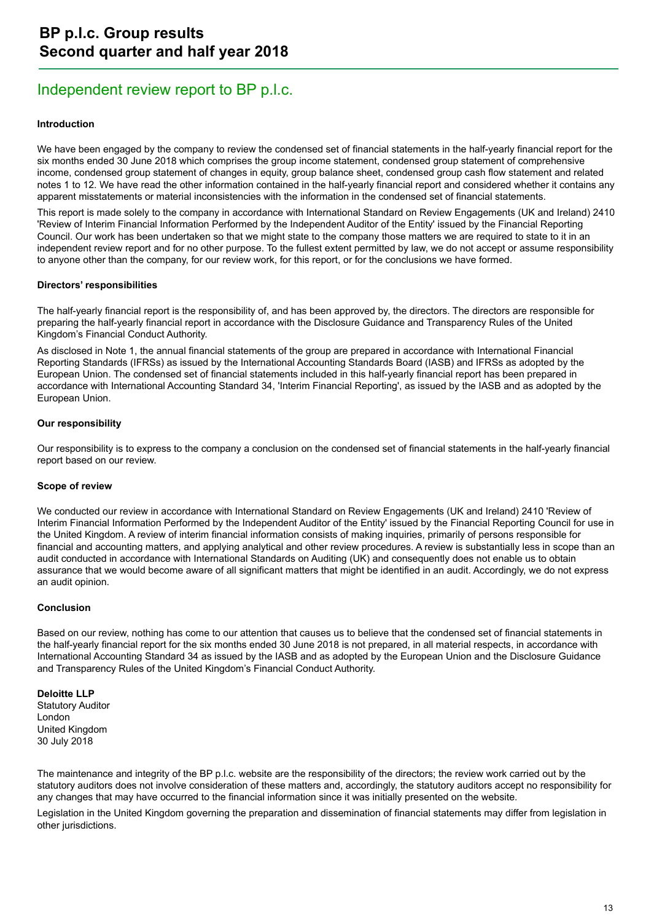### Independent review report to BP p.l.c.

#### **Introduction**

We have been engaged by the company to review the condensed set of financial statements in the half-yearly financial report for the six months ended 30 June 2018 which comprises the group income statement, condensed group statement of comprehensive income, condensed group statement of changes in equity, group balance sheet, condensed group cash flow statement and related notes 1 to 12. We have read the other information contained in the half-yearly financial report and considered whether it contains any apparent misstatements or material inconsistencies with the information in the condensed set of financial statements.

This report is made solely to the company in accordance with International Standard on Review Engagements (UK and Ireland) 2410 'Review of Interim Financial Information Performed by the Independent Auditor of the Entity' issued by the Financial Reporting Council. Our work has been undertaken so that we might state to the company those matters we are required to state to it in an independent review report and for no other purpose. To the fullest extent permitted by law, we do not accept or assume responsibility to anyone other than the company, for our review work, for this report, or for the conclusions we have formed.

#### **Directors' responsibilities**

The half-yearly financial report is the responsibility of, and has been approved by, the directors. The directors are responsible for preparing the half-yearly financial report in accordance with the Disclosure Guidance and Transparency Rules of the United Kingdom's Financial Conduct Authority.

As disclosed in Note 1, the annual financial statements of the group are prepared in accordance with International Financial Reporting Standards (IFRSs) as issued by the International Accounting Standards Board (IASB) and IFRSs as adopted by the European Union. The condensed set of financial statements included in this half-yearly financial report has been prepared in accordance with International Accounting Standard 34, 'Interim Financial Reporting', as issued by the IASB and as adopted by the European Union.

#### **Our responsibility**

Our responsibility is to express to the company a conclusion on the condensed set of financial statements in the half-yearly financial report based on our review.

#### **Scope of review**

We conducted our review in accordance with International Standard on Review Engagements (UK and Ireland) 2410 'Review of Interim Financial Information Performed by the Independent Auditor of the Entity' issued by the Financial Reporting Council for use in the United Kingdom. A review of interim financial information consists of making inquiries, primarily of persons responsible for financial and accounting matters, and applying analytical and other review procedures. A review is substantially less in scope than an audit conducted in accordance with International Standards on Auditing (UK) and consequently does not enable us to obtain assurance that we would become aware of all significant matters that might be identified in an audit. Accordingly, we do not express an audit opinion.

#### **Conclusion**

Based on our review, nothing has come to our attention that causes us to believe that the condensed set of financial statements in the half-yearly financial report for the six months ended 30 June 2018 is not prepared, in all material respects, in accordance with International Accounting Standard 34 as issued by the IASB and as adopted by the European Union and the Disclosure Guidance and Transparency Rules of the United Kingdom's Financial Conduct Authority.

#### **Deloitte LLP**

Statutory Auditor London United Kingdom 30 July 2018

The maintenance and integrity of the BP p.l.c. website are the responsibility of the directors; the review work carried out by the statutory auditors does not involve consideration of these matters and, accordingly, the statutory auditors accept no responsibility for any changes that may have occurred to the financial information since it was initially presented on the website.

Legislation in the United Kingdom governing the preparation and dissemination of financial statements may differ from legislation in other jurisdictions.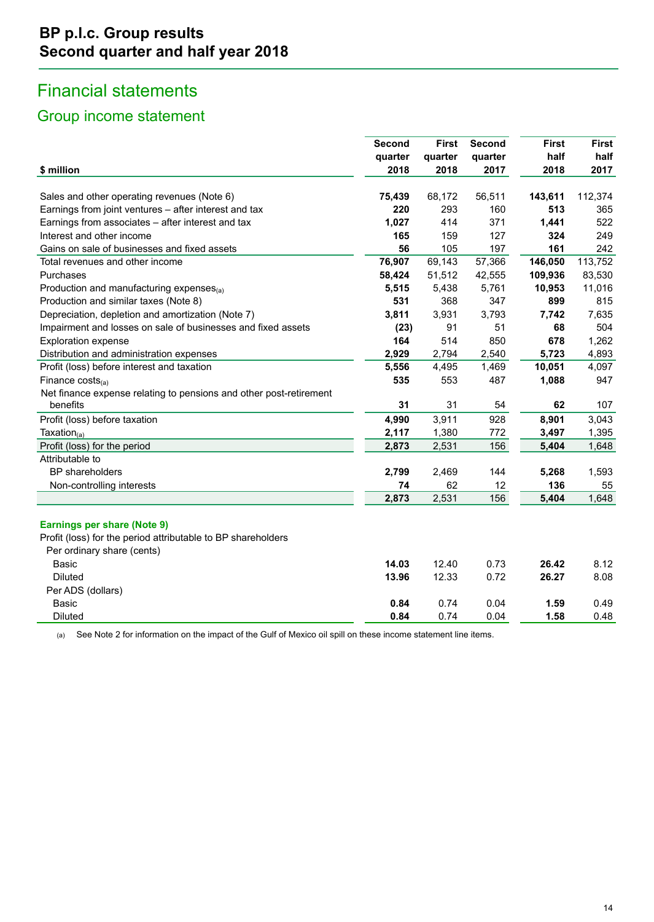# Financial statements

### Group income statement

|                                                                    | Second  | <b>First</b> | Second  | <b>First</b> | <b>First</b> |
|--------------------------------------------------------------------|---------|--------------|---------|--------------|--------------|
|                                                                    | quarter | quarter      | quarter | half         | half         |
| \$ million                                                         | 2018    | 2018         | 2017    | 2018         | 2017         |
|                                                                    |         |              |         |              |              |
| Sales and other operating revenues (Note 6)                        | 75,439  | 68,172       | 56,511  | 143,611      | 112,374      |
| Earnings from joint ventures - after interest and tax              | 220     | 293          | 160     | 513          | 365          |
| Earnings from associates - after interest and tax                  | 1,027   | 414          | 371     | 1,441        | 522          |
| Interest and other income                                          | 165     | 159          | 127     | 324          | 249          |
| Gains on sale of businesses and fixed assets                       | 56      | 105          | 197     | 161          | 242          |
| Total revenues and other income                                    | 76,907  | 69,143       | 57,366  | 146,050      | 113,752      |
| Purchases                                                          | 58,424  | 51,512       | 42,555  | 109,936      | 83,530       |
| Production and manufacturing expenses(a)                           | 5,515   | 5,438        | 5,761   | 10,953       | 11,016       |
| Production and similar taxes (Note 8)                              | 531     | 368          | 347     | 899          | 815          |
| Depreciation, depletion and amortization (Note 7)                  | 3,811   | 3,931        | 3,793   | 7,742        | 7,635        |
| Impairment and losses on sale of businesses and fixed assets       | (23)    | 91           | 51      | 68           | 504          |
| <b>Exploration expense</b>                                         | 164     | 514          | 850     | 678          | 1,262        |
| Distribution and administration expenses                           | 2,929   | 2,794        | 2,540   | 5,723        | 4,893        |
| Profit (loss) before interest and taxation                         | 5,556   | 4,495        | 1,469   | 10,051       | 4,097        |
| Finance $costs(a)$                                                 | 535     | 553          | 487     | 1,088        | 947          |
| Net finance expense relating to pensions and other post-retirement |         |              |         |              |              |
| benefits                                                           | 31      | 31           | 54      | 62           | 107          |
| Profit (loss) before taxation                                      | 4,990   | 3,911        | 928     | 8,901        | 3,043        |
| Taxation $_{(a)}$                                                  | 2,117   | 1,380        | 772     | 3,497        | 1,395        |
| Profit (loss) for the period                                       | 2,873   | 2,531        | 156     | 5,404        | 1,648        |
| Attributable to                                                    |         |              |         |              |              |
| <b>BP</b> shareholders                                             | 2,799   | 2,469        | 144     | 5,268        | 1,593        |
| Non-controlling interests                                          | 74      | 62           | 12      | 136          | 55           |
|                                                                    | 2,873   | 2,531        | 156     | 5,404        | 1,648        |
|                                                                    |         |              |         |              |              |
| <b>Earnings per share (Note 9)</b>                                 |         |              |         |              |              |
| Profit (loss) for the period attributable to BP shareholders       |         |              |         |              |              |
| Per ordinary share (cents)                                         |         |              |         |              |              |
| <b>Basic</b>                                                       | 14.03   | 12.40        | 0.73    | 26.42        | 8.12         |
| <b>Diluted</b>                                                     | 13.96   | 12.33        | 0.72    | 26.27        | 8.08         |
| Per ADS (dollars)                                                  |         |              |         |              |              |
| <b>Basic</b>                                                       | 0.84    | 0.74         | 0.04    | 1.59         | 0.49         |
| <b>Diluted</b>                                                     | 0.84    | 0.74         | 0.04    | 1.58         | 0.48         |

(a) See Note 2 for information on the impact of the Gulf of Mexico oil spill on these income statement line items.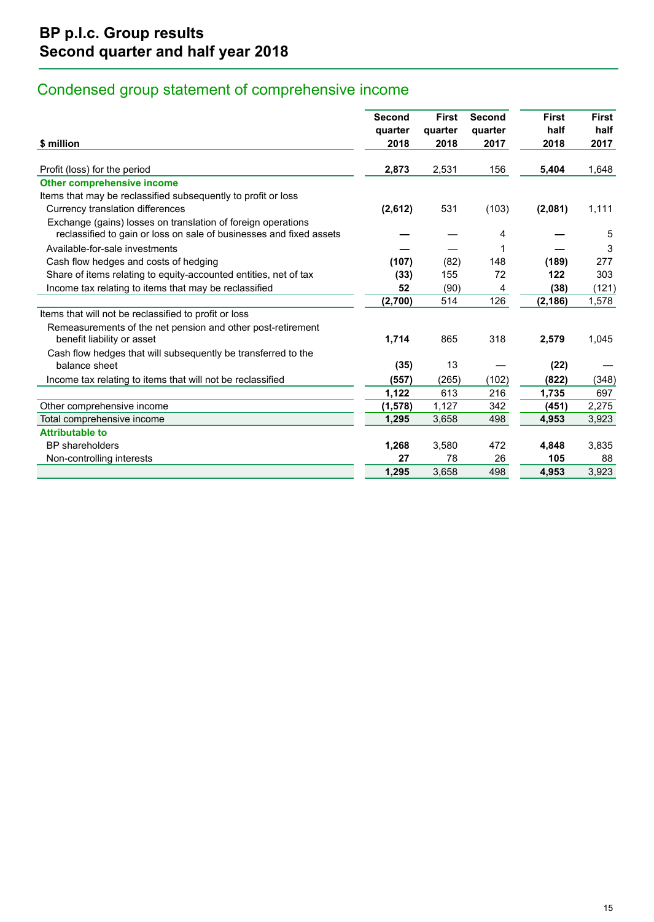# Condensed group statement of comprehensive income

| \$ million                                                                                                                          | Second<br>quarter<br>2018 | <b>First</b><br>quarter<br>2018 | Second<br>quarter<br>2017 | <b>First</b><br>half<br>2018 | <b>First</b><br>half<br>2017 |
|-------------------------------------------------------------------------------------------------------------------------------------|---------------------------|---------------------------------|---------------------------|------------------------------|------------------------------|
| Profit (loss) for the period                                                                                                        | 2,873                     | 2,531                           | 156                       | 5,404                        | 1,648                        |
| <b>Other comprehensive income</b>                                                                                                   |                           |                                 |                           |                              |                              |
| Items that may be reclassified subsequently to profit or loss                                                                       |                           |                                 |                           |                              |                              |
| Currency translation differences                                                                                                    | (2,612)                   | 531                             | (103)                     | (2,081)                      | 1,111                        |
| Exchange (gains) losses on translation of foreign operations<br>reclassified to gain or loss on sale of businesses and fixed assets |                           |                                 | 4                         |                              | 5                            |
| Available-for-sale investments                                                                                                      |                           |                                 |                           |                              | 3                            |
| Cash flow hedges and costs of hedging                                                                                               | (107)                     | (82)                            | 148                       | (189)                        | 277                          |
| Share of items relating to equity-accounted entities, net of tax                                                                    | (33)                      | 155                             | 72                        | 122                          | 303                          |
| Income tax relating to items that may be reclassified                                                                               | 52                        | (90)                            | 4                         | (38)                         | (121)                        |
|                                                                                                                                     | (2,700)                   | 514                             | 126                       | (2, 186)                     | 1,578                        |
| Items that will not be reclassified to profit or loss                                                                               |                           |                                 |                           |                              |                              |
| Remeasurements of the net pension and other post-retirement<br>benefit liability or asset                                           | 1,714                     | 865                             | 318                       | 2,579                        | 1,045                        |
| Cash flow hedges that will subsequently be transferred to the                                                                       |                           |                                 |                           |                              |                              |
| balance sheet                                                                                                                       | (35)                      | 13                              |                           | (22)                         |                              |
| Income tax relating to items that will not be reclassified                                                                          | (557)                     | (265)                           | (102)                     | (822)                        | (348)                        |
|                                                                                                                                     | 1,122                     | 613                             | 216                       | 1,735                        | 697                          |
| Other comprehensive income                                                                                                          | (1,578)                   | 1,127                           | 342                       | (451)                        | 2,275                        |
| Total comprehensive income                                                                                                          | 1,295                     | 3,658                           | 498                       | 4,953                        | 3,923                        |
| <b>Attributable to</b>                                                                                                              |                           |                                 |                           |                              |                              |
| <b>BP</b> shareholders                                                                                                              | 1,268                     | 3,580                           | 472                       | 4,848                        | 3,835                        |
| Non-controlling interests                                                                                                           | 27                        | 78                              | 26                        | 105                          | 88                           |
|                                                                                                                                     | 1,295                     | 3.658                           | 498                       | 4.953                        | 3,923                        |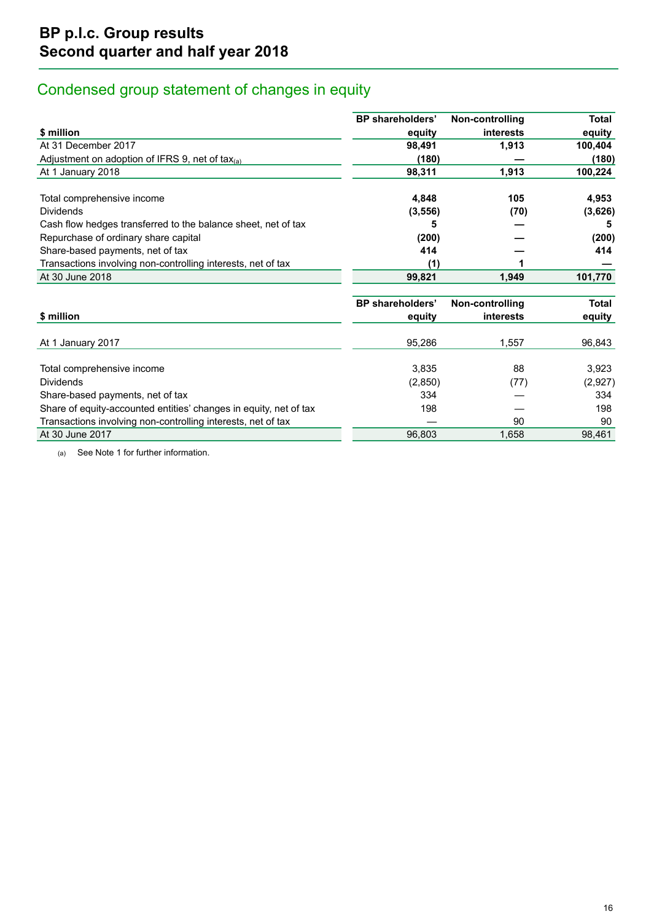# Condensed group statement of changes in equity

|                                                               | <b>BP</b> shareholders' | Non-controlling | <b>Total</b>     |
|---------------------------------------------------------------|-------------------------|-----------------|------------------|
| \$ million                                                    | equity                  | interests       | equity           |
| At 31 December 2017                                           | 98.491                  | 1,913           | 100,404          |
| Adjustment on adoption of IFRS 9, net of tax $_{(a)}$         | (180)                   |                 | (180)            |
| At 1 January 2018                                             | 98,311                  | 1,913           | 100,224          |
| Total comprehensive income<br><b>Dividends</b>                | 4,848<br>(3, 556)       | 105<br>(70)     | 4,953<br>(3,626) |
| Cash flow hedges transferred to the balance sheet, net of tax | 5                       |                 | 5                |
| Repurchase of ordinary share capital                          | (200)                   |                 | (200)            |
| Share-based payments, net of tax                              | 414                     |                 | 414              |
| Transactions involving non-controlling interests, net of tax  | (1)                     |                 |                  |
| At 30 June 2018                                               | 99.821                  | 1.949           | 101,770          |

| \$ million                                                        | <b>BP</b> shareholders'<br>equity | Non-controlling<br>interests | <b>Total</b><br>equity |
|-------------------------------------------------------------------|-----------------------------------|------------------------------|------------------------|
| At 1 January 2017                                                 | 95,286                            | 1,557                        | 96,843                 |
| Total comprehensive income                                        | 3,835                             | 88                           | 3,923                  |
| <b>Dividends</b>                                                  | (2,850)                           | (77)                         | (2,927)                |
| Share-based payments, net of tax                                  | 334                               |                              | 334                    |
| Share of equity-accounted entities' changes in equity, net of tax | 198                               |                              | 198                    |
| Transactions involving non-controlling interests, net of tax      |                                   | 90                           | 90                     |
| At 30 June 2017                                                   | 96,803                            | 1,658                        | 98,461                 |

(a) See Note 1 for further information.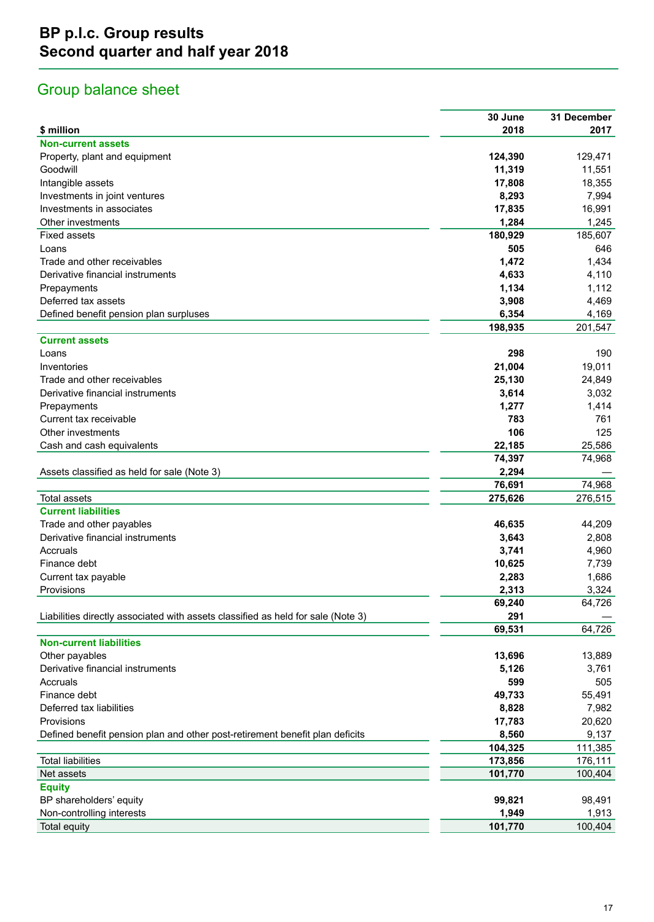### **BP p.l.c. Group results Second quarter and half year 2018**

# Group balance sheet

|                                                                                  | 30 June | 31 December |
|----------------------------------------------------------------------------------|---------|-------------|
| \$ million                                                                       | 2018    | 2017        |
| <b>Non-current assets</b>                                                        |         |             |
| Property, plant and equipment                                                    | 124,390 | 129,471     |
| Goodwill                                                                         | 11,319  | 11,551      |
| Intangible assets                                                                | 17,808  | 18,355      |
| Investments in joint ventures                                                    | 8,293   | 7,994       |
| Investments in associates                                                        | 17,835  | 16,991      |
| Other investments                                                                | 1,284   | 1,245       |
| <b>Fixed assets</b>                                                              | 180,929 | 185,607     |
| Loans                                                                            | 505     | 646         |
| Trade and other receivables                                                      | 1,472   | 1,434       |
| Derivative financial instruments                                                 | 4,633   | 4,110       |
| Prepayments                                                                      | 1,134   | 1,112       |
| Deferred tax assets                                                              | 3,908   |             |
|                                                                                  |         | 4,469       |
| Defined benefit pension plan surpluses                                           | 6,354   | 4,169       |
|                                                                                  | 198,935 | 201,547     |
| <b>Current assets</b>                                                            |         |             |
| Loans                                                                            | 298     | 190         |
| Inventories                                                                      | 21,004  | 19,011      |
| Trade and other receivables                                                      | 25,130  | 24,849      |
| Derivative financial instruments                                                 | 3,614   | 3,032       |
| Prepayments                                                                      | 1,277   | 1,414       |
| Current tax receivable                                                           | 783     | 761         |
| Other investments                                                                | 106     | 125         |
| Cash and cash equivalents                                                        | 22,185  | 25,586      |
|                                                                                  | 74,397  | 74,968      |
| Assets classified as held for sale (Note 3)                                      | 2,294   |             |
|                                                                                  | 76,691  | 74,968      |
| <b>Total assets</b>                                                              | 275,626 | 276,515     |
| <b>Current liabilities</b>                                                       |         |             |
| Trade and other payables                                                         | 46,635  | 44,209      |
| Derivative financial instruments                                                 | 3,643   | 2,808       |
| Accruals                                                                         | 3,741   | 4,960       |
| Finance debt                                                                     | 10,625  | 7,739       |
| Current tax payable                                                              | 2,283   | 1,686       |
| Provisions                                                                       | 2,313   | 3,324       |
|                                                                                  | 69,240  | 64,726      |
| Liabilities directly associated with assets classified as held for sale (Note 3) | 291     |             |
|                                                                                  | 69,531  | 64,726      |
| <b>Non-current liabilities</b>                                                   |         |             |
| Other payables                                                                   | 13,696  | 13,889      |
| Derivative financial instruments                                                 | 5,126   | 3,761       |
| Accruals                                                                         | 599     | 505         |
| Finance debt                                                                     | 49,733  | 55,491      |
| Deferred tax liabilities                                                         | 8,828   | 7,982       |
| Provisions                                                                       | 17,783  | 20,620      |
| Defined benefit pension plan and other post-retirement benefit plan deficits     | 8,560   | 9,137       |
|                                                                                  | 104,325 | 111,385     |
| <b>Total liabilities</b>                                                         | 173,856 | 176,111     |
| Net assets                                                                       | 101,770 | 100,404     |
| <b>Equity</b>                                                                    |         |             |
| BP shareholders' equity                                                          | 99,821  | 98,491      |
|                                                                                  |         |             |
| Non-controlling interests                                                        | 1,949   | 1,913       |
| <b>Total equity</b>                                                              | 101,770 | 100,404     |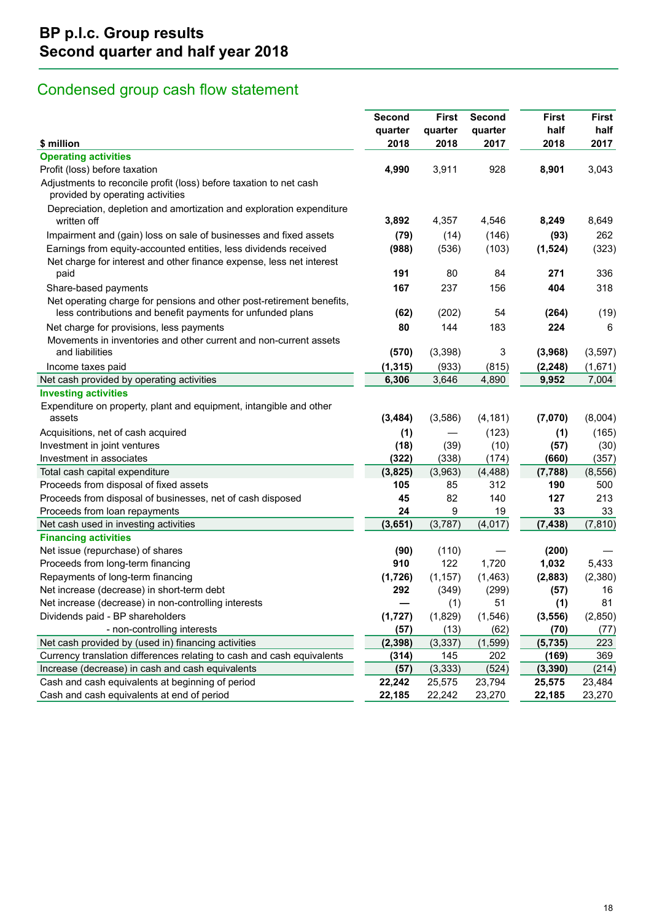# Condensed group cash flow statement

|                                                                                     | <b>Second</b><br>quarter | <b>First</b><br>quarter | <b>Second</b><br>quarter | <b>First</b><br>half | <b>First</b><br>half |
|-------------------------------------------------------------------------------------|--------------------------|-------------------------|--------------------------|----------------------|----------------------|
| \$ million<br><b>Operating activities</b>                                           | 2018                     | 2018                    | 2017                     | 2018                 | 2017                 |
| Profit (loss) before taxation                                                       |                          |                         | 928                      |                      |                      |
| Adjustments to reconcile profit (loss) before taxation to net cash                  | 4,990                    | 3,911                   |                          | 8,901                | 3,043                |
| provided by operating activities                                                    |                          |                         |                          |                      |                      |
|                                                                                     |                          |                         |                          |                      |                      |
| Depreciation, depletion and amortization and exploration expenditure<br>written off | 3,892                    | 4,357                   | 4,546                    | 8,249                | 8,649                |
| Impairment and (gain) loss on sale of businesses and fixed assets                   | (79)                     | (14)                    | (146)                    | (93)                 | 262                  |
| Earnings from equity-accounted entities, less dividends received                    | (988)                    | (536)                   | (103)                    | (1,524)              | (323)                |
| Net charge for interest and other finance expense, less net interest                |                          |                         |                          |                      |                      |
| paid                                                                                | 191                      | 80                      | 84                       | 271                  | 336                  |
| Share-based payments                                                                | 167                      | 237                     | 156                      | 404                  | 318                  |
| Net operating charge for pensions and other post-retirement benefits,               |                          |                         |                          |                      |                      |
| less contributions and benefit payments for unfunded plans                          | (62)                     | (202)                   | 54                       | (264)                | (19)                 |
| Net charge for provisions, less payments                                            | 80                       | 144                     | 183                      | 224                  | 6                    |
| Movements in inventories and other current and non-current assets                   |                          |                         |                          |                      |                      |
| and liabilities                                                                     | (570)                    | (3,398)                 | 3                        | (3,968)              | (3, 597)             |
| Income taxes paid                                                                   | (1, 315)                 | (933)                   | (815)                    | (2, 248)             | (1,671)              |
| Net cash provided by operating activities                                           | 6,306                    | 3,646                   | 4,890                    | 9,952                | 7,004                |
| <b>Investing activities</b>                                                         |                          |                         |                          |                      |                      |
| Expenditure on property, plant and equipment, intangible and other                  |                          |                         |                          |                      |                      |
| assets                                                                              | (3, 484)                 | (3,586)                 | (4, 181)                 | (7,070)              | (8,004)              |
| Acquisitions, net of cash acquired                                                  | (1)                      |                         | (123)                    | (1)                  | (165)                |
| Investment in joint ventures                                                        | (18)                     | (39)                    | (10)                     | (57)                 | (30)                 |
| Investment in associates                                                            | (322)                    | (338)                   | (174)                    | (660)                | (357)                |
| Total cash capital expenditure                                                      | (3,825)                  | (3,963)                 | (4, 488)                 | (7,788)              | (8, 556)             |
| Proceeds from disposal of fixed assets                                              | 105                      | 85                      | 312                      | 190                  | 500                  |
| Proceeds from disposal of businesses, net of cash disposed                          | 45                       | 82                      | 140                      | 127                  | 213                  |
| Proceeds from loan repayments                                                       | 24                       | 9                       | 19                       | 33                   | 33                   |
| Net cash used in investing activities                                               | (3,651)                  | (3,787)                 | (4, 017)                 | (7, 438)             | (7, 810)             |
| <b>Financing activities</b>                                                         |                          |                         |                          |                      |                      |
| Net issue (repurchase) of shares                                                    | (90)                     | (110)                   |                          | (200)                |                      |
| Proceeds from long-term financing                                                   | 910                      | 122                     | 1,720                    | 1,032                | 5,433                |
| Repayments of long-term financing                                                   | (1, 726)                 | (1, 157)                | (1,463)                  | (2,883)              | (2,380)              |
| Net increase (decrease) in short-term debt                                          | 292                      | (349)                   | (299)                    | (57)                 | 16                   |
| Net increase (decrease) in non-controlling interests                                |                          | (1)                     | 51                       | (1)                  | 81                   |
| Dividends paid - BP shareholders                                                    | (1, 727)                 | (1,829)                 | (1,546)                  | (3, 556)             | (2,850)              |
| - non-controlling interests                                                         | (57)                     | (13)                    | (62)                     | (70)                 | (77)                 |
| Net cash provided by (used in) financing activities                                 | (2, 398)                 | (3, 337)                | (1, 599)                 | (5, 735)             | 223                  |
| Currency translation differences relating to cash and cash equivalents              | (314)                    | 145                     | 202                      | (169)                | 369                  |
| Increase (decrease) in cash and cash equivalents                                    | (57)                     | (3, 333)                | (524)                    | (3, 390)             | (214)                |
| Cash and cash equivalents at beginning of period                                    | 22,242                   | 25,575                  | 23,794                   | 25,575               | 23,484               |
| Cash and cash equivalents at end of period                                          | 22,185                   | 22,242                  | 23,270                   | 22,185               | 23,270               |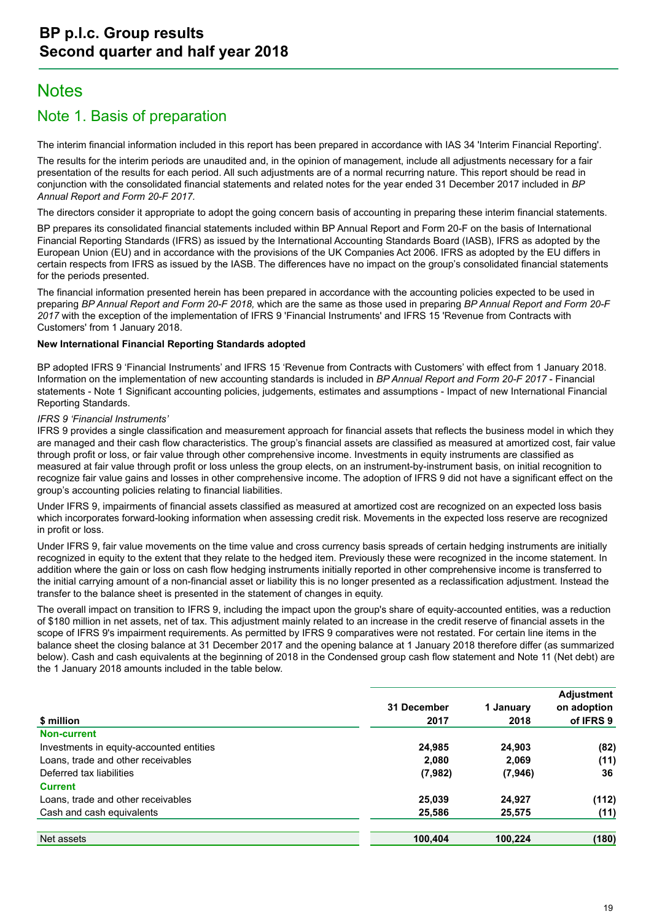# **Notes**

### Note 1. Basis of preparation

The interim financial information included in this report has been prepared in accordance with IAS 34 'Interim Financial Reporting'.

The results for the interim periods are unaudited and, in the opinion of management, include all adjustments necessary for a fair presentation of the results for each period. All such adjustments are of a normal recurring nature. This report should be read in conjunction with the consolidated financial statements and related notes for the year ended 31 December 2017 included in *BP Annual Report and Form 20-F 2017.*

The directors consider it appropriate to adopt the going concern basis of accounting in preparing these interim financial statements.

BP prepares its consolidated financial statements included within BP Annual Report and Form 20-F on the basis of International Financial Reporting Standards (IFRS) as issued by the International Accounting Standards Board (IASB), IFRS as adopted by the European Union (EU) and in accordance with the provisions of the UK Companies Act 2006. IFRS as adopted by the EU differs in certain respects from IFRS as issued by the IASB. The differences have no impact on the group's consolidated financial statements for the periods presented.

The financial information presented herein has been prepared in accordance with the accounting policies expected to be used in preparing *BP Annual Report and Form 20-F 2018,* which are the same as those used in preparing *BP Annual Report and Form 20-F 2017* with the exception of the implementation of IFRS 9 'Financial Instruments' and IFRS 15 'Revenue from Contracts with Customers' from 1 January 2018.

#### **New International Financial Reporting Standards adopted**

BP adopted IFRS 9 'Financial Instruments' and IFRS 15 'Revenue from Contracts with Customers' with effect from 1 January 2018. Information on the implementation of new accounting standards is included in *BP Annual Report and Form 20-F 2017* - Financial statements - Note 1 Significant accounting policies, judgements, estimates and assumptions - Impact of new International Financial Reporting Standards.

#### *IFRS 9 'Financial Instruments'*

IFRS 9 provides a single classification and measurement approach for financial assets that reflects the business model in which they are managed and their cash flow characteristics. The group's financial assets are classified as measured at amortized cost, fair value through profit or loss, or fair value through other comprehensive income. Investments in equity instruments are classified as measured at fair value through profit or loss unless the group elects, on an instrument-by-instrument basis, on initial recognition to recognize fair value gains and losses in other comprehensive income. The adoption of IFRS 9 did not have a significant effect on the group's accounting policies relating to financial liabilities.

Under IFRS 9, impairments of financial assets classified as measured at amortized cost are recognized on an expected loss basis which incorporates forward-looking information when assessing credit risk. Movements in the expected loss reserve are recognized in profit or loss.

Under IFRS 9, fair value movements on the time value and cross currency basis spreads of certain hedging instruments are initially recognized in equity to the extent that they relate to the hedged item. Previously these were recognized in the income statement. In addition where the gain or loss on cash flow hedging instruments initially reported in other comprehensive income is transferred to the initial carrying amount of a non-financial asset or liability this is no longer presented as a reclassification adjustment. Instead the transfer to the balance sheet is presented in the statement of changes in equity.

The overall impact on transition to IFRS 9, including the impact upon the group's share of equity-accounted entities, was a reduction of \$180 million in net assets, net of tax. This adjustment mainly related to an increase in the credit reserve of financial assets in the scope of IFRS 9's impairment requirements. As permitted by IFRS 9 comparatives were not restated. For certain line items in the balance sheet the closing balance at 31 December 2017 and the opening balance at 1 January 2018 therefore differ (as summarized below). Cash and cash equivalents at the beginning of 2018 in the Condensed group cash flow statement and Note 11 (Net debt) are the 1 January 2018 amounts included in the table below.

|                                          |             |           | <b>Adjustment</b> |
|------------------------------------------|-------------|-----------|-------------------|
|                                          | 31 December | 1 January | on adoption       |
| \$ million                               | 2017        | 2018      | of IFRS 9         |
| <b>Non-current</b>                       |             |           |                   |
| Investments in equity-accounted entities | 24,985      | 24,903    | (82)              |
| Loans, trade and other receivables       | 2,080       | 2,069     | (11)              |
| Deferred tax liabilities                 | (7,982)     | (7,946)   | 36                |
| <b>Current</b>                           |             |           |                   |
| Loans, trade and other receivables       | 25,039      | 24,927    | (112)             |
| Cash and cash equivalents                | 25,586      | 25,575    | (11)              |
|                                          |             |           |                   |
| Net assets                               | 100.404     | 100.224   | (180)             |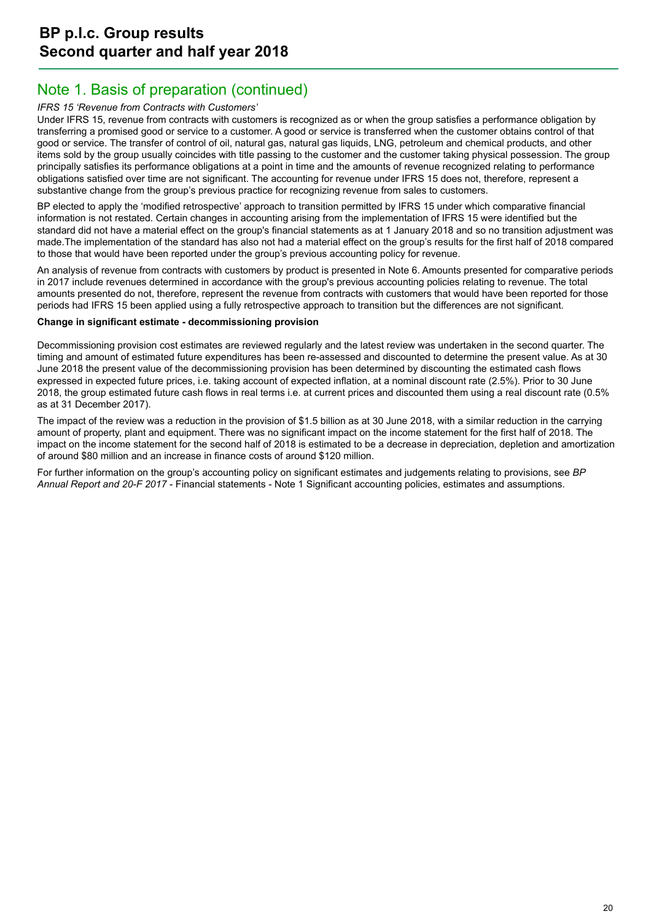### Note 1. Basis of preparation (continued)

#### *IFRS 15 'Revenue from Contracts with Customers'*

Under IFRS 15, revenue from contracts with customers is recognized as or when the group satisfies a performance obligation by transferring a promised good or service to a customer. A good or service is transferred when the customer obtains control of that good or service. The transfer of control of oil, natural gas, natural gas liquids, LNG, petroleum and chemical products, and other items sold by the group usually coincides with title passing to the customer and the customer taking physical possession. The group principally satisfies its performance obligations at a point in time and the amounts of revenue recognized relating to performance obligations satisfied over time are not significant. The accounting for revenue under IFRS 15 does not, therefore, represent a substantive change from the group's previous practice for recognizing revenue from sales to customers.

BP elected to apply the 'modified retrospective' approach to transition permitted by IFRS 15 under which comparative financial information is not restated. Certain changes in accounting arising from the implementation of IFRS 15 were identified but the standard did not have a material effect on the group's financial statements as at 1 January 2018 and so no transition adjustment was made.The implementation of the standard has also not had a material effect on the group's results for the first half of 2018 compared to those that would have been reported under the group's previous accounting policy for revenue.

An analysis of revenue from contracts with customers by product is presented in Note 6. Amounts presented for comparative periods in 2017 include revenues determined in accordance with the group's previous accounting policies relating to revenue. The total amounts presented do not, therefore, represent the revenue from contracts with customers that would have been reported for those periods had IFRS 15 been applied using a fully retrospective approach to transition but the differences are not significant.

#### **Change in significant estimate - decommissioning provision**

Decommissioning provision cost estimates are reviewed regularly and the latest review was undertaken in the second quarter. The timing and amount of estimated future expenditures has been re-assessed and discounted to determine the present value. As at 30 June 2018 the present value of the decommissioning provision has been determined by discounting the estimated cash flows expressed in expected future prices, i.e. taking account of expected inflation, at a nominal discount rate (2.5%). Prior to 30 June 2018, the group estimated future cash flows in real terms i.e. at current prices and discounted them using a real discount rate (0.5% as at 31 December 2017).

The impact of the review was a reduction in the provision of \$1.5 billion as at 30 June 2018, with a similar reduction in the carrying amount of property, plant and equipment. There was no significant impact on the income statement for the first half of 2018. The impact on the income statement for the second half of 2018 is estimated to be a decrease in depreciation, depletion and amortization of around \$80 million and an increase in finance costs of around \$120 million.

For further information on the group's accounting policy on significant estimates and judgements relating to provisions, see *BP Annual Report and 20-F 2017* - Financial statements - Note 1 Significant accounting policies, estimates and assumptions.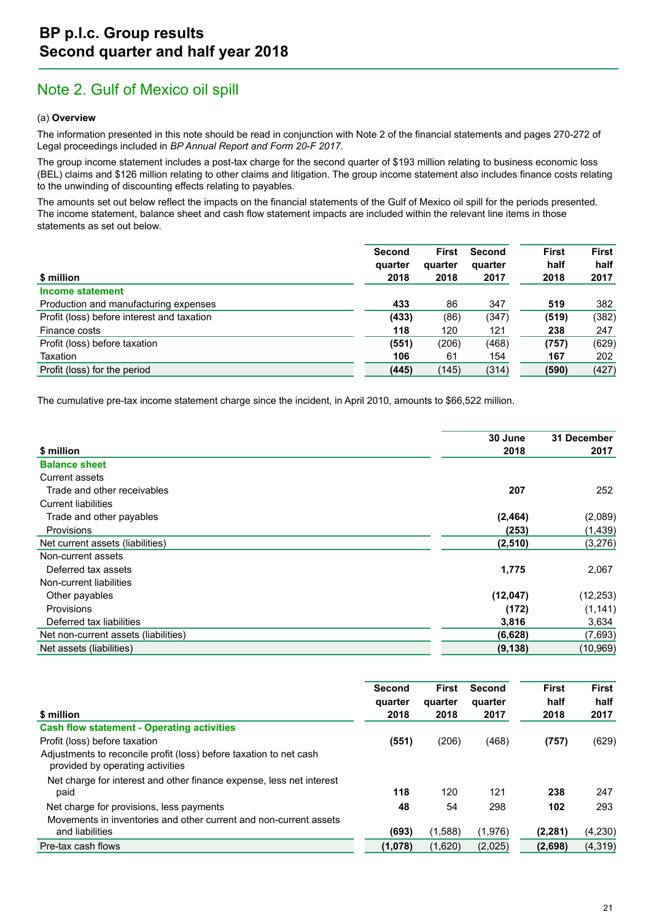### Note 2. Gulf of Mexico oil spill

#### (a) **Overview**

The information presented in this note should be read in conjunction with Note 2 of the financial statements and pages 270-272 of Legal proceedings included in *BP Annual Report and Form 20-F 2017*.

The group income statement includes a post-tax charge for the second quarter of \$193 million relating to business economic loss (BEL) claims and \$126 million relating to other claims and litigation. The group income statement also includes finance costs relating to the unwinding of discounting effects relating to payables.

The amounts set out below reflect the impacts on the financial statements of the Gulf of Mexico oil spill for the periods presented. The income statement, balance sheet and cash flow statement impacts are included within the relevant line items in those statements as set out below.

| \$ million                                 | <b>Second</b><br>quarter<br>2018 | <b>First</b><br>quarter<br>2018 | <b>Second</b><br>quarter<br>2017 | <b>First</b><br>half<br>2018 | <b>First</b><br>half<br>2017 |
|--------------------------------------------|----------------------------------|---------------------------------|----------------------------------|------------------------------|------------------------------|
| Income statement                           |                                  |                                 |                                  |                              |                              |
| Production and manufacturing expenses      | 433                              | 86                              | 347                              | 519                          | 382                          |
| Profit (loss) before interest and taxation | (433)                            | (86)                            | (347)                            | (519)                        | (382)                        |
| Finance costs                              | 118                              | 120                             | 121                              | 238                          | 247                          |
| Profit (loss) before taxation              | (551)                            | (206)                           | (468)                            | (757)                        | (629)                        |
| Taxation                                   | 106                              | 61                              | 154                              | 167                          | 202                          |
| Profit (loss) for the period               | (445)                            | (145)                           | (314)                            | (590)                        | (427)                        |

The cumulative pre-tax income statement charge since the incident, in April 2010, amounts to \$66,522 million.

|                                      | 30 June   | 31 December |
|--------------------------------------|-----------|-------------|
| \$ million                           | 2018      | 2017        |
| <b>Balance sheet</b>                 |           |             |
| <b>Current assets</b>                |           |             |
| Trade and other receivables          | 207       | 252         |
| <b>Current liabilities</b>           |           |             |
| Trade and other payables             | (2, 464)  | (2,089)     |
| Provisions                           | (253)     | (1, 439)    |
| Net current assets (liabilities)     | (2, 510)  | (3,276)     |
| Non-current assets                   |           |             |
| Deferred tax assets                  | 1,775     | 2,067       |
| Non-current liabilities              |           |             |
| Other payables                       | (12, 047) | (12, 253)   |
| Provisions                           | (172)     | (1, 141)    |
| Deferred tax liabilities             | 3,816     | 3,634       |
| Net non-current assets (liabilities) | (6,628)   | (7,693)     |
| Net assets (liabilities)             | (9, 138)  | (10, 969)   |
|                                      |           |             |

|                                                                                                        | Second<br>quarter<br>2018 | First<br>quarter<br>2018 | Second<br>quarter<br>2017 | <b>First</b><br>half<br>2018 | <b>First</b><br>half<br>2017 |
|--------------------------------------------------------------------------------------------------------|---------------------------|--------------------------|---------------------------|------------------------------|------------------------------|
| \$ million                                                                                             |                           |                          |                           |                              |                              |
| <b>Cash flow statement - Operating activities</b>                                                      |                           |                          |                           |                              |                              |
| Profit (loss) before taxation                                                                          | (551)                     | (206)                    | (468)                     | (757)                        | (629)                        |
| Adjustments to reconcile profit (loss) before taxation to net cash<br>provided by operating activities |                           |                          |                           |                              |                              |
| Net charge for interest and other finance expense, less net interest                                   |                           |                          |                           |                              |                              |
| paid                                                                                                   | 118                       | 120                      | 121                       | 238                          | 247                          |
| Net charge for provisions, less payments                                                               | 48                        | 54                       | 298                       | 102                          | 293                          |
| Movements in inventories and other current and non-current assets                                      |                           |                          |                           |                              |                              |
| and liabilities                                                                                        | (693)                     | (1,588)                  | (1,976)                   | (2, 281)                     | (4,230)                      |
| Pre-tax cash flows                                                                                     | (1,078)                   | (1,620)                  | (2,025)                   | (2,698)                      | (4, 319)                     |
|                                                                                                        |                           |                          |                           |                              |                              |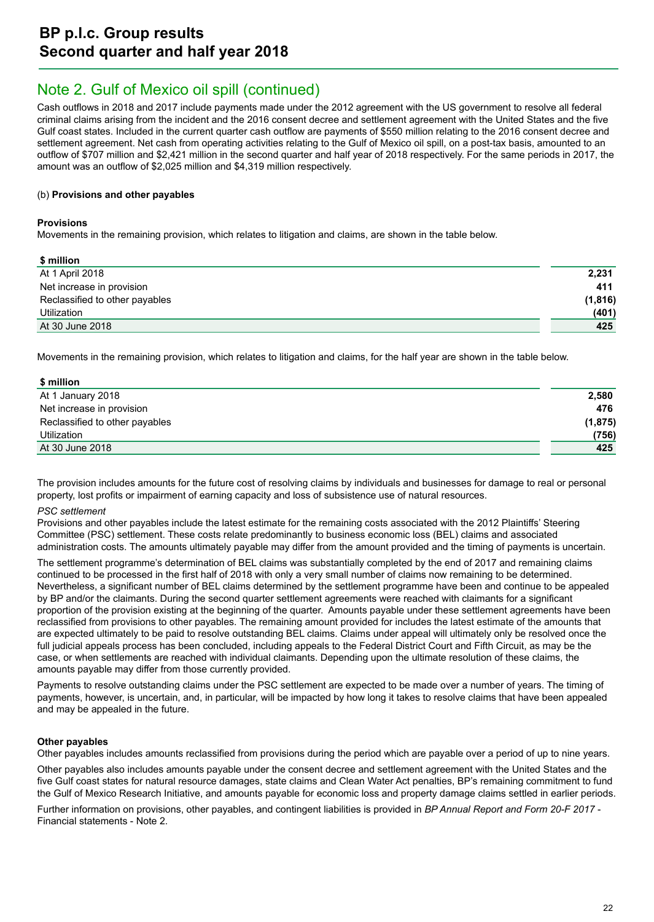### **BP p.l.c. Group results Second quarter and half year 2018**

### Note 2. Gulf of Mexico oil spill (continued)

Cash outflows in 2018 and 2017 include payments made under the 2012 agreement with the US government to resolve all federal criminal claims arising from the incident and the 2016 consent decree and settlement agreement with the United States and the five Gulf coast states. Included in the current quarter cash outflow are payments of \$550 million relating to the 2016 consent decree and settlement agreement. Net cash from operating activities relating to the Gulf of Mexico oil spill, on a post-tax basis, amounted to an outflow of \$707 million and \$2,421 million in the second quarter and half year of 2018 respectively. For the same periods in 2017, the amount was an outflow of \$2,025 million and \$4,319 million respectively.

#### (b) **Provisions and other payables**

#### **Provisions**

Movements in the remaining provision, which relates to litigation and claims, are shown in the table below.

| \$ million                     |          |
|--------------------------------|----------|
| At 1 April 2018                | 2,231    |
| Net increase in provision      | 411      |
| Reclassified to other payables | (1, 816) |
| <b>Utilization</b>             | (401)    |
| At 30 June 2018                | 425      |

Movements in the remaining provision, which relates to litigation and claims, for the half year are shown in the table below.

| \$ million                     |          |
|--------------------------------|----------|
| At 1 January 2018              | 2,580    |
| Net increase in provision      | 476      |
| Reclassified to other payables | (1, 875) |
| Utilization                    | (756)    |
| At 30 June 2018                | 425      |

The provision includes amounts for the future cost of resolving claims by individuals and businesses for damage to real or personal property, lost profits or impairment of earning capacity and loss of subsistence use of natural resources.

#### *PSC settlement*

Provisions and other payables include the latest estimate for the remaining costs associated with the 2012 Plaintiffs' Steering Committee (PSC) settlement. These costs relate predominantly to business economic loss (BEL) claims and associated administration costs. The amounts ultimately payable may differ from the amount provided and the timing of payments is uncertain.

The settlement programme's determination of BEL claims was substantially completed by the end of 2017 and remaining claims continued to be processed in the first half of 2018 with only a very small number of claims now remaining to be determined. Nevertheless, a significant number of BEL claims determined by the settlement programme have been and continue to be appealed by BP and/or the claimants. During the second quarter settlement agreements were reached with claimants for a significant proportion of the provision existing at the beginning of the quarter. Amounts payable under these settlement agreements have been reclassified from provisions to other payables. The remaining amount provided for includes the latest estimate of the amounts that are expected ultimately to be paid to resolve outstanding BEL claims. Claims under appeal will ultimately only be resolved once the full judicial appeals process has been concluded, including appeals to the Federal District Court and Fifth Circuit, as may be the case, or when settlements are reached with individual claimants. Depending upon the ultimate resolution of these claims, the amounts payable may differ from those currently provided.

Payments to resolve outstanding claims under the PSC settlement are expected to be made over a number of years. The timing of payments, however, is uncertain, and, in particular, will be impacted by how long it takes to resolve claims that have been appealed and may be appealed in the future.

#### **Other payables**

Other payables includes amounts reclassified from provisions during the period which are payable over a period of up to nine years.

Other payables also includes amounts payable under the consent decree and settlement agreement with the United States and the five Gulf coast states for natural resource damages, state claims and Clean Water Act penalties, BP's remaining commitment to fund the Gulf of Mexico Research Initiative, and amounts payable for economic loss and property damage claims settled in earlier periods.

Further information on provisions, other payables, and contingent liabilities is provided in *BP Annual Report and Form 20-F 2017* - Financial statements - Note 2.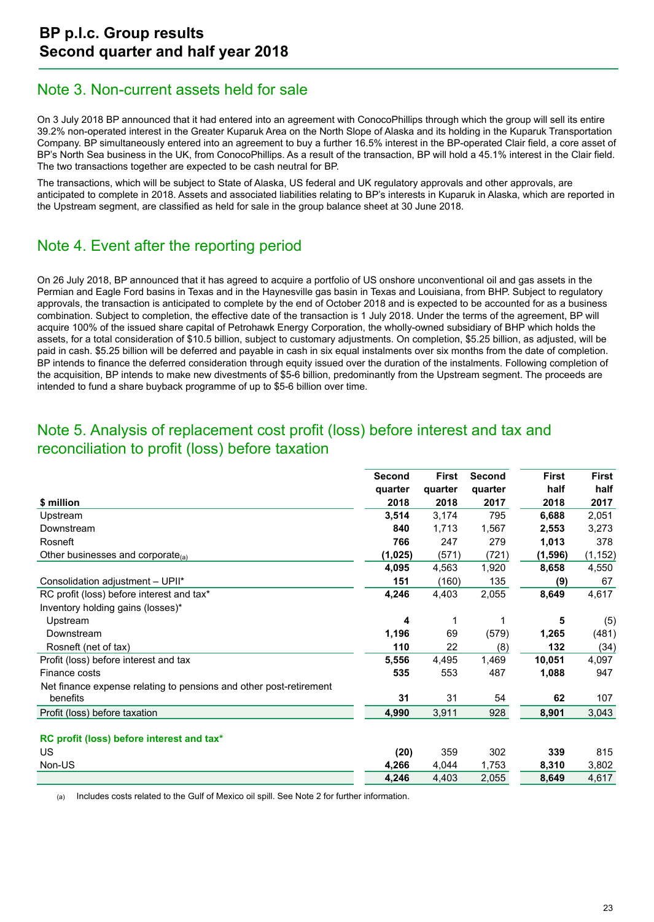### Note 3. Non-current assets held for sale

On 3 July 2018 BP announced that it had entered into an agreement with ConocoPhillips through which the group will sell its entire 39.2% non-operated interest in the Greater Kuparuk Area on the North Slope of Alaska and its holding in the Kuparuk Transportation Company. BP simultaneously entered into an agreement to buy a further 16.5% interest in the BP-operated Clair field, a core asset of BP's North Sea business in the UK, from ConocoPhillips. As a result of the transaction, BP will hold a 45.1% interest in the Clair field. The two transactions together are expected to be cash neutral for BP.

The transactions, which will be subject to State of Alaska, US federal and UK regulatory approvals and other approvals, are anticipated to complete in 2018. Assets and associated liabilities relating to BP's interests in Kuparuk in Alaska, which are reported in the Upstream segment, are classified as held for sale in the group balance sheet at 30 June 2018.

### Note 4. Event after the reporting period

On 26 July 2018, BP announced that it has agreed to acquire a portfolio of US onshore unconventional oil and gas assets in the Permian and Eagle Ford basins in Texas and in the Haynesville gas basin in Texas and Louisiana, from BHP. Subject to regulatory approvals, the transaction is anticipated to complete by the end of October 2018 and is expected to be accounted for as a business combination. Subject to completion, the effective date of the transaction is 1 July 2018. Under the terms of the agreement, BP will acquire 100% of the issued share capital of Petrohawk Energy Corporation, the wholly-owned subsidiary of BHP which holds the assets, for a total consideration of \$10.5 billion, subject to customary adjustments. On completion, \$5.25 billion, as adjusted, will be paid in cash. \$5.25 billion will be deferred and payable in cash in six equal instalments over six months from the date of completion. BP intends to finance the deferred consideration through equity issued over the duration of the instalments. Following completion of the acquisition, BP intends to make new divestments of \$5-6 billion, predominantly from the Upstream segment. The proceeds are intended to fund a share buyback programme of up to \$5-6 billion over time.

### Note 5. Analysis of replacement cost profit (loss) before interest and tax and reconciliation to profit (loss) before taxation

|                                                                    | <b>Second</b> | <b>First</b> | <b>Second</b> | <b>First</b> | <b>First</b> |
|--------------------------------------------------------------------|---------------|--------------|---------------|--------------|--------------|
|                                                                    | quarter       | quarter      | quarter       | half         | half         |
| \$ million                                                         | 2018          | 2018         | 2017          | 2018         | 2017         |
| Upstream                                                           | 3,514         | 3,174        | 795           | 6,688        | 2,051        |
| Downstream                                                         | 840           | 1,713        | 1,567         | 2,553        | 3,273        |
| Rosneft                                                            | 766           | 247          | 279           | 1,013        | 378          |
| Other businesses and corporate $_{(a)}$                            | (1,025)       | (571)        | (721)         | (1,596)      | (1, 152)     |
|                                                                    | 4,095         | 4,563        | 1,920         | 8,658        | 4,550        |
| Consolidation adjustment - UPII*                                   | 151           | (160)        | 135           | (9)          | 67           |
| RC profit (loss) before interest and tax*                          | 4,246         | 4,403        | 2,055         | 8,649        | 4,617        |
| Inventory holding gains (losses)*                                  |               |              |               |              |              |
| Upstream                                                           | 4             |              |               | 5            | (5)          |
| Downstream                                                         | 1,196         | 69           | (579)         | 1,265        | (481)        |
| Rosneft (net of tax)                                               | 110           | 22           | (8)           | 132          | (34)         |
| Profit (loss) before interest and tax                              | 5,556         | 4,495        | 1,469         | 10,051       | 4,097        |
| Finance costs                                                      | 535           | 553          | 487           | 1,088        | 947          |
| Net finance expense relating to pensions and other post-retirement |               |              |               |              |              |
| benefits                                                           | 31            | 31           | 54            | 62           | 107          |
| Profit (loss) before taxation                                      | 4,990         | 3,911        | 928           | 8,901        | 3,043        |
|                                                                    |               |              |               |              |              |
| RC profit (loss) before interest and tax*                          |               |              |               |              |              |
| <b>US</b>                                                          | (20)          | 359          | 302           | 339          | 815          |
| Non-US                                                             | 4,266         | 4,044        | 1,753         | 8,310        | 3,802        |
|                                                                    | 4,246         | 4,403        | 2,055         | 8,649        | 4,617        |
|                                                                    |               |              |               |              |              |

(a) Includes costs related to the Gulf of Mexico oil spill. See Note 2 for further information.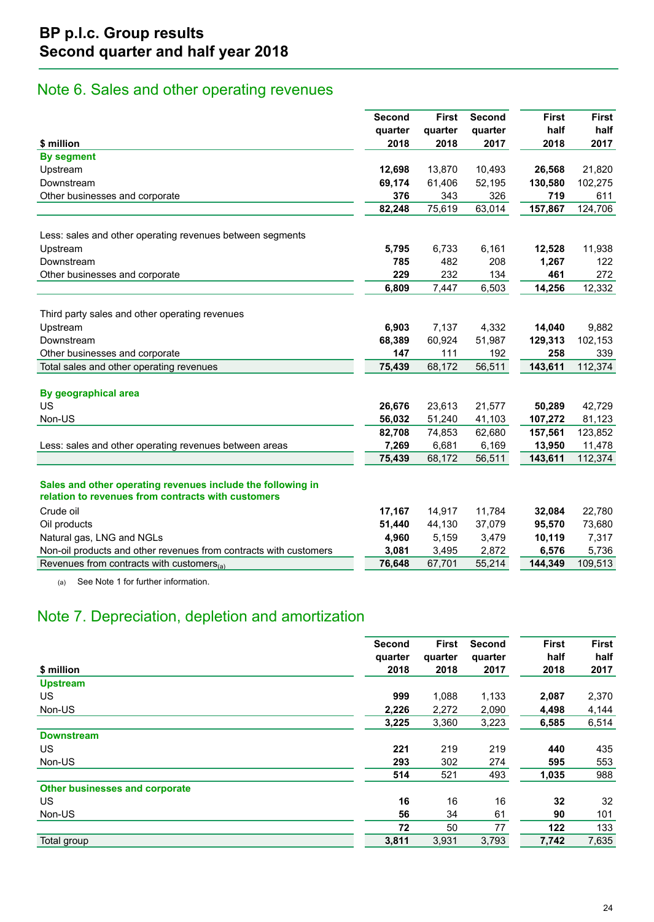# Note 6. Sales and other operating revenues

|                                                                   | Second  | <b>First</b> | Second  | <b>First</b> | <b>First</b> |
|-------------------------------------------------------------------|---------|--------------|---------|--------------|--------------|
|                                                                   | quarter | quarter      | quarter | half         | half         |
| \$ million                                                        | 2018    | 2018         | 2017    | 2018         | 2017         |
| <b>By segment</b>                                                 |         |              |         |              |              |
| Upstream                                                          | 12,698  | 13,870       | 10,493  | 26,568       | 21,820       |
| Downstream                                                        | 69,174  | 61,406       | 52,195  | 130,580      | 102,275      |
| Other businesses and corporate                                    | 376     | 343          | 326     | 719          | 611          |
|                                                                   | 82,248  | 75,619       | 63,014  | 157,867      | 124,706      |
| Less: sales and other operating revenues between segments         |         |              |         |              |              |
| Upstream                                                          | 5,795   | 6,733        | 6,161   | 12,528       | 11,938       |
| Downstream                                                        | 785     | 482          | 208     | 1,267        | 122          |
| Other businesses and corporate                                    | 229     | 232          | 134     | 461          | 272          |
|                                                                   | 6,809   | 7,447        | 6,503   | 14,256       | 12,332       |
|                                                                   |         |              |         |              |              |
| Third party sales and other operating revenues                    |         |              |         |              |              |
| Upstream                                                          | 6,903   | 7,137        | 4,332   | 14,040       | 9,882        |
| Downstream                                                        | 68,389  | 60,924       | 51,987  | 129,313      | 102,153      |
| Other businesses and corporate                                    | 147     | 111          | 192     | 258          | 339          |
| Total sales and other operating revenues                          | 75,439  | 68,172       | 56,511  | 143,611      | 112,374      |
|                                                                   |         |              |         |              |              |
| By geographical area                                              |         |              |         |              |              |
| US                                                                | 26,676  | 23,613       | 21,577  | 50,289       | 42,729       |
| Non-US                                                            | 56,032  | 51,240       | 41,103  | 107,272      | 81,123       |
|                                                                   | 82,708  | 74,853       | 62,680  | 157,561      | 123,852      |
| Less: sales and other operating revenues between areas            | 7,269   | 6,681        | 6,169   | 13,950       | 11,478       |
|                                                                   | 75,439  | 68,172       | 56,511  | 143,611      | 112,374      |
| Sales and other operating revenues include the following in       |         |              |         |              |              |
| relation to revenues from contracts with customers                |         |              |         |              |              |
| Crude oil                                                         | 17,167  | 14,917       | 11,784  | 32,084       | 22,780       |
| Oil products                                                      | 51,440  | 44,130       | 37,079  | 95,570       | 73,680       |
| Natural gas, LNG and NGLs                                         | 4,960   | 5,159        | 3,479   | 10,119       | 7,317        |
| Non-oil products and other revenues from contracts with customers | 3,081   | 3,495        | 2,872   | 6,576        | 5,736        |
| Revenues from contracts with customers $_{(a)}$                   | 76,648  | 67,701       | 55,214  | 144,349      | 109,513      |
|                                                                   |         |              |         |              |              |

(a) See Note 1 for further information.

# Note 7. Depreciation, depletion and amortization

|                                | <b>Second</b> | <b>First</b> | <b>Second</b> | <b>First</b> | <b>First</b> |
|--------------------------------|---------------|--------------|---------------|--------------|--------------|
|                                | quarter       | quarter      | quarter       | half         | half         |
| \$ million                     | 2018          | 2018         | 2017          | 2018         | 2017         |
| <b>Upstream</b>                |               |              |               |              |              |
| US.                            | 999           | 1,088        | 1,133         | 2,087        | 2,370        |
| Non-US                         | 2,226         | 2,272        | 2,090         | 4,498        | 4,144        |
|                                | 3,225         | 3,360        | 3,223         | 6,585        | 6,514        |
| <b>Downstream</b>              |               |              |               |              |              |
| US.                            | 221           | 219          | 219           | 440          | 435          |
| Non-US                         | 293           | 302          | 274           | 595          | 553          |
|                                | 514           | 521          | 493           | 1,035        | 988          |
| Other businesses and corporate |               |              |               |              |              |
| US.                            | 16            | 16           | 16            | 32           | 32           |
| Non-US                         | 56            | 34           | 61            | 90           | 101          |
|                                | 72            | 50           | 77            | 122          | 133          |
| Total group                    | 3,811         | 3.931        | 3.793         | 7.742        | 7,635        |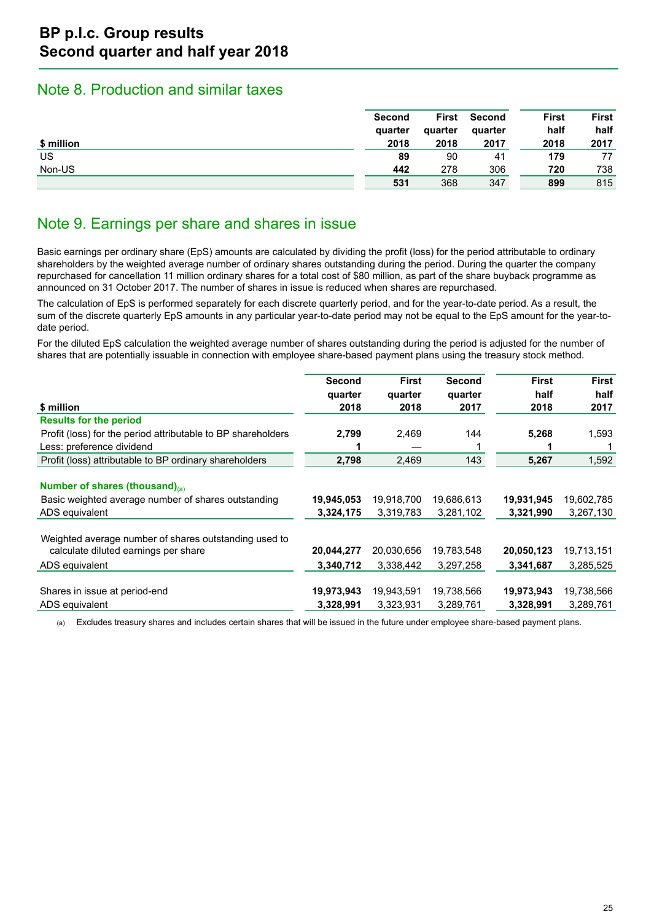### Note 8. Production and similar taxes

|            | <b>Second</b> | <b>First</b> | Second  | <b>First</b> | <b>First</b> |
|------------|---------------|--------------|---------|--------------|--------------|
|            | quarter       | quarter      | quarter | half         | half         |
| \$ million | 2018          | 2018         | 2017    | 2018         | 2017         |
| US         | 89            | 90           | 41      | 179          | 77           |
| Non-US     | 442           | 278          | 306     | 720          | 738          |
|            | 531           | 368          | 347     | 899          | 815          |

### Note 9. Earnings per share and shares in issue

Basic earnings per ordinary share (EpS) amounts are calculated by dividing the profit (loss) for the period attributable to ordinary shareholders by the weighted average number of ordinary shares outstanding during the period. During the quarter the company repurchased for cancellation 11 million ordinary shares for a total cost of \$80 million, as part of the share buyback programme as announced on 31 October 2017. The number of shares in issue is reduced when shares are repurchased.

The calculation of EpS is performed separately for each discrete quarterly period, and for the year-to-date period. As a result, the sum of the discrete quarterly EpS amounts in any particular year-to-date period may not be equal to the EpS amount for the year-todate period.

For the diluted EpS calculation the weighted average number of shares outstanding during the period is adjusted for the number of shares that are potentially issuable in connection with employee share-based payment plans using the treasury stock method.

|                                                                                                                 | <b>Second</b><br>quarter | First<br>quarter        | <b>Second</b><br>quarter | First<br>half           | <b>First</b><br>half    |
|-----------------------------------------------------------------------------------------------------------------|--------------------------|-------------------------|--------------------------|-------------------------|-------------------------|
| \$ million                                                                                                      | 2018                     | 2018                    | 2017                     | 2018                    | 2017                    |
| <b>Results for the period</b>                                                                                   |                          |                         |                          |                         |                         |
| Profit (loss) for the period attributable to BP shareholders                                                    | 2,799                    | 2,469                   | 144                      | 5,268                   | 1,593                   |
| Less: preference dividend                                                                                       |                          |                         |                          |                         |                         |
| Profit (loss) attributable to BP ordinary shareholders                                                          | 2,798                    | 2,469                   | 143                      | 5,267                   | 1,592                   |
| Number of shares (thousand) $_{(a)}$<br>Basic weighted average number of shares outstanding<br>ADS equivalent   | 19,945,053<br>3,324,175  | 19,918,700<br>3,319,783 | 19,686,613<br>3,281,102  | 19,931,945<br>3,321,990 | 19,602,785<br>3,267,130 |
| Weighted average number of shares outstanding used to<br>calculate diluted earnings per share<br>ADS equivalent | 20,044,277<br>3,340,712  | 20,030,656<br>3,338,442 | 19,783,548<br>3,297,258  | 20,050,123<br>3,341,687 | 19,713,151<br>3,285,525 |
| Shares in issue at period-end<br>ADS equivalent                                                                 | 19,973,943<br>3,328,991  | 19,943,591<br>3,323,931 | 19,738,566<br>3,289,761  | 19,973,943<br>3,328,991 | 19,738,566<br>3,289,761 |

(a) Excludes treasury shares and includes certain shares that will be issued in the future under employee share-based payment plans.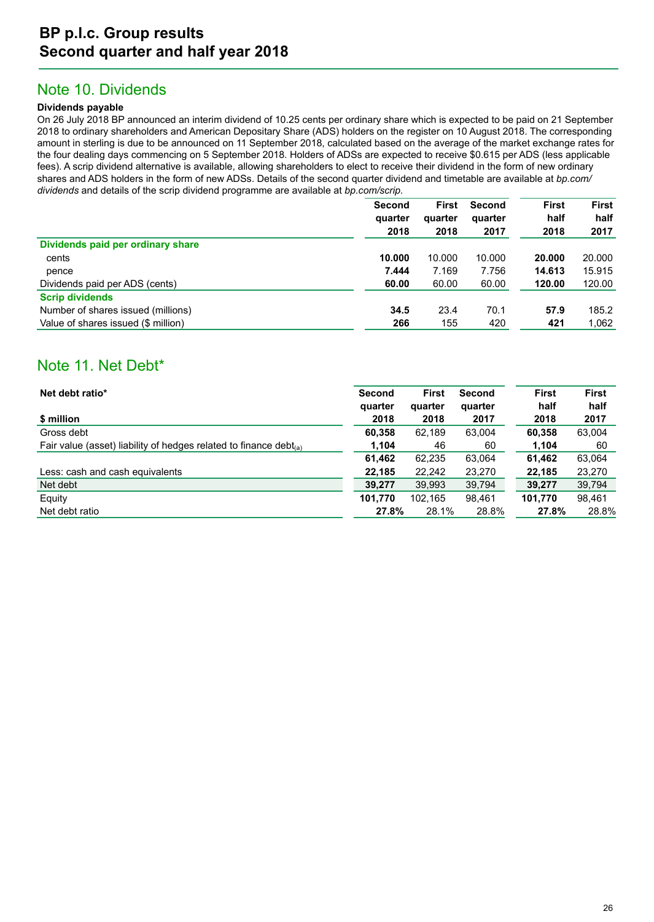### Note 10. Dividends

#### **Dividends payable**

On 26 July 2018 BP announced an interim dividend of 10.25 cents per ordinary share which is expected to be paid on 21 September 2018 to ordinary shareholders and American Depositary Share (ADS) holders on the register on 10 August 2018. The corresponding amount in sterling is due to be announced on 11 September 2018, calculated based on the average of the market exchange rates for the four dealing days commencing on 5 September 2018. Holders of ADSs are expected to receive \$0.615 per ADS (less applicable fees). A scrip dividend alternative is available, allowing shareholders to elect to receive their dividend in the form of new ordinary shares and ADS holders in the form of new ADSs. Details of the second quarter dividend and timetable are available at *bp.com/ dividends* and details of the scrip dividend programme are available at *bp.com/scrip.*

|                                     | <b>Second</b><br>quarter<br>2018 | <b>First</b><br>quarter<br>2018 | <b>Second</b><br>quarter<br>2017 | <b>First</b><br>half<br>2018 | <b>First</b><br>half<br>2017 |  |
|-------------------------------------|----------------------------------|---------------------------------|----------------------------------|------------------------------|------------------------------|--|
| Dividends paid per ordinary share   |                                  |                                 |                                  |                              |                              |  |
| cents                               | 10.000                           | 10.000                          | 10.000                           | 20,000                       | 20,000                       |  |
| pence                               | 7.444                            | 7.169                           | 7.756                            | 14.613                       | 15.915                       |  |
| Dividends paid per ADS (cents)      | 60.00                            | 60.00                           | 60.00                            | 120.00                       | 120.00                       |  |
| <b>Scrip dividends</b>              |                                  |                                 |                                  |                              |                              |  |
| Number of shares issued (millions)  | 34.5                             | 23.4                            | 70.1                             | 57.9                         | 185.2                        |  |
| Value of shares issued (\$ million) | 266                              | 155                             | 420                              | 421                          | 1,062                        |  |
|                                     |                                  |                                 |                                  |                              |                              |  |

### Note 11. Net Debt\*

| Net debt ratio*                                                        | <b>Second</b><br>quarter | <b>First</b><br>quarter | <b>Second</b><br>quarter | <b>First</b><br>half | <b>First</b><br>half |
|------------------------------------------------------------------------|--------------------------|-------------------------|--------------------------|----------------------|----------------------|
| \$ million                                                             | 2018                     | 2018                    | 2017                     | 2018                 | 2017                 |
| Gross debt                                                             | 60,358                   | 62,189                  | 63,004                   | 60,358               | 63,004               |
| Fair value (asset) liability of hedges related to finance $debt_{(a)}$ | 1,104                    | 46                      | 60                       | 1,104                | 60                   |
|                                                                        | 61,462                   | 62,235                  | 63,064                   | 61,462               | 63,064               |
| Less: cash and cash equivalents                                        | 22.185                   | 22,242                  | 23,270                   | 22,185               | 23,270               |
| Net debt                                                               | 39.277                   | 39,993                  | 39,794                   | 39,277               | 39,794               |
| Equity                                                                 | 101,770                  | 102.165                 | 98.461                   | 101.770              | 98,461               |
| Net debt ratio                                                         | 27.8%                    | 28.1%                   | 28.8%                    | 27.8%                | 28.8%                |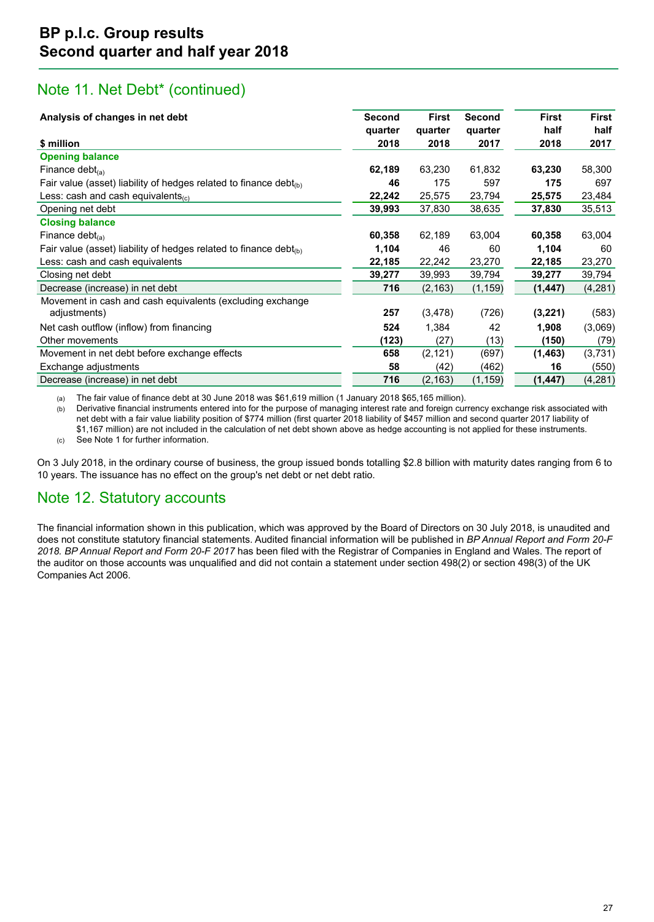### Note 11. Net Debt\* (continued)

| Analysis of changes in net debt                                         | <b>Second</b> | <b>First</b> | Second   | <b>First</b> | <b>First</b> |
|-------------------------------------------------------------------------|---------------|--------------|----------|--------------|--------------|
|                                                                         | quarter       | quarter      | quarter  | half         | half         |
| \$ million                                                              | 2018          | 2018         | 2017     | 2018         | 2017         |
| <b>Opening balance</b>                                                  |               |              |          |              |              |
| Finance debt $_{(a)}$                                                   | 62,189        | 63,230       | 61,832   | 63,230       | 58,300       |
| Fair value (asset) liability of hedges related to finance debt $_{(b)}$ | 46            | 175          | 597      | 175          | 697          |
| Less: cash and cash equivalents $_{(c)}$                                | 22,242        | 25,575       | 23,794   | 25,575       | 23,484       |
| Opening net debt                                                        | 39,993        | 37,830       | 38,635   | 37,830       | 35,513       |
| <b>Closing balance</b>                                                  |               |              |          |              |              |
| Finance debt $_{(a)}$                                                   | 60,358        | 62,189       | 63,004   | 60,358       | 63,004       |
| Fair value (asset) liability of hedges related to finance $debt_{(b)}$  | 1,104         | 46           | 60       | 1,104        | 60           |
| Less: cash and cash equivalents                                         | 22,185        | 22,242       | 23,270   | 22,185       | 23,270       |
| Closing net debt                                                        | 39,277        | 39,993       | 39,794   | 39,277       | 39,794       |
| Decrease (increase) in net debt                                         | 716           | (2, 163)     | (1, 159) | (1, 447)     | (4, 281)     |
| Movement in cash and cash equivalents (excluding exchange               |               |              |          |              |              |
| adjustments)                                                            | 257           | (3, 478)     | (726)    | (3,221)      | (583)        |
| Net cash outflow (inflow) from financing                                | 524           | 1,384        | 42       | 1,908        | (3,069)      |
| Other movements                                                         | (123)         | (27)         | (13)     | (150)        | (79)         |
| Movement in net debt before exchange effects                            | 658           | (2, 121)     | (697)    | (1, 463)     | (3,731)      |
| Exchange adjustments                                                    | 58            | (42)         | (462)    | 16           | (550)        |
| Decrease (increase) in net debt                                         | 716           | (2, 163)     | (1, 159) | (1, 447)     | (4, 281)     |

(a) The fair value of finance debt at 30 June 2018 was \$61,619 million (1 January 2018 \$65,165 million).

(b) Derivative financial instruments entered into for the purpose of managing interest rate and foreign currency exchange risk associated with net debt with a fair value liability position of \$774 million (first quarter 2018 liability of \$457 million and second quarter 2017 liability of \$1,167 million) are not included in the calculation of net debt shown above as hedge accounting is not applied for these instruments.

(c) See Note 1 for further information.

On 3 July 2018, in the ordinary course of business, the group issued bonds totalling \$2.8 billion with maturity dates ranging from 6 to 10 years. The issuance has no effect on the group's net debt or net debt ratio.

### Note 12. Statutory accounts

The financial information shown in this publication, which was approved by the Board of Directors on 30 July 2018, is unaudited and does not constitute statutory financial statements. Audited financial information will be published in *BP Annual Report and Form 20-F 2018. BP Annual Report and Form 20-F 2017* has been filed with the Registrar of Companies in England and Wales. The report of the auditor on those accounts was unqualified and did not contain a statement under section 498(2) or section 498(3) of the UK Companies Act 2006.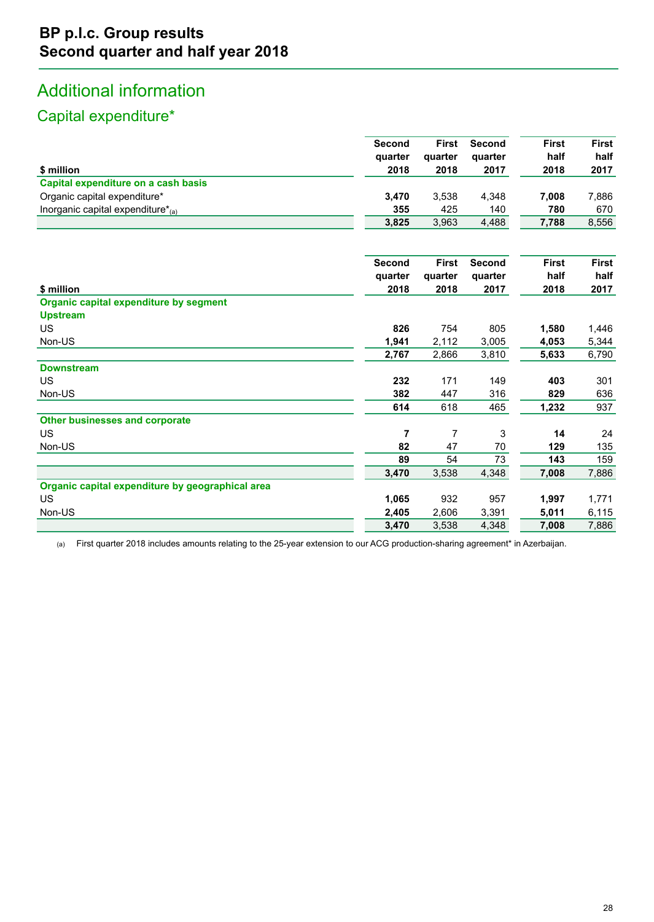# Additional information

# Capital expenditure\*

|                                         | <b>Second</b> | <b>First</b> | Second  | <b>First</b> | <b>First</b> |
|-----------------------------------------|---------------|--------------|---------|--------------|--------------|
|                                         | quarter       | quarter      | quarter | half         | half         |
| \$ million                              | 2018          | 2018         | 2017    | 2018         | 2017         |
| Capital expenditure on a cash basis     |               |              |         |              |              |
| Organic capital expenditure*            | 3,470         | 3,538        | 4,348   | 7,008        | 7,886        |
| Inorganic capital expenditure $r_{(a)}$ | 355           | 425          | 140     | 780          | 670          |
|                                         | 3,825         | 3,963        | 4,488   | 7,788        | 8,556        |
|                                         | <b>Second</b> | <b>First</b> | Second  | <b>First</b> | <b>First</b> |
|                                         | quarter       | quarter      | quarter | half         | half         |
|                                         |               |              |         |              |              |
| \$ million                              | 2018          | 2018         | 2017    | 2018         | 2017         |
| Organic capital expenditure by segment  |               |              |         |              |              |
| <b>Upstream</b>                         |               |              |         |              |              |
| US                                      | 826           | 754          | 805     | 1,580        | 1,446        |
| Non-US                                  | 1,941         | 2,112        | 3,005   | 4,053        | 5,344        |
|                                         | 2,767         | 2,866        | 3,810   | 5,633        | 6,790        |
| <b>Downstream</b>                       |               |              |         |              |              |
| <b>US</b>                               | 232           | 171          | 149     | 403          | 301          |
| Non-US                                  | 382           | 447          | 316     | 829          | 636          |
|                                         | 614           | 618          | 465     | 1,232        | 937          |

| Other businesses and corporate                   |       |       |       |       |       |
|--------------------------------------------------|-------|-------|-------|-------|-------|
| US                                               |       |       | 3     | 14    | 24    |
| Non-US                                           | 82    | 47    | 70    | 129   | 135   |
|                                                  | 89    | 54    | 73    | 143   | 159   |
|                                                  | 3,470 | 3,538 | 4,348 | 7,008 | 7,886 |
| Organic capital expenditure by geographical area |       |       |       |       |       |
| US                                               | 1.065 | 932   | 957   | 1.997 | 1,771 |
| Non-US                                           | 2,405 | 2,606 | 3,391 | 5,011 | 6,115 |
|                                                  | 3,470 | 3,538 | 4,348 | 7,008 | 7,886 |

(a) First quarter 2018 includes amounts relating to the 25-year extension to our ACG production-sharing agreement\* in Azerbaijan.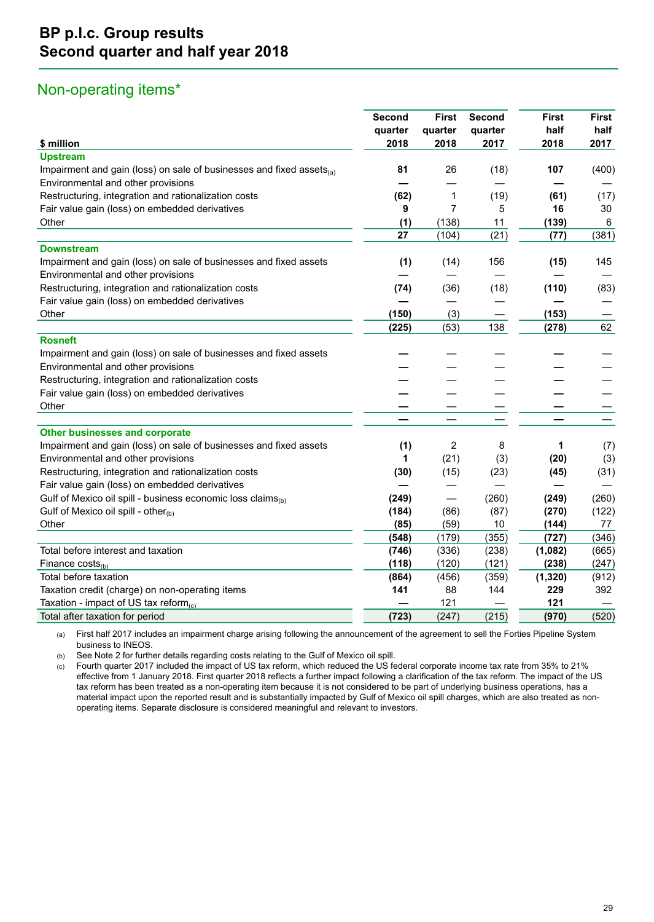### Non-operating items\*

|                                                                         | Second  | <b>First</b>   | Second  | <b>First</b> | <b>First</b> |
|-------------------------------------------------------------------------|---------|----------------|---------|--------------|--------------|
|                                                                         | quarter | quarter        | quarter | half         | half         |
| \$ million                                                              | 2018    | 2018           | 2017    | 2018         | 2017         |
| <b>Upstream</b>                                                         |         |                |         |              |              |
| Impairment and gain (loss) on sale of businesses and fixed assets(a)    | 81      | 26             | (18)    | 107          | (400)        |
| Environmental and other provisions                                      |         |                |         |              |              |
| Restructuring, integration and rationalization costs                    | (62)    | 1              | (19)    | (61)         | (17)         |
| Fair value gain (loss) on embedded derivatives                          | 9       | 7              | 5       | 16           | 30           |
| Other                                                                   | (1)     | (138)          | 11      | (139)        | 6            |
|                                                                         | 27      | (104)          | (21)    | (77)         | (381)        |
| <b>Downstream</b>                                                       |         |                |         |              |              |
| Impairment and gain (loss) on sale of businesses and fixed assets       | (1)     | (14)           | 156     | (15)         | 145          |
| Environmental and other provisions                                      |         |                |         |              |              |
| Restructuring, integration and rationalization costs                    | (74)    | (36)           | (18)    | (110)        | (83)         |
| Fair value gain (loss) on embedded derivatives                          |         |                |         |              |              |
| Other                                                                   | (150)   | (3)            |         | (153)        |              |
|                                                                         | (225)   | (53)           | 138     | (278)        | 62           |
| <b>Rosneft</b>                                                          |         |                |         |              |              |
| Impairment and gain (loss) on sale of businesses and fixed assets       |         |                |         |              |              |
| Environmental and other provisions                                      |         |                |         |              |              |
|                                                                         |         |                |         |              |              |
| Restructuring, integration and rationalization costs                    |         |                |         |              |              |
| Fair value gain (loss) on embedded derivatives                          |         |                |         |              |              |
| Other                                                                   |         |                |         |              |              |
|                                                                         |         |                |         |              |              |
| Other businesses and corporate                                          |         |                |         |              |              |
| Impairment and gain (loss) on sale of businesses and fixed assets       | (1)     | $\overline{2}$ | 8       | 1            | (7)          |
| Environmental and other provisions                                      | 1       | (21)           | (3)     | (20)         | (3)          |
| Restructuring, integration and rationalization costs                    | (30)    | (15)           | (23)    | (45)         | (31)         |
| Fair value gain (loss) on embedded derivatives                          |         |                |         |              |              |
| Gulf of Mexico oil spill - business economic loss claims <sub>(b)</sub> | (249)   |                | (260)   | (249)        | (260)        |
| Gulf of Mexico oil spill - other <sub>(b)</sub>                         | (184)   | (86)           | (87)    | (270)        | (122)        |
| Other                                                                   | (85)    | (59)           | 10      | (144)        | 77           |
|                                                                         | (548)   | (179)          | (355)   | (727)        | (346)        |
| Total before interest and taxation                                      | (746)   | (336)          | (238)   | (1,082)      | (665)        |
| Finance $costs_{(b)}$                                                   | (118)   | (120)          | (121)   | (238)        | (247)        |
| Total before taxation                                                   | (864)   | (456)          | (359)   | (1, 320)     | (912)        |
| Taxation credit (charge) on non-operating items                         | 141     | 88             | 144     | 229          | 392          |
| Taxation - impact of US tax reform $_{(c)}$                             |         | 121            |         | 121          |              |
| Total after taxation for period                                         | (723)   | (247)          | (215)   | (970)        | (520)        |

(a) First half 2017 includes an impairment charge arising following the announcement of the agreement to sell the Forties Pipeline System business to INEOS.

(b) See Note 2 for further details regarding costs relating to the Gulf of Mexico oil spill.

(c) Fourth quarter 2017 included the impact of US tax reform, which reduced the US federal corporate income tax rate from 35% to 21% effective from 1 January 2018. First quarter 2018 reflects a further impact following a clarification of the tax reform. The impact of the US tax reform has been treated as a non-operating item because it is not considered to be part of underlying business operations, has a material impact upon the reported result and is substantially impacted by Gulf of Mexico oil spill charges, which are also treated as nonoperating items. Separate disclosure is considered meaningful and relevant to investors.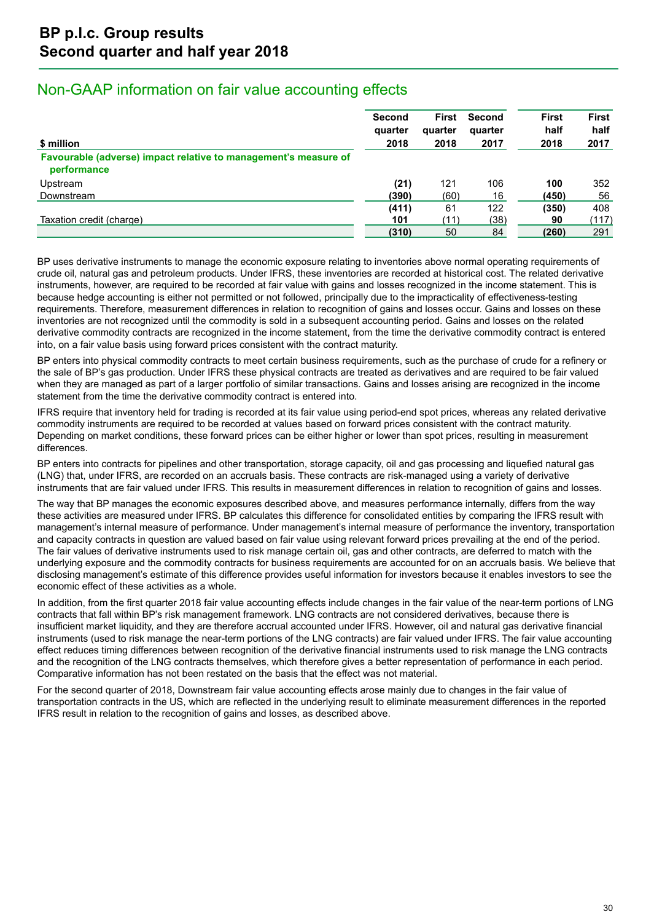### Non-GAAP information on fair value accounting effects

| \$ million                                                                     | <b>Second</b><br>quarter<br>2018 | <b>First</b><br>quarter<br>2018 | <b>Second</b><br>quarter<br>2017 | First<br>half<br>2018 | <b>First</b><br>half<br>2017 |
|--------------------------------------------------------------------------------|----------------------------------|---------------------------------|----------------------------------|-----------------------|------------------------------|
| Favourable (adverse) impact relative to management's measure of<br>performance |                                  |                                 |                                  |                       |                              |
| Upstream                                                                       | (21)                             | 121                             | 106                              | 100                   | 352                          |
| Downstream                                                                     | (390)                            | (60)                            | 16                               | (450)                 | 56                           |
|                                                                                | (411)                            | 61                              | 122                              | (350)                 | 408                          |
| Taxation credit (charge)                                                       | 101                              | (11)                            | (38)                             | 90                    | (117)                        |
|                                                                                | (310)                            | 50                              | 84                               | (260)                 | 291                          |

BP uses derivative instruments to manage the economic exposure relating to inventories above normal operating requirements of crude oil, natural gas and petroleum products. Under IFRS, these inventories are recorded at historical cost. The related derivative instruments, however, are required to be recorded at fair value with gains and losses recognized in the income statement. This is because hedge accounting is either not permitted or not followed, principally due to the impracticality of effectiveness-testing requirements. Therefore, measurement differences in relation to recognition of gains and losses occur. Gains and losses on these inventories are not recognized until the commodity is sold in a subsequent accounting period. Gains and losses on the related derivative commodity contracts are recognized in the income statement, from the time the derivative commodity contract is entered into, on a fair value basis using forward prices consistent with the contract maturity.

BP enters into physical commodity contracts to meet certain business requirements, such as the purchase of crude for a refinery or the sale of BP's gas production. Under IFRS these physical contracts are treated as derivatives and are required to be fair valued when they are managed as part of a larger portfolio of similar transactions. Gains and losses arising are recognized in the income statement from the time the derivative commodity contract is entered into.

IFRS require that inventory held for trading is recorded at its fair value using period-end spot prices, whereas any related derivative commodity instruments are required to be recorded at values based on forward prices consistent with the contract maturity. Depending on market conditions, these forward prices can be either higher or lower than spot prices, resulting in measurement differences.

BP enters into contracts for pipelines and other transportation, storage capacity, oil and gas processing and liquefied natural gas (LNG) that, under IFRS, are recorded on an accruals basis. These contracts are risk-managed using a variety of derivative instruments that are fair valued under IFRS. This results in measurement differences in relation to recognition of gains and losses.

The way that BP manages the economic exposures described above, and measures performance internally, differs from the way these activities are measured under IFRS. BP calculates this difference for consolidated entities by comparing the IFRS result with management's internal measure of performance. Under management's internal measure of performance the inventory, transportation and capacity contracts in question are valued based on fair value using relevant forward prices prevailing at the end of the period. The fair values of derivative instruments used to risk manage certain oil, gas and other contracts, are deferred to match with the underlying exposure and the commodity contracts for business requirements are accounted for on an accruals basis. We believe that disclosing management's estimate of this difference provides useful information for investors because it enables investors to see the economic effect of these activities as a whole.

In addition, from the first quarter 2018 fair value accounting effects include changes in the fair value of the near-term portions of LNG contracts that fall within BP's risk management framework. LNG contracts are not considered derivatives, because there is insufficient market liquidity, and they are therefore accrual accounted under IFRS. However, oil and natural gas derivative financial instruments (used to risk manage the near-term portions of the LNG contracts) are fair valued under IFRS. The fair value accounting effect reduces timing differences between recognition of the derivative financial instruments used to risk manage the LNG contracts and the recognition of the LNG contracts themselves, which therefore gives a better representation of performance in each period. Comparative information has not been restated on the basis that the effect was not material.

For the second quarter of 2018, Downstream fair value accounting effects arose mainly due to changes in the fair value of transportation contracts in the US, which are reflected in the underlying result to eliminate measurement differences in the reported IFRS result in relation to the recognition of gains and losses, as described above.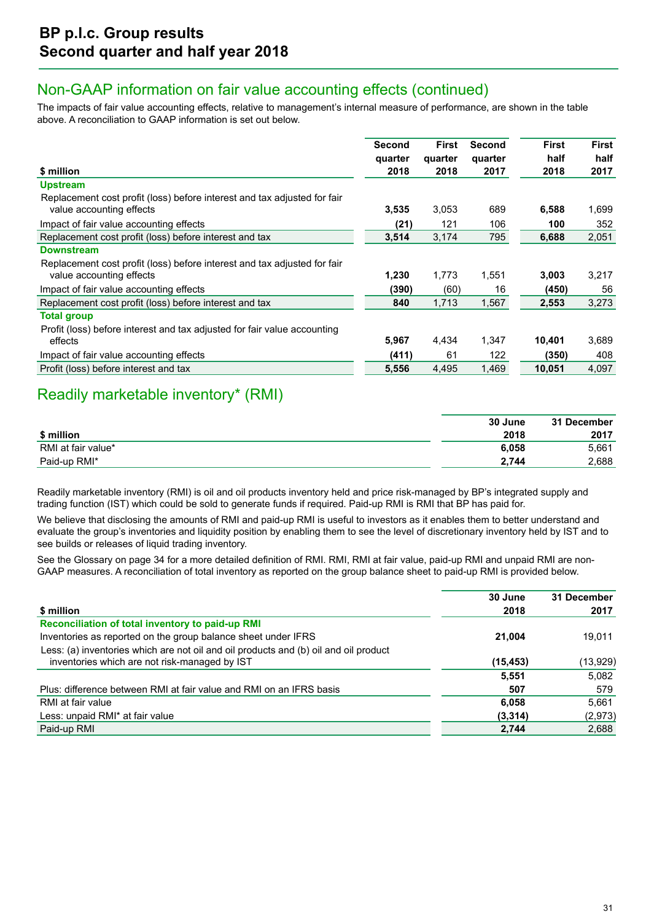### Non-GAAP information on fair value accounting effects (continued)

The impacts of fair value accounting effects, relative to management's internal measure of performance, are shown in the table above. A reconciliation to GAAP information is set out below.

|                                                                                                      | Second<br>quarter | First<br>quarter | <b>Second</b><br>quarter | <b>First</b><br>half | First<br>half |
|------------------------------------------------------------------------------------------------------|-------------------|------------------|--------------------------|----------------------|---------------|
| \$ million                                                                                           | 2018              | 2018             | 2017                     | 2018                 | 2017          |
| <b>Upstream</b>                                                                                      |                   |                  |                          |                      |               |
| Replacement cost profit (loss) before interest and tax adjusted for fair<br>value accounting effects | 3,535             | 3,053            | 689                      | 6,588                | 1,699         |
| Impact of fair value accounting effects                                                              | (21)              | 121              | 106                      | 100                  | 352           |
| Replacement cost profit (loss) before interest and tax                                               | 3,514             | 3,174            | 795                      | 6,688                | 2,051         |
| <b>Downstream</b>                                                                                    |                   |                  |                          |                      |               |
| Replacement cost profit (loss) before interest and tax adjusted for fair<br>value accounting effects | 1.230             | 1,773            | 1,551                    | 3,003                | 3,217         |
| Impact of fair value accounting effects                                                              | (390)             | (60)             | 16                       | (450)                | 56            |
| Replacement cost profit (loss) before interest and tax                                               | 840               | 1,713            | 1,567                    | 2,553                | 3,273         |
| Total group                                                                                          |                   |                  |                          |                      |               |
| Profit (loss) before interest and tax adjusted for fair value accounting<br>effects                  | 5,967             | 4,434            | 1,347                    | 10,401               | 3,689         |
|                                                                                                      |                   |                  |                          |                      |               |
| Impact of fair value accounting effects                                                              | (411)             | 61               | 122                      | (350)                | 408           |
| Profit (loss) before interest and tax                                                                | 5,556             | 4,495            | 1,469                    | 10,051               | 4,097         |

# Readily marketable inventory\* (RMI)

|                    | 30 June | 31 December |
|--------------------|---------|-------------|
| \$ million         | 2018    | 2017        |
| RMI at fair value* | 6.058   | 5.661       |
| Paid-up RMI*       | 2.744   | 2.688       |

Readily marketable inventory (RMI) is oil and oil products inventory held and price risk-managed by BP's integrated supply and trading function (IST) which could be sold to generate funds if required. Paid-up RMI is RMI that BP has paid for.

We believe that disclosing the amounts of RMI and paid-up RMI is useful to investors as it enables them to better understand and evaluate the group's inventories and liquidity position by enabling them to see the level of discretionary inventory held by IST and to see builds or releases of liquid trading inventory.

See the Glossary on page 34 for a more detailed definition of RMI. RMI, RMI at fair value, paid-up RMI and unpaid RMI are non-GAAP measures. A reconciliation of total inventory as reported on the group balance sheet to paid-up RMI is provided below.

|                                                                                                                                       | 30 June  | 31 December |
|---------------------------------------------------------------------------------------------------------------------------------------|----------|-------------|
| \$ million                                                                                                                            | 2018     | 2017        |
| Reconciliation of total inventory to paid-up RMI                                                                                      |          |             |
| Inventories as reported on the group balance sheet under IFRS                                                                         | 21.004   | 19,011      |
| Less: (a) inventories which are not oil and oil products and (b) oil and oil product<br>inventories which are not risk-managed by IST | (15,453) | (13, 929)   |
|                                                                                                                                       | 5,551    | 5,082       |
| Plus: difference between RMI at fair value and RMI on an IFRS basis                                                                   | 507      | 579         |
| RMI at fair value                                                                                                                     | 6.058    | 5,661       |
| Less: unpaid RMI* at fair value                                                                                                       | (3, 314) | (2, 973)    |
| Paid-up RMI                                                                                                                           | 2,744    | 2,688       |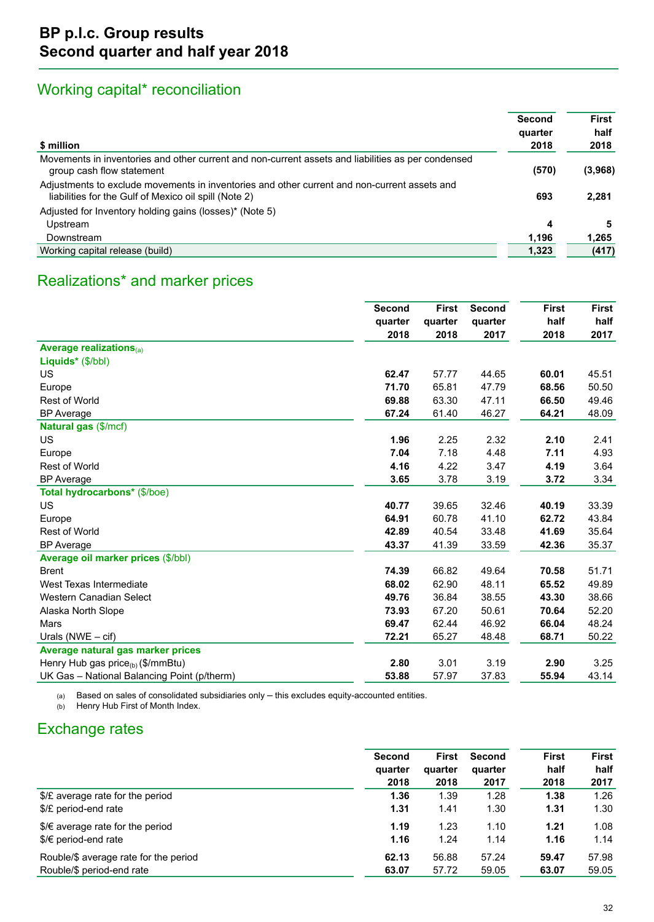# Working capital\* reconciliation

|                                                                                                                                                       | Second<br>quarter | <b>First</b><br>half |
|-------------------------------------------------------------------------------------------------------------------------------------------------------|-------------------|----------------------|
| \$ million                                                                                                                                            | 2018              | 2018                 |
| Movements in inventories and other current and non-current assets and liabilities as per condensed<br>group cash flow statement                       | (570)             | (3,968)              |
| Adjustments to exclude movements in inventories and other current and non-current assets and<br>liabilities for the Gulf of Mexico oil spill (Note 2) | 693               | 2,281                |
| Adjusted for Inventory holding gains (losses)* (Note 5)                                                                                               |                   |                      |
| Upstream                                                                                                                                              | 4                 | 5                    |
| Downstream                                                                                                                                            | 1,196             | 1,265                |
| Working capital release (build)                                                                                                                       | 1,323             | (417)                |

# Realizations\* and marker prices

|                                               | Second<br>quarter | <b>First</b><br>quarter | <b>Second</b><br>quarter<br>2017 | <b>First</b><br>half<br>2018 | First<br>half<br>2017 |
|-----------------------------------------------|-------------------|-------------------------|----------------------------------|------------------------------|-----------------------|
|                                               | 2018              | 2018                    |                                  |                              |                       |
| <b>Average realizations</b>                   |                   |                         |                                  |                              |                       |
| Liquids* (\$/bbl)                             |                   |                         |                                  |                              |                       |
| US.                                           | 62.47             | 57.77                   | 44.65                            | 60.01                        | 45.51                 |
| Europe                                        | 71.70             | 65.81                   | 47.79                            | 68.56                        | 50.50                 |
| <b>Rest of World</b>                          | 69.88             | 63.30                   | 47.11                            | 66.50                        | 49.46                 |
| <b>BP</b> Average                             | 67.24             | 61.40                   | 46.27                            | 64.21                        | 48.09                 |
| Natural gas (\$/mcf)                          |                   |                         |                                  |                              |                       |
| US.                                           | 1.96              | 2.25                    | 2.32                             | 2.10                         | 2.41                  |
| Europe                                        | 7.04              | 7.18                    | 4.48                             | 7.11                         | 4.93                  |
| <b>Rest of World</b>                          | 4.16              | 4.22                    | 3.47                             | 4.19                         | 3.64                  |
| <b>BP</b> Average                             | 3.65              | 3.78                    | 3.19                             | 3.72                         | 3.34                  |
| Total hydrocarbons* (\$/boe)                  |                   |                         |                                  |                              |                       |
| US                                            | 40.77             | 39.65                   | 32.46                            | 40.19                        | 33.39                 |
| Europe                                        | 64.91             | 60.78                   | 41.10                            | 62.72                        | 43.84                 |
| <b>Rest of World</b>                          | 42.89             | 40.54                   | 33.48                            | 41.69                        | 35.64                 |
| <b>BP</b> Average                             | 43.37             | 41.39                   | 33.59                            | 42.36                        | 35.37                 |
| Average oil marker prices (\$/bbl)            |                   |                         |                                  |                              |                       |
| <b>Brent</b>                                  | 74.39             | 66.82                   | 49.64                            | 70.58                        | 51.71                 |
| West Texas Intermediate                       | 68.02             | 62.90                   | 48.11                            | 65.52                        | 49.89                 |
| Western Canadian Select                       | 49.76             | 36.84                   | 38.55                            | 43.30                        | 38.66                 |
| Alaska North Slope                            | 73.93             | 67.20                   | 50.61                            | 70.64                        | 52.20                 |
| Mars                                          | 69.47             | 62.44                   | 46.92                            | 66.04                        | 48.24                 |
| Urals ( $NWE - \text{cif}$ )                  | 72.21             | 65.27                   | 48.48                            | 68.71                        | 50.22                 |
| Average natural gas marker prices             |                   |                         |                                  |                              |                       |
| Henry Hub gas price <sub>(b)</sub> (\$/mmBtu) | 2.80              | 3.01                    | 3.19                             | 2.90                         | 3.25                  |
| UK Gas - National Balancing Point (p/therm)   | 53.88             | 57.97                   | 37.83                            | 55.94                        | 43.14                 |

(a) Based on sales of consolidated subsidiaries only – this excludes equity-accounted entities.

(b) Henry Hub First of Month Index.

### Exchange rates

|                                       | <b>Second</b> | <b>First</b> | <b>Second</b> | <b>First</b> | <b>First</b> |
|---------------------------------------|---------------|--------------|---------------|--------------|--------------|
|                                       | quarter       | quarter      | quarter       | half         | half         |
|                                       | 2018          | 2018         | 2017          | 2018         | 2017         |
| \$/£ average rate for the period      | 1.36          | 1.39         | 1.28          | 1.38         | 1.26         |
| \$/£ period-end rate                  | 1.31          | 1.41         | 1.30          | 1.31         | 1.30         |
| $$/€$ average rate for the period     | 1.19          | 1.23         | 1.10          | 1.21         | 1.08         |
| $\frac{1}{2}$ period-end rate         | 1.16          | 1.24         | 1.14          | 1.16         | 1.14         |
| Rouble/\$ average rate for the period | 62.13         | 56.88        | 57.24         | 59.47        | 57.98        |
| Rouble/\$ period-end rate             | 63.07         | 57.72        | 59.05         | 63.07        | 59.05        |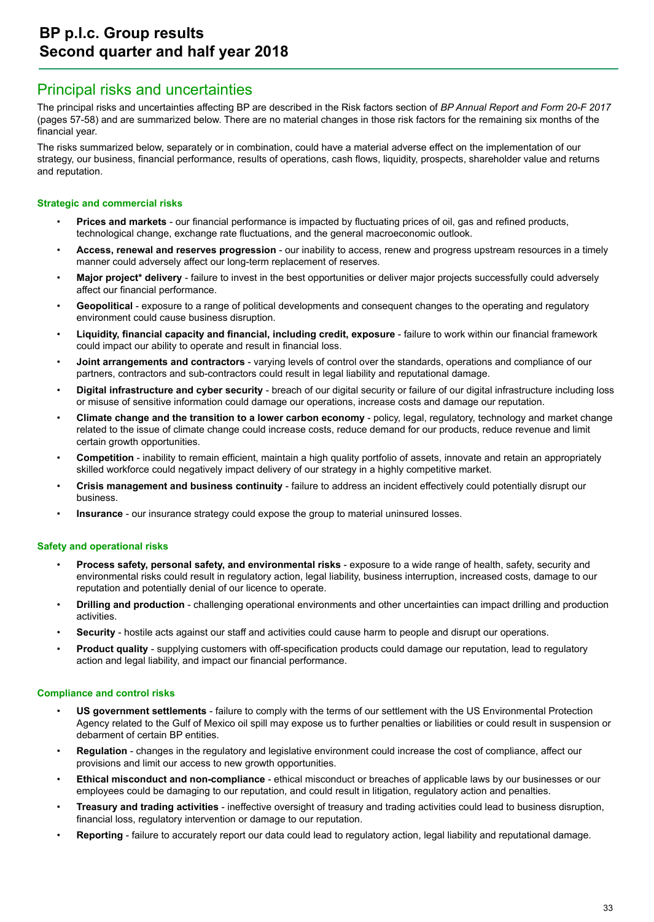### Principal risks and uncertainties

The principal risks and uncertainties affecting BP are described in the Risk factors section of *BP Annual Report and Form 20-F 2017* (pages 57-58) and are summarized below. There are no material changes in those risk factors for the remaining six months of the financial year.

The risks summarized below, separately or in combination, could have a material adverse effect on the implementation of our strategy, our business, financial performance, results of operations, cash flows, liquidity, prospects, shareholder value and returns and reputation.

#### **Strategic and commercial risks**

- **Prices and markets** our financial performance is impacted by fluctuating prices of oil, gas and refined products, technological change, exchange rate fluctuations, and the general macroeconomic outlook.
- **Access, renewal and reserves progression** our inability to access, renew and progress upstream resources in a timely manner could adversely affect our long-term replacement of reserves.
- **Major project\* delivery** failure to invest in the best opportunities or deliver major projects successfully could adversely affect our financial performance.
- **Geopolitical** exposure to a range of political developments and consequent changes to the operating and regulatory environment could cause business disruption.
- **Liquidity, financial capacity and financial, including credit, exposure** failure to work within our financial framework could impact our ability to operate and result in financial loss.
- **Joint arrangements and contractors** varying levels of control over the standards, operations and compliance of our partners, contractors and sub-contractors could result in legal liability and reputational damage.
- **Digital infrastructure and cyber security** breach of our digital security or failure of our digital infrastructure including loss or misuse of sensitive information could damage our operations, increase costs and damage our reputation.
- **Climate change and the transition to a lower carbon economy** policy, legal, regulatory, technology and market change related to the issue of climate change could increase costs, reduce demand for our products, reduce revenue and limit certain growth opportunities.
- **Competition** inability to remain efficient, maintain a high quality portfolio of assets, innovate and retain an appropriately skilled workforce could negatively impact delivery of our strategy in a highly competitive market.
- **Crisis management and business continuity** failure to address an incident effectively could potentially disrupt our business.
- **Insurance** our insurance strategy could expose the group to material uninsured losses.

#### **Safety and operational risks**

- **Process safety, personal safety, and environmental risks** exposure to a wide range of health, safety, security and environmental risks could result in regulatory action, legal liability, business interruption, increased costs, damage to our reputation and potentially denial of our licence to operate.
- **Drilling and production** challenging operational environments and other uncertainties can impact drilling and production activities.
- **Security** hostile acts against our staff and activities could cause harm to people and disrupt our operations.
- **Product quality** supplying customers with off-specification products could damage our reputation, lead to regulatory action and legal liability, and impact our financial performance.

#### **Compliance and control risks**

- **US government settlements** failure to comply with the terms of our settlement with the US Environmental Protection Agency related to the Gulf of Mexico oil spill may expose us to further penalties or liabilities or could result in suspension or debarment of certain BP entities.
- **Regulation** changes in the regulatory and legislative environment could increase the cost of compliance, affect our provisions and limit our access to new growth opportunities.
- **Ethical misconduct and non-compliance** ethical misconduct or breaches of applicable laws by our businesses or our employees could be damaging to our reputation, and could result in litigation, regulatory action and penalties.
- **Treasury and trading activities** ineffective oversight of treasury and trading activities could lead to business disruption, financial loss, regulatory intervention or damage to our reputation.
- **Reporting** failure to accurately report our data could lead to regulatory action, legal liability and reputational damage.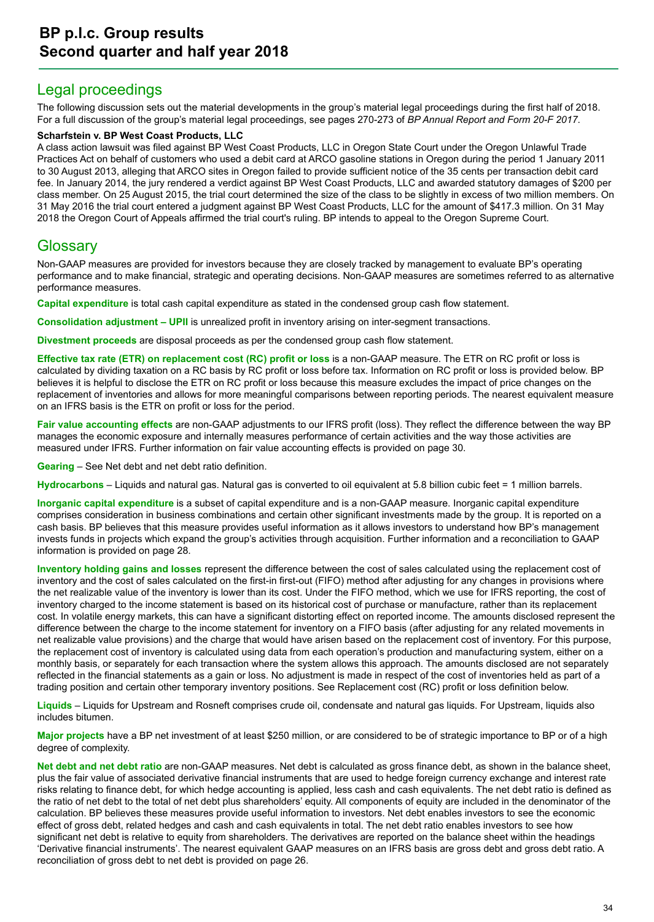### Legal proceedings

The following discussion sets out the material developments in the group's material legal proceedings during the first half of 2018. For a full discussion of the group's material legal proceedings, see pages 270-273 of *BP Annual Report and Form 20-F 2017*.

#### **Scharfstein v. BP West Coast Products, LLC**

A class action lawsuit was filed against BP West Coast Products, LLC in Oregon State Court under the Oregon Unlawful Trade Practices Act on behalf of customers who used a debit card at ARCO gasoline stations in Oregon during the period 1 January 2011 to 30 August 2013, alleging that ARCO sites in Oregon failed to provide sufficient notice of the 35 cents per transaction debit card fee. In January 2014, the jury rendered a verdict against BP West Coast Products, LLC and awarded statutory damages of \$200 per class member. On 25 August 2015, the trial court determined the size of the class to be slightly in excess of two million members. On 31 May 2016 the trial court entered a judgment against BP West Coast Products, LLC for the amount of \$417.3 million. On 31 May 2018 the Oregon Court of Appeals affirmed the trial court's ruling. BP intends to appeal to the Oregon Supreme Court.

### **Glossary**

Non-GAAP measures are provided for investors because they are closely tracked by management to evaluate BP's operating performance and to make financial, strategic and operating decisions. Non-GAAP measures are sometimes referred to as alternative performance measures.

**Capital expenditure** is total cash capital expenditure as stated in the condensed group cash flow statement.

**Consolidation adjustment – UPII** is unrealized profit in inventory arising on inter-segment transactions.

**Divestment proceeds** are disposal proceeds as per the condensed group cash flow statement.

**Effective tax rate (ETR) on replacement cost (RC) profit or loss** is a non-GAAP measure. The ETR on RC profit or loss is calculated by dividing taxation on a RC basis by RC profit or loss before tax. Information on RC profit or loss is provided below. BP believes it is helpful to disclose the ETR on RC profit or loss because this measure excludes the impact of price changes on the replacement of inventories and allows for more meaningful comparisons between reporting periods. The nearest equivalent measure on an IFRS basis is the ETR on profit or loss for the period.

**Fair value accounting effects** are non-GAAP adjustments to our IFRS profit (loss). They reflect the difference between the way BP manages the economic exposure and internally measures performance of certain activities and the way those activities are measured under IFRS. Further information on fair value accounting effects is provided on page 30.

**Gearing** – See Net debt and net debt ratio definition.

**Hydrocarbons** – Liquids and natural gas. Natural gas is converted to oil equivalent at 5.8 billion cubic feet = 1 million barrels.

**Inorganic capital expenditure** is a subset of capital expenditure and is a non-GAAP measure. Inorganic capital expenditure comprises consideration in business combinations and certain other significant investments made by the group. It is reported on a cash basis. BP believes that this measure provides useful information as it allows investors to understand how BP's management invests funds in projects which expand the group's activities through acquisition. Further information and a reconciliation to GAAP information is provided on page 28.

**Inventory holding gains and losses** represent the difference between the cost of sales calculated using the replacement cost of inventory and the cost of sales calculated on the first-in first-out (FIFO) method after adjusting for any changes in provisions where the net realizable value of the inventory is lower than its cost. Under the FIFO method, which we use for IFRS reporting, the cost of inventory charged to the income statement is based on its historical cost of purchase or manufacture, rather than its replacement cost. In volatile energy markets, this can have a significant distorting effect on reported income. The amounts disclosed represent the difference between the charge to the income statement for inventory on a FIFO basis (after adjusting for any related movements in net realizable value provisions) and the charge that would have arisen based on the replacement cost of inventory. For this purpose, the replacement cost of inventory is calculated using data from each operation's production and manufacturing system, either on a monthly basis, or separately for each transaction where the system allows this approach. The amounts disclosed are not separately reflected in the financial statements as a gain or loss. No adjustment is made in respect of the cost of inventories held as part of a trading position and certain other temporary inventory positions. See Replacement cost (RC) profit or loss definition below.

**Liquids** – Liquids for Upstream and Rosneft comprises crude oil, condensate and natural gas liquids. For Upstream, liquids also includes bitumen.

**Major projects** have a BP net investment of at least \$250 million, or are considered to be of strategic importance to BP or of a high degree of complexity.

**Net debt and net debt ratio** are non-GAAP measures. Net debt is calculated as gross finance debt, as shown in the balance sheet, plus the fair value of associated derivative financial instruments that are used to hedge foreign currency exchange and interest rate risks relating to finance debt, for which hedge accounting is applied, less cash and cash equivalents. The net debt ratio is defined as the ratio of net debt to the total of net debt plus shareholders' equity. All components of equity are included in the denominator of the calculation. BP believes these measures provide useful information to investors. Net debt enables investors to see the economic effect of gross debt, related hedges and cash and cash equivalents in total. The net debt ratio enables investors to see how significant net debt is relative to equity from shareholders. The derivatives are reported on the balance sheet within the headings 'Derivative financial instruments'. The nearest equivalent GAAP measures on an IFRS basis are gross debt and gross debt ratio. A reconciliation of gross debt to net debt is provided on page 26.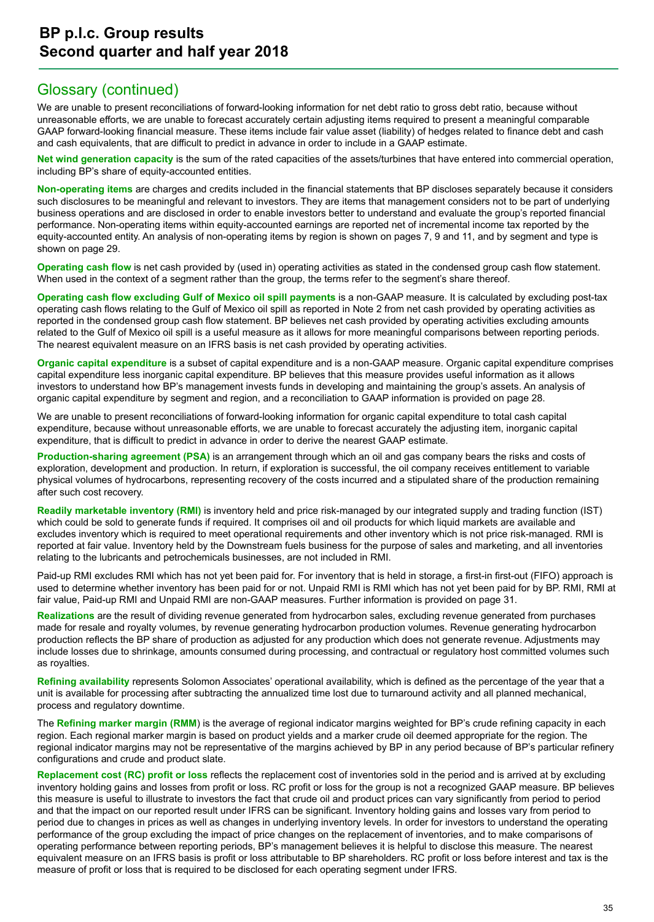### Glossary (continued)

We are unable to present reconciliations of forward-looking information for net debt ratio to gross debt ratio, because without unreasonable efforts, we are unable to forecast accurately certain adjusting items required to present a meaningful comparable GAAP forward-looking financial measure. These items include fair value asset (liability) of hedges related to finance debt and cash and cash equivalents, that are difficult to predict in advance in order to include in a GAAP estimate.

**Net wind generation capacity** is the sum of the rated capacities of the assets/turbines that have entered into commercial operation, including BP's share of equity-accounted entities.

**Non-operating items** are charges and credits included in the financial statements that BP discloses separately because it considers such disclosures to be meaningful and relevant to investors. They are items that management considers not to be part of underlying business operations and are disclosed in order to enable investors better to understand and evaluate the group's reported financial performance. Non-operating items within equity-accounted earnings are reported net of incremental income tax reported by the equity-accounted entity. An analysis of non-operating items by region is shown on pages 7, 9 and 11, and by segment and type is shown on page 29.

**Operating cash flow** is net cash provided by (used in) operating activities as stated in the condensed group cash flow statement. When used in the context of a segment rather than the group, the terms refer to the segment's share thereof.

**Operating cash flow excluding Gulf of Mexico oil spill payments** is a non-GAAP measure. It is calculated by excluding post-tax operating cash flows relating to the Gulf of Mexico oil spill as reported in Note 2 from net cash provided by operating activities as reported in the condensed group cash flow statement. BP believes net cash provided by operating activities excluding amounts related to the Gulf of Mexico oil spill is a useful measure as it allows for more meaningful comparisons between reporting periods. The nearest equivalent measure on an IFRS basis is net cash provided by operating activities.

**Organic capital expenditure** is a subset of capital expenditure and is a non-GAAP measure. Organic capital expenditure comprises capital expenditure less inorganic capital expenditure. BP believes that this measure provides useful information as it allows investors to understand how BP's management invests funds in developing and maintaining the group's assets. An analysis of organic capital expenditure by segment and region, and a reconciliation to GAAP information is provided on page 28.

We are unable to present reconciliations of forward-looking information for organic capital expenditure to total cash capital expenditure, because without unreasonable efforts, we are unable to forecast accurately the adjusting item, inorganic capital expenditure, that is difficult to predict in advance in order to derive the nearest GAAP estimate.

**Production-sharing agreement (PSA)** is an arrangement through which an oil and gas company bears the risks and costs of exploration, development and production. In return, if exploration is successful, the oil company receives entitlement to variable physical volumes of hydrocarbons, representing recovery of the costs incurred and a stipulated share of the production remaining after such cost recovery.

**Readily marketable inventory (RMI)** is inventory held and price risk-managed by our integrated supply and trading function (IST) which could be sold to generate funds if required. It comprises oil and oil products for which liquid markets are available and excludes inventory which is required to meet operational requirements and other inventory which is not price risk-managed. RMI is reported at fair value. Inventory held by the Downstream fuels business for the purpose of sales and marketing, and all inventories relating to the lubricants and petrochemicals businesses, are not included in RMI.

Paid-up RMI excludes RMI which has not yet been paid for. For inventory that is held in storage, a first-in first-out (FIFO) approach is used to determine whether inventory has been paid for or not. Unpaid RMI is RMI which has not yet been paid for by BP. RMI, RMI at fair value, Paid-up RMI and Unpaid RMI are non-GAAP measures. Further information is provided on page 31.

**Realizations** are the result of dividing revenue generated from hydrocarbon sales, excluding revenue generated from purchases made for resale and royalty volumes, by revenue generating hydrocarbon production volumes. Revenue generating hydrocarbon production reflects the BP share of production as adjusted for any production which does not generate revenue. Adjustments may include losses due to shrinkage, amounts consumed during processing, and contractual or regulatory host committed volumes such as royalties.

**Refining availability** represents Solomon Associates' operational availability, which is defined as the percentage of the year that a unit is available for processing after subtracting the annualized time lost due to turnaround activity and all planned mechanical, process and regulatory downtime.

The **Refining marker margin (RMM**) is the average of regional indicator margins weighted for BP's crude refining capacity in each region. Each regional marker margin is based on product yields and a marker crude oil deemed appropriate for the region. The regional indicator margins may not be representative of the margins achieved by BP in any period because of BP's particular refinery configurations and crude and product slate.

**Replacement cost (RC) profit or loss** reflects the replacement cost of inventories sold in the period and is arrived at by excluding inventory holding gains and losses from profit or loss. RC profit or loss for the group is not a recognized GAAP measure. BP believes this measure is useful to illustrate to investors the fact that crude oil and product prices can vary significantly from period to period and that the impact on our reported result under IFRS can be significant. Inventory holding gains and losses vary from period to period due to changes in prices as well as changes in underlying inventory levels. In order for investors to understand the operating performance of the group excluding the impact of price changes on the replacement of inventories, and to make comparisons of operating performance between reporting periods, BP's management believes it is helpful to disclose this measure. The nearest equivalent measure on an IFRS basis is profit or loss attributable to BP shareholders. RC profit or loss before interest and tax is the measure of profit or loss that is required to be disclosed for each operating segment under IFRS.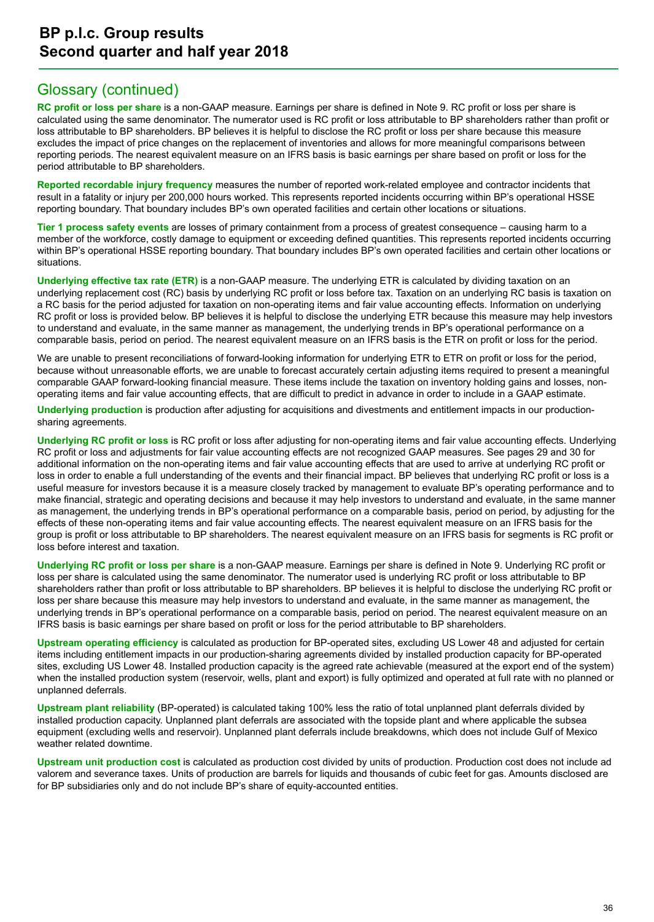### Glossary (continued)

**RC profit or loss per share** is a non-GAAP measure. Earnings per share is defined in Note 9. RC profit or loss per share is calculated using the same denominator. The numerator used is RC profit or loss attributable to BP shareholders rather than profit or loss attributable to BP shareholders. BP believes it is helpful to disclose the RC profit or loss per share because this measure excludes the impact of price changes on the replacement of inventories and allows for more meaningful comparisons between reporting periods. The nearest equivalent measure on an IFRS basis is basic earnings per share based on profit or loss for the period attributable to BP shareholders.

**Reported recordable injury frequency** measures the number of reported work-related employee and contractor incidents that result in a fatality or injury per 200,000 hours worked. This represents reported incidents occurring within BP's operational HSSE reporting boundary. That boundary includes BP's own operated facilities and certain other locations or situations.

**Tier 1 process safety events** are losses of primary containment from a process of greatest consequence – causing harm to a member of the workforce, costly damage to equipment or exceeding defined quantities. This represents reported incidents occurring within BP's operational HSSE reporting boundary. That boundary includes BP's own operated facilities and certain other locations or situations.

**Underlying effective tax rate (ETR)** is a non-GAAP measure. The underlying ETR is calculated by dividing taxation on an underlying replacement cost (RC) basis by underlying RC profit or loss before tax. Taxation on an underlying RC basis is taxation on a RC basis for the period adjusted for taxation on non-operating items and fair value accounting effects. Information on underlying RC profit or loss is provided below. BP believes it is helpful to disclose the underlying ETR because this measure may help investors to understand and evaluate, in the same manner as management, the underlying trends in BP's operational performance on a comparable basis, period on period. The nearest equivalent measure on an IFRS basis is the ETR on profit or loss for the period.

We are unable to present reconciliations of forward-looking information for underlying ETR to ETR on profit or loss for the period, because without unreasonable efforts, we are unable to forecast accurately certain adjusting items required to present a meaningful comparable GAAP forward-looking financial measure. These items include the taxation on inventory holding gains and losses, nonoperating items and fair value accounting effects, that are difficult to predict in advance in order to include in a GAAP estimate.

**Underlying production** is production after adjusting for acquisitions and divestments and entitlement impacts in our productionsharing agreements.

**Underlying RC profit or loss** is RC profit or loss after adjusting for non-operating items and fair value accounting effects. Underlying RC profit or loss and adjustments for fair value accounting effects are not recognized GAAP measures. See pages 29 and 30 for additional information on the non-operating items and fair value accounting effects that are used to arrive at underlying RC profit or loss in order to enable a full understanding of the events and their financial impact. BP believes that underlying RC profit or loss is a useful measure for investors because it is a measure closely tracked by management to evaluate BP's operating performance and to make financial, strategic and operating decisions and because it may help investors to understand and evaluate, in the same manner as management, the underlying trends in BP's operational performance on a comparable basis, period on period, by adjusting for the effects of these non-operating items and fair value accounting effects. The nearest equivalent measure on an IFRS basis for the group is profit or loss attributable to BP shareholders. The nearest equivalent measure on an IFRS basis for segments is RC profit or loss before interest and taxation.

**Underlying RC profit or loss per share** is a non-GAAP measure. Earnings per share is defined in Note 9. Underlying RC profit or loss per share is calculated using the same denominator. The numerator used is underlying RC profit or loss attributable to BP shareholders rather than profit or loss attributable to BP shareholders. BP believes it is helpful to disclose the underlying RC profit or loss per share because this measure may help investors to understand and evaluate, in the same manner as management, the underlying trends in BP's operational performance on a comparable basis, period on period. The nearest equivalent measure on an IFRS basis is basic earnings per share based on profit or loss for the period attributable to BP shareholders.

**Upstream operating efficiency** is calculated as production for BP-operated sites, excluding US Lower 48 and adjusted for certain items including entitlement impacts in our production-sharing agreements divided by installed production capacity for BP-operated sites, excluding US Lower 48. Installed production capacity is the agreed rate achievable (measured at the export end of the system) when the installed production system (reservoir, wells, plant and export) is fully optimized and operated at full rate with no planned or unplanned deferrals.

**Upstream plant reliability** (BP-operated) is calculated taking 100% less the ratio of total unplanned plant deferrals divided by installed production capacity. Unplanned plant deferrals are associated with the topside plant and where applicable the subsea equipment (excluding wells and reservoir). Unplanned plant deferrals include breakdowns, which does not include Gulf of Mexico weather related downtime.

**Upstream unit production cost** is calculated as production cost divided by units of production. Production cost does not include ad valorem and severance taxes. Units of production are barrels for liquids and thousands of cubic feet for gas. Amounts disclosed are for BP subsidiaries only and do not include BP's share of equity-accounted entities.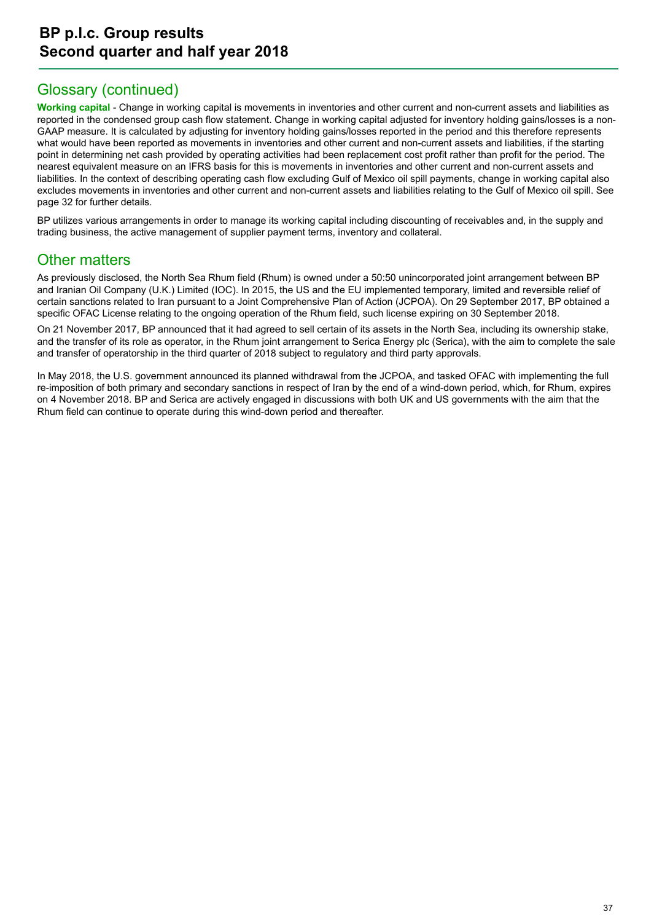### Glossary (continued)

**Working capital** - Change in working capital is movements in inventories and other current and non-current assets and liabilities as reported in the condensed group cash flow statement. Change in working capital adjusted for inventory holding gains/losses is a non-GAAP measure. It is calculated by adjusting for inventory holding gains/losses reported in the period and this therefore represents what would have been reported as movements in inventories and other current and non-current assets and liabilities, if the starting point in determining net cash provided by operating activities had been replacement cost profit rather than profit for the period. The nearest equivalent measure on an IFRS basis for this is movements in inventories and other current and non-current assets and liabilities. In the context of describing operating cash flow excluding Gulf of Mexico oil spill payments, change in working capital also excludes movements in inventories and other current and non-current assets and liabilities relating to the Gulf of Mexico oil spill. See page 32 for further details.

BP utilizes various arrangements in order to manage its working capital including discounting of receivables and, in the supply and trading business, the active management of supplier payment terms, inventory and collateral.

### Other matters

As previously disclosed, the North Sea Rhum field (Rhum) is owned under a 50:50 unincorporated joint arrangement between BP and Iranian Oil Company (U.K.) Limited (IOC). In 2015, the US and the EU implemented temporary, limited and reversible relief of certain sanctions related to Iran pursuant to a Joint Comprehensive Plan of Action (JCPOA). On 29 September 2017, BP obtained a specific OFAC License relating to the ongoing operation of the Rhum field, such license expiring on 30 September 2018.

On 21 November 2017, BP announced that it had agreed to sell certain of its assets in the North Sea, including its ownership stake, and the transfer of its role as operator, in the Rhum joint arrangement to Serica Energy plc (Serica), with the aim to complete the sale and transfer of operatorship in the third quarter of 2018 subject to regulatory and third party approvals.

In May 2018, the U.S. government announced its planned withdrawal from the JCPOA, and tasked OFAC with implementing the full re-imposition of both primary and secondary sanctions in respect of Iran by the end of a wind-down period, which, for Rhum, expires on 4 November 2018. BP and Serica are actively engaged in discussions with both UK and US governments with the aim that the Rhum field can continue to operate during this wind-down period and thereafter.